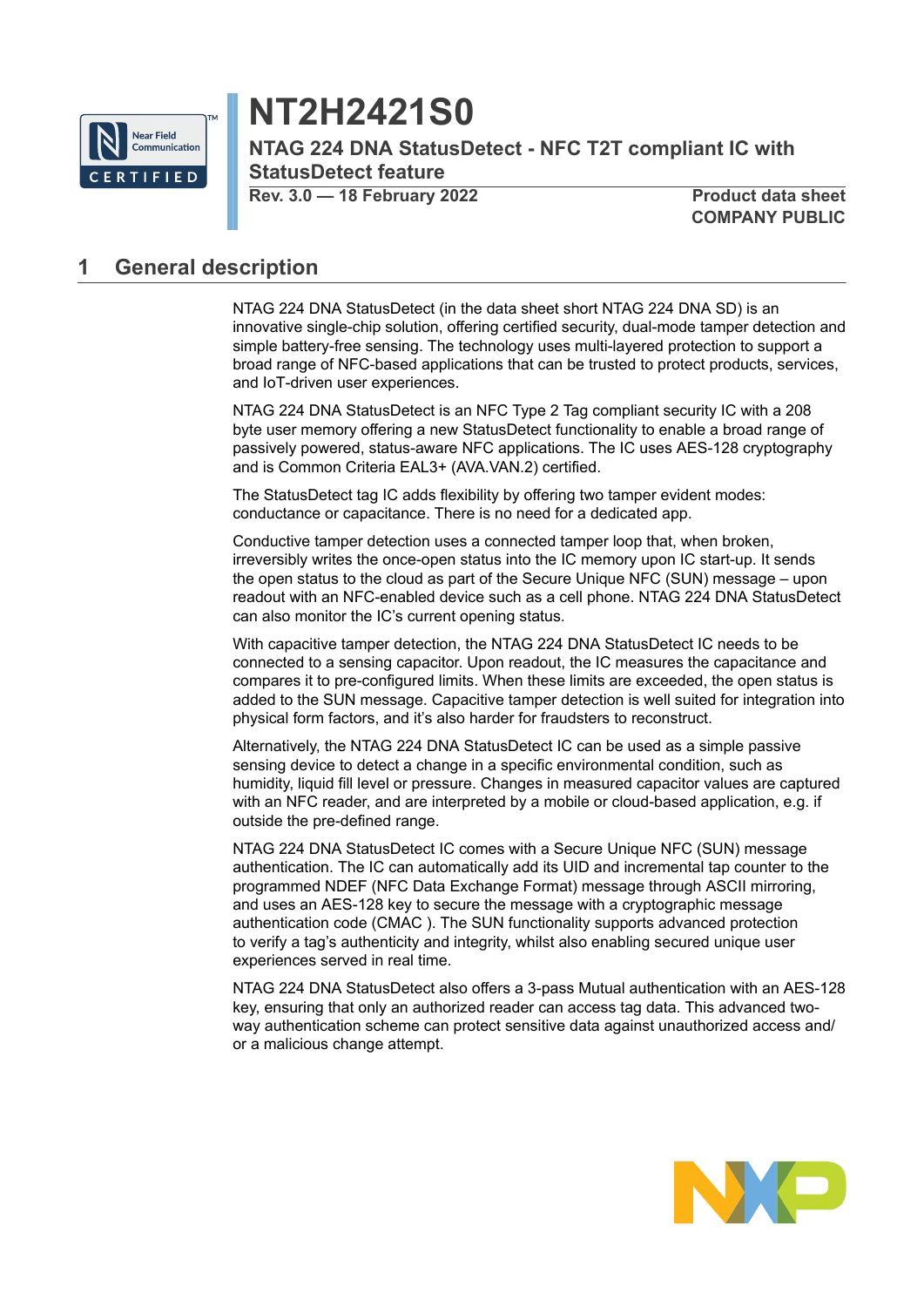

# **NT2H2421S0**

**NTAG 224 DNA StatusDetect - NFC T2T compliant IC with StatusDetect feature**

**Rev. 3.0 — 18 February 2022 Product data sheet**

**COMPANY PUBLIC**

## <span id="page-0-0"></span>**1 General description**

NTAG 224 DNA StatusDetect (in the data sheet short NTAG 224 DNA SD) is an innovative single-chip solution, offering certified security, dual-mode tamper detection and simple battery-free sensing. The technology uses multi-layered protection to support a broad range of NFC-based applications that can be trusted to protect products, services, and IoT-driven user experiences.

NTAG 224 DNA StatusDetect is an NFC Type 2 Tag compliant security IC with a 208 byte user memory offering a new StatusDetect functionality to enable a broad range of passively powered, status-aware NFC applications. The IC uses AES-128 cryptography and is Common Criteria EAL3+ (AVA.VAN.2) certified.

The StatusDetect tag IC adds flexibility by offering two tamper evident modes: conductance or capacitance. There is no need for a dedicated app.

Conductive tamper detection uses a connected tamper loop that, when broken, irreversibly writes the once-open status into the IC memory upon IC start-up. It sends the open status to the cloud as part of the Secure Unique NFC (SUN) message – upon readout with an NFC-enabled device such as a cell phone. NTAG 224 DNA StatusDetect can also monitor the IC's current opening status.

With capacitive tamper detection, the NTAG 224 DNA StatusDetect IC needs to be connected to a sensing capacitor. Upon readout, the IC measures the capacitance and compares it to pre-configured limits. When these limits are exceeded, the open status is added to the SUN message. Capacitive tamper detection is well suited for integration into physical form factors, and it's also harder for fraudsters to reconstruct.

Alternatively, the NTAG 224 DNA StatusDetect IC can be used as a simple passive sensing device to detect a change in a specific environmental condition, such as humidity, liquid fill level or pressure. Changes in measured capacitor values are captured with an NFC reader, and are interpreted by a mobile or cloud-based application, e.g. if outside the pre-defined range.

NTAG 224 DNA StatusDetect IC comes with a Secure Unique NFC (SUN) message authentication. The IC can automatically add its UID and incremental tap counter to the programmed NDEF (NFC Data Exchange Format) message through ASCII mirroring, and uses an AES-128 key to secure the message with a cryptographic message authentication code (CMAC ). The SUN functionality supports advanced protection to verify a tag's authenticity and integrity, whilst also enabling secured unique user experiences served in real time.

NTAG 224 DNA StatusDetect also offers a 3-pass Mutual authentication with an AES-128 key, ensuring that only an authorized reader can access tag data. This advanced twoway authentication scheme can protect sensitive data against unauthorized access and/ or a malicious change attempt.

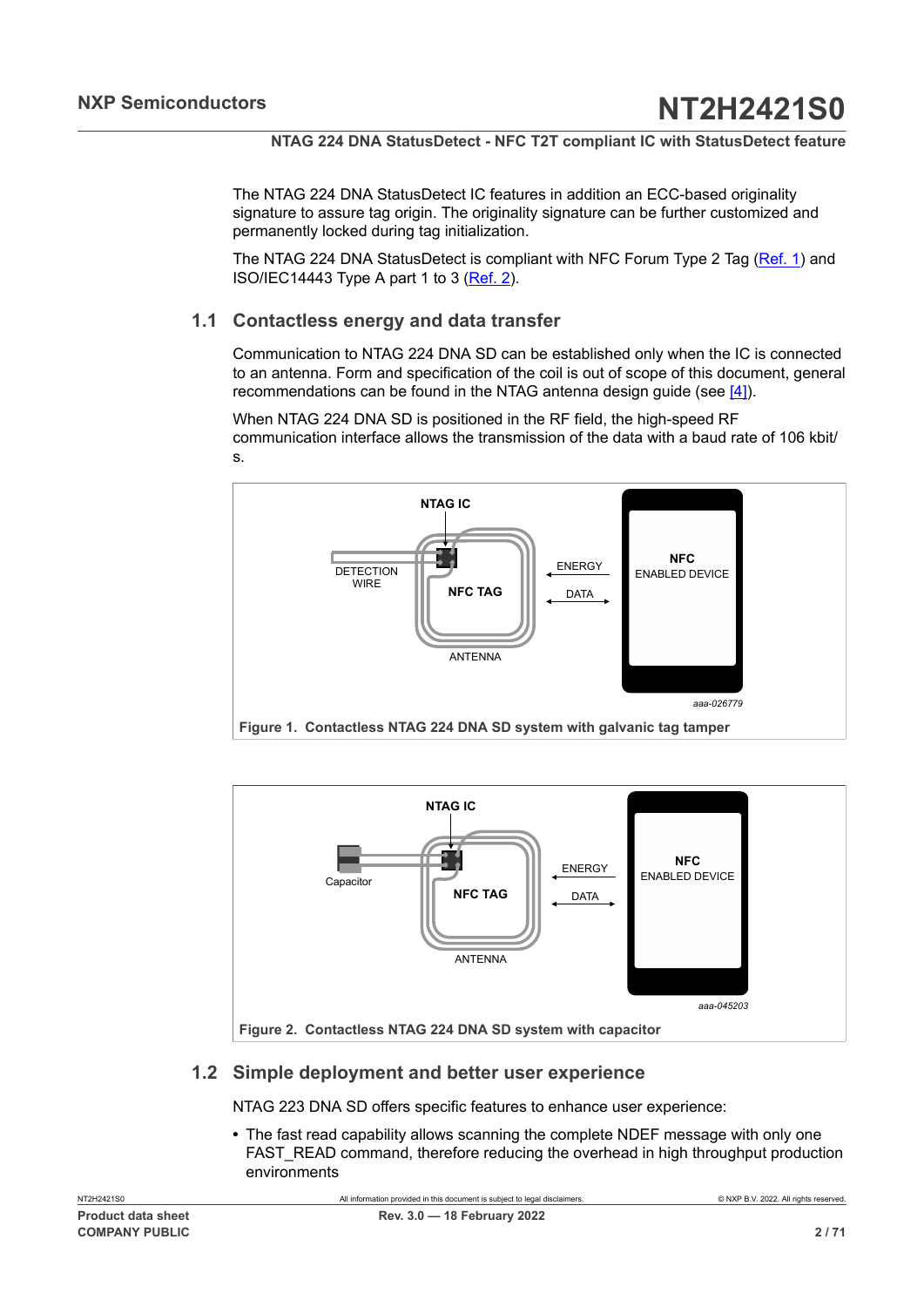The NTAG 224 DNA StatusDetect IC features in addition an ECC-based originality signature to assure tag origin. The originality signature can be further customized and permanently locked during tag initialization.

The NTAG 224 DNA StatusDetect is compliant with NFC Forum Type 2 Tag [\(Ref. 1\)](#page-63-0) and ISO/IEC14443 Type A part 1 to 3 [\(Ref. 2\)](#page-63-1).

## **1.1 Contactless energy and data transfer**

<span id="page-1-2"></span>Communication to NTAG 224 DNA SD can be established only when the IC is connected to an antenna. Form and specification of the coil is out of scope of this document, general recommendations can be found in the NTAG antenna design guide (see [\[4\]](#page-63-2)).

When NTAG 224 DNA SD is positioned in the RF field, the high-speed RF communication interface allows the transmission of the data with a baud rate of 106 kbit/ s.

<span id="page-1-0"></span>

<span id="page-1-1"></span>

## <span id="page-1-3"></span>**1.2 Simple deployment and better user experience**

NTAG 223 DNA SD offers specific features to enhance user experience:

**•** The fast read capability allows scanning the complete NDEF message with only one FAST\_READ command, therefore reducing the overhead in high throughput production environments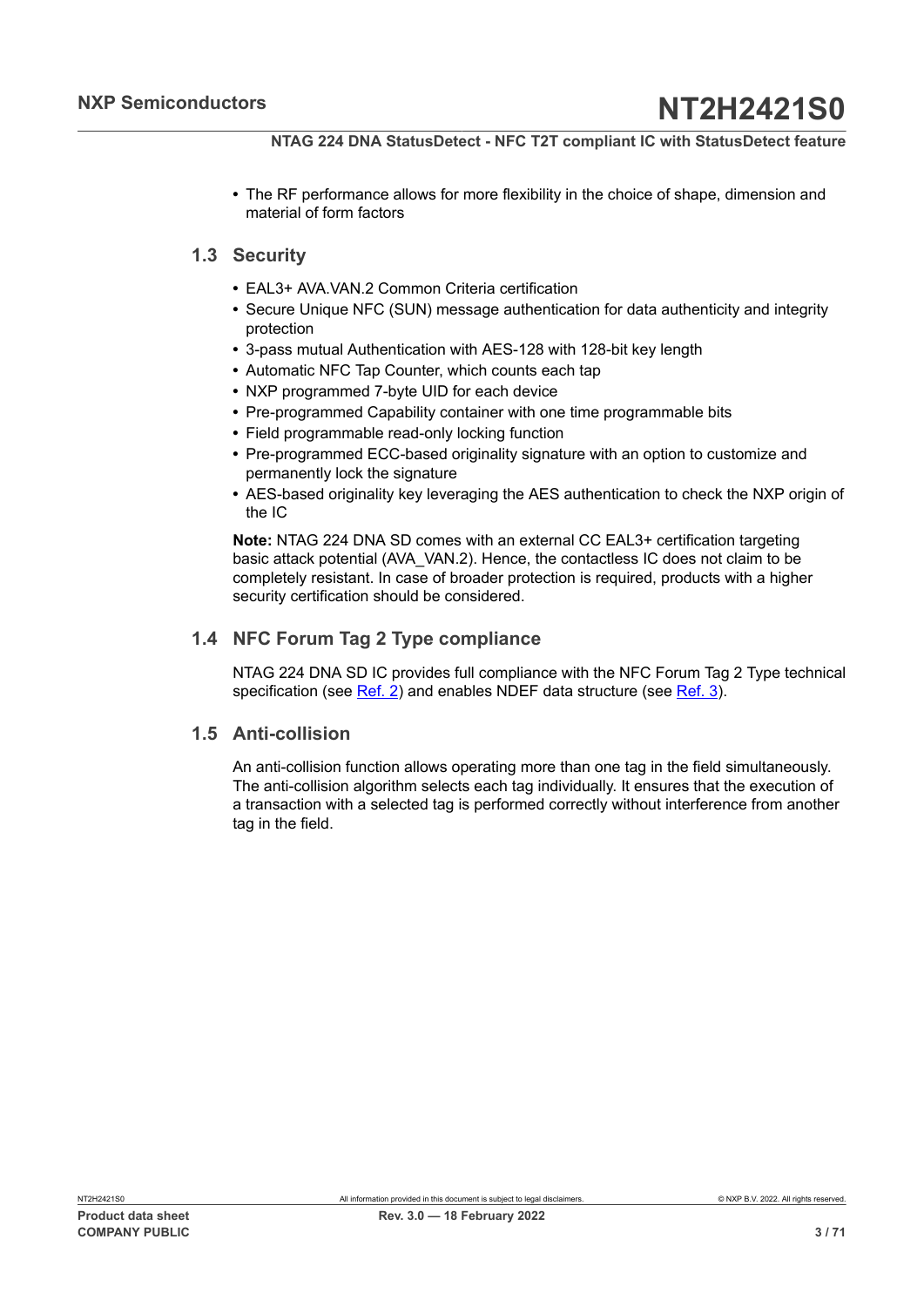**•** The RF performance allows for more flexibility in the choice of shape, dimension and material of form factors

## **1.3 Security**

- <span id="page-2-0"></span>**•** EAL3+ AVA.VAN.2 Common Criteria certification
- **•** Secure Unique NFC (SUN) message authentication for data authenticity and integrity protection
- **•** 3-pass mutual Authentication with AES-128 with 128-bit key length
- **•** Automatic NFC Tap Counter, which counts each tap
- **•** NXP programmed 7-byte UID for each device
- **•** Pre-programmed Capability container with one time programmable bits
- **•** Field programmable read-only locking function
- **•** Pre-programmed ECC-based originality signature with an option to customize and permanently lock the signature
- **•** AES-based originality key leveraging the AES authentication to check the NXP origin of the IC

**Note:** NTAG 224 DNA SD comes with an external CC EAL3+ certification targeting basic attack potential (AVA\_VAN.2). Hence, the contactless IC does not claim to be completely resistant. In case of broader protection is required, products with a higher security certification should be considered.

## **1.4 NFC Forum Tag 2 Type compliance**

<span id="page-2-1"></span>NTAG 224 DNA SD IC provides full compliance with the NFC Forum Tag 2 Type technical specification (see [Ref. 2\)](#page-63-1) and enables NDEF data structure (see [Ref. 3\)](#page-63-3).

## **1.5 Anti-collision**

<span id="page-2-2"></span>An anti-collision function allows operating more than one tag in the field simultaneously. The anti-collision algorithm selects each tag individually. It ensures that the execution of a transaction with a selected tag is performed correctly without interference from another tag in the field.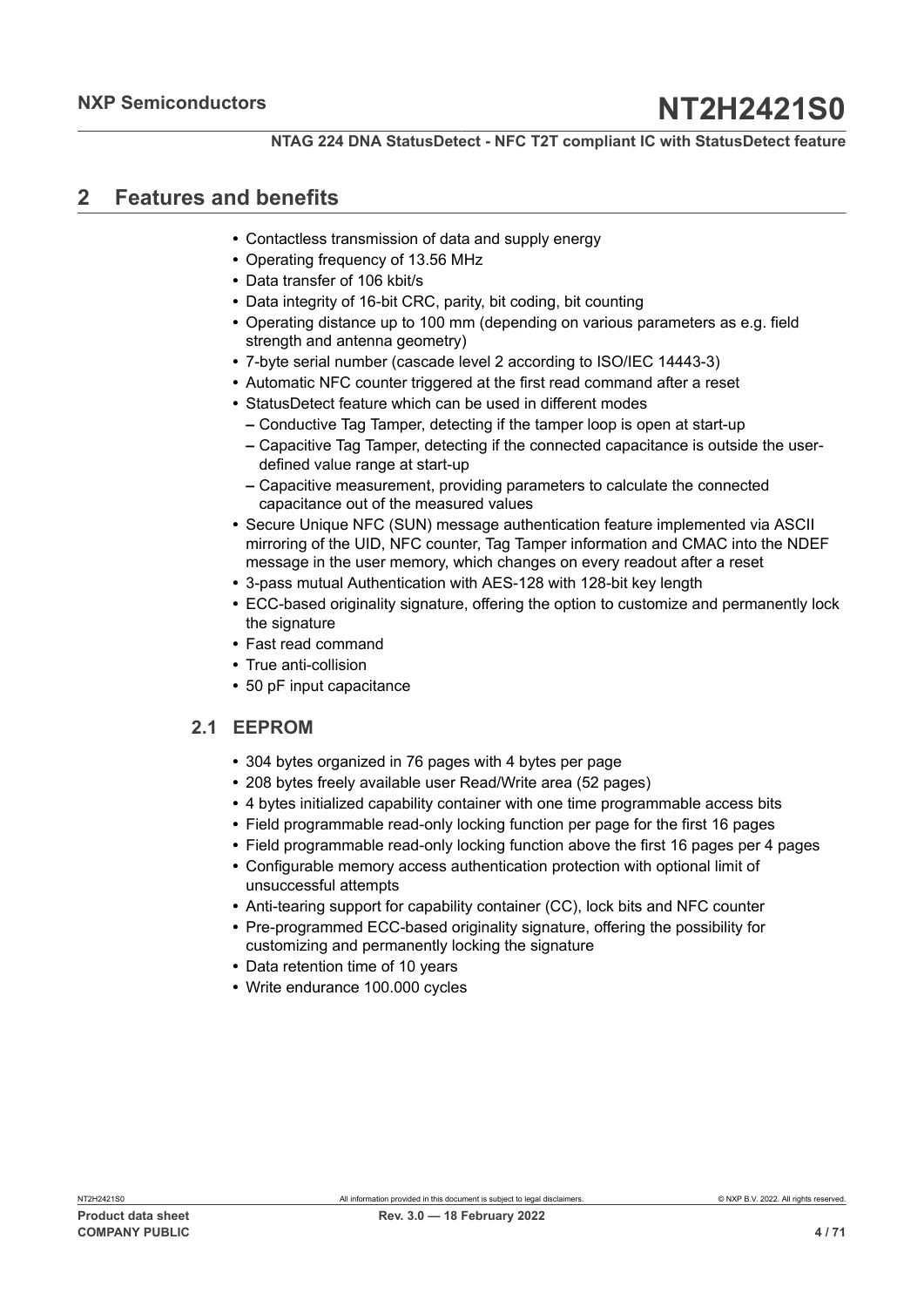## <span id="page-3-0"></span>**2 Features and benefits**

- **•** Contactless transmission of data and supply energy
- **•** Operating frequency of 13.56 MHz
- **•** Data transfer of 106 kbit/s
- **•** Data integrity of 16-bit CRC, parity, bit coding, bit counting
- **•** Operating distance up to 100 mm (depending on various parameters as e.g. field strength and antenna geometry)
- **•** 7-byte serial number (cascade level 2 according to ISO/IEC 14443-3)
- **•** Automatic NFC counter triggered at the first read command after a reset
- **•** StatusDetect feature which can be used in different modes
	- **–** Conductive Tag Tamper, detecting if the tamper loop is open at start-up
	- **–** Capacitive Tag Tamper, detecting if the connected capacitance is outside the userdefined value range at start-up
	- **–** Capacitive measurement, providing parameters to calculate the connected capacitance out of the measured values
- **•** Secure Unique NFC (SUN) message authentication feature implemented via ASCII mirroring of the UID, NFC counter, Tag Tamper information and CMAC into the NDEF message in the user memory, which changes on every readout after a reset
- **•** 3-pass mutual Authentication with AES-128 with 128-bit key length
- **•** ECC-based originality signature, offering the option to customize and permanently lock the signature
- **•** Fast read command
- **•** True anti-collision
- <span id="page-3-1"></span>**•** 50 pF input capacitance

## **2.1 EEPROM**

- **•** 304 bytes organized in 76 pages with 4 bytes per page
- **•** 208 bytes freely available user Read/Write area (52 pages)
- **•** 4 bytes initialized capability container with one time programmable access bits
- **•** Field programmable read-only locking function per page for the first 16 pages
- **•** Field programmable read-only locking function above the first 16 pages per 4 pages
- **•** Configurable memory access authentication protection with optional limit of unsuccessful attempts
- **•** Anti-tearing support for capability container (CC), lock bits and NFC counter
- **•** Pre-programmed ECC-based originality signature, offering the possibility for customizing and permanently locking the signature
- **•** Data retention time of 10 years
- **•** Write endurance 100.000 cycles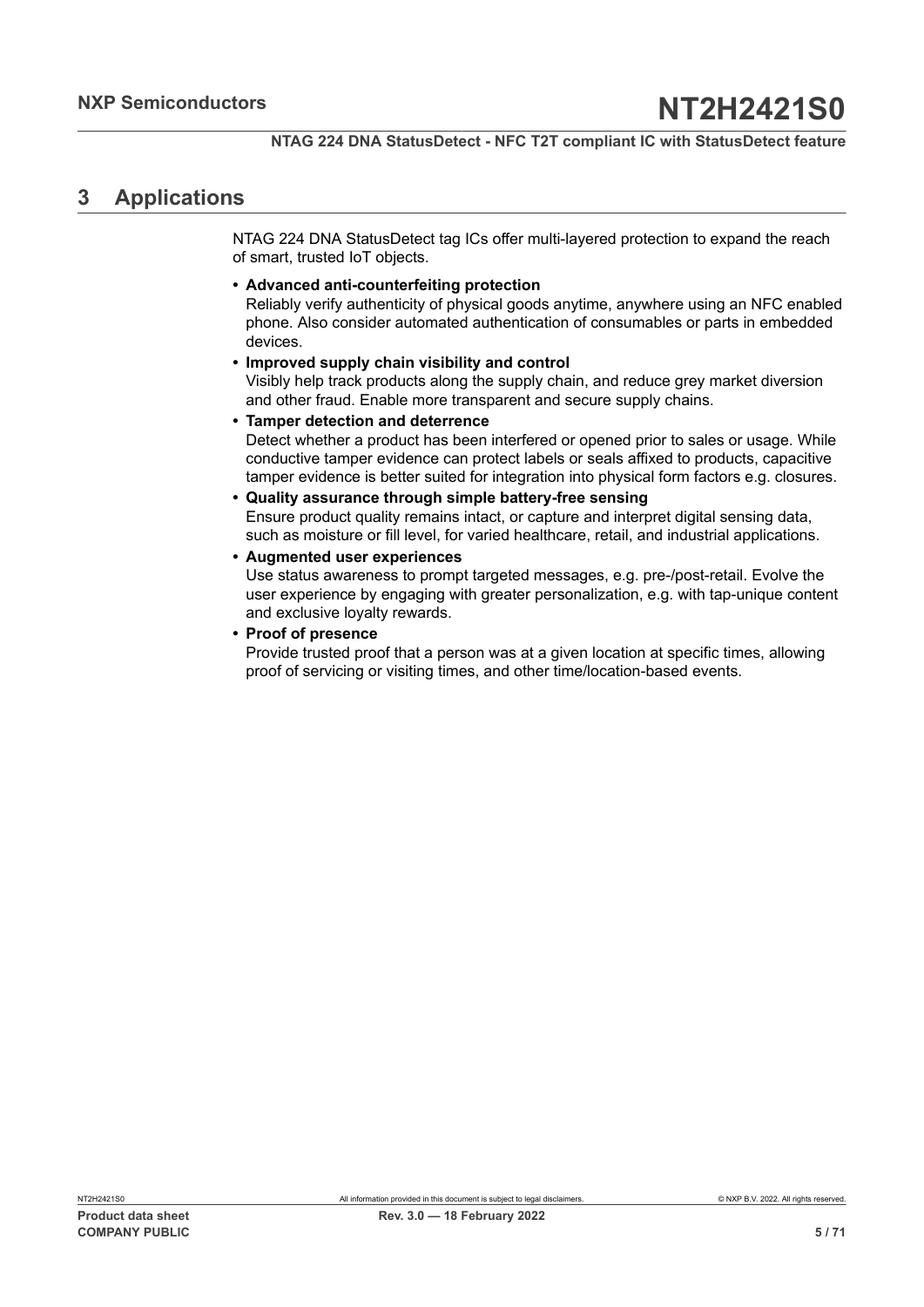## <span id="page-4-0"></span>**3 Applications**

NTAG 224 DNA StatusDetect tag ICs offer multi-layered protection to expand the reach of smart, trusted IoT objects.

**• Advanced anti-counterfeiting protection**

Reliably verify authenticity of physical goods anytime, anywhere using an NFC enabled phone. Also consider automated authentication of consumables or parts in embedded devices.

**• Improved supply chain visibility and control** Visibly help track products along the supply chain, and reduce grey market diversion

and other fraud. Enable more transparent and secure supply chains.

- **• Tamper detection and deterrence** Detect whether a product has been interfered or opened prior to sales or usage. While conductive tamper evidence can protect labels or seals affixed to products, capacitive tamper evidence is better suited for integration into physical form factors e.g. closures.
- **• Quality assurance through simple battery-free sensing** Ensure product quality remains intact, or capture and interpret digital sensing data, such as moisture or fill level, for varied healthcare, retail, and industrial applications.
- **• Augmented user experiences**

Use status awareness to prompt targeted messages, e.g. pre-/post-retail. Evolve the user experience by engaging with greater personalization, e.g. with tap-unique content and exclusive loyalty rewards.

**• Proof of presence**

Provide trusted proof that a person was at a given location at specific times, allowing proof of servicing or visiting times, and other time/location-based events.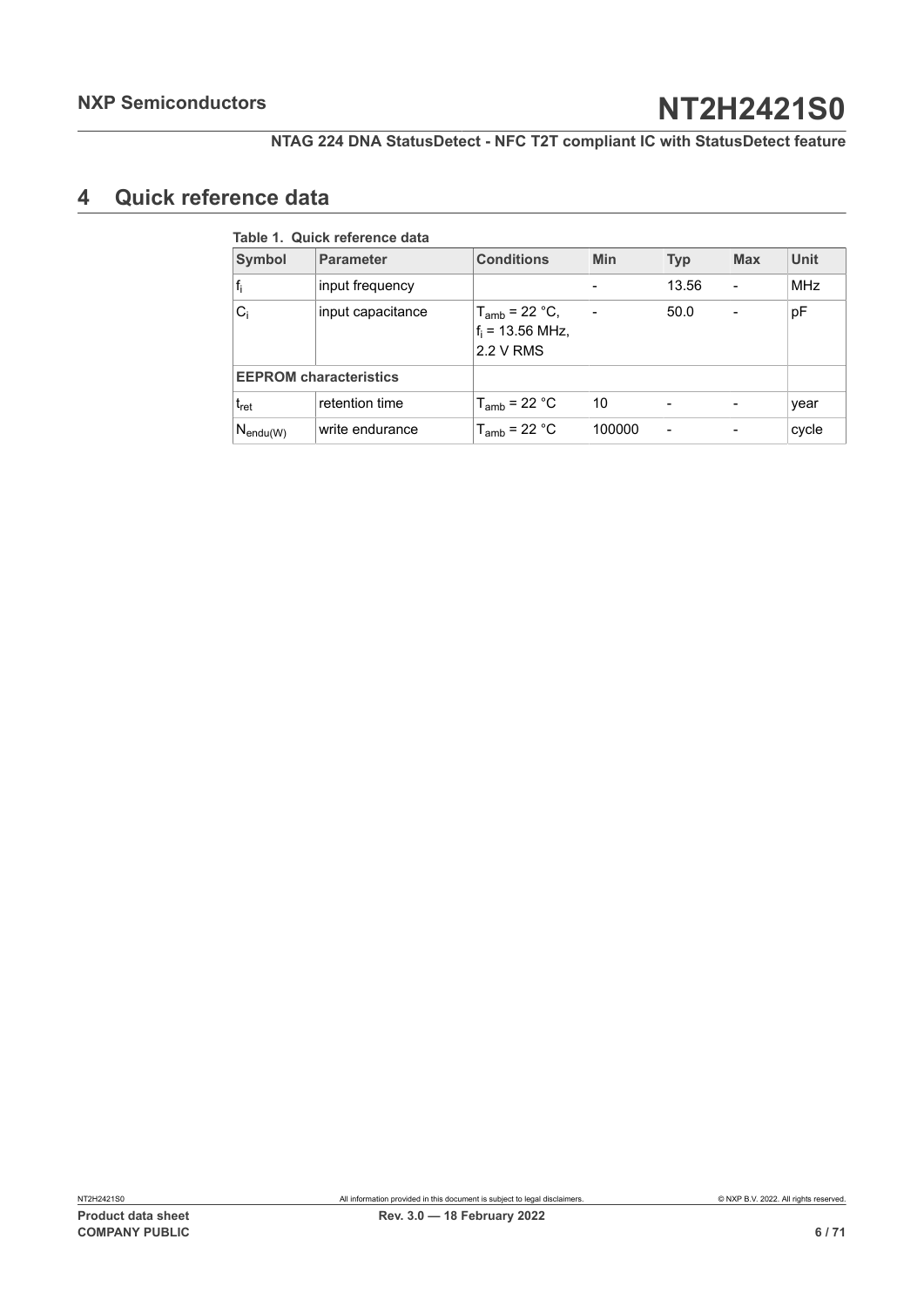## <span id="page-5-1"></span>**4 Quick reference data**

<span id="page-5-0"></span>

| <b>Symbol</b>                 | <b>Parameter</b>  | <b>Conditions</b>                                     | <b>Min</b> | <b>Typ</b>      | <b>Max</b> | <b>Unit</b> |
|-------------------------------|-------------------|-------------------------------------------------------|------------|-----------------|------------|-------------|
| $f_i$                         | input frequency   |                                                       |            | 13.56           |            | <b>MHz</b>  |
| $C_i$                         | input capacitance | $T_{amb}$ = 22 °C,<br>$f_i = 13.56$ MHz,<br>2.2 V RMS |            | 50.0            |            | pF          |
| <b>EEPROM characteristics</b> |                   |                                                       |            |                 |            |             |
| $t_{\rm ret}$                 | retention time    | $T_{amb}$ = 22 °C                                     | 10         |                 |            | year        |
| $N_{\mathsf{endu}(W)}$        | write endurance   | $T_{amb}$ = 22 °C                                     | 100000     | $\qquad \qquad$ |            | cycle       |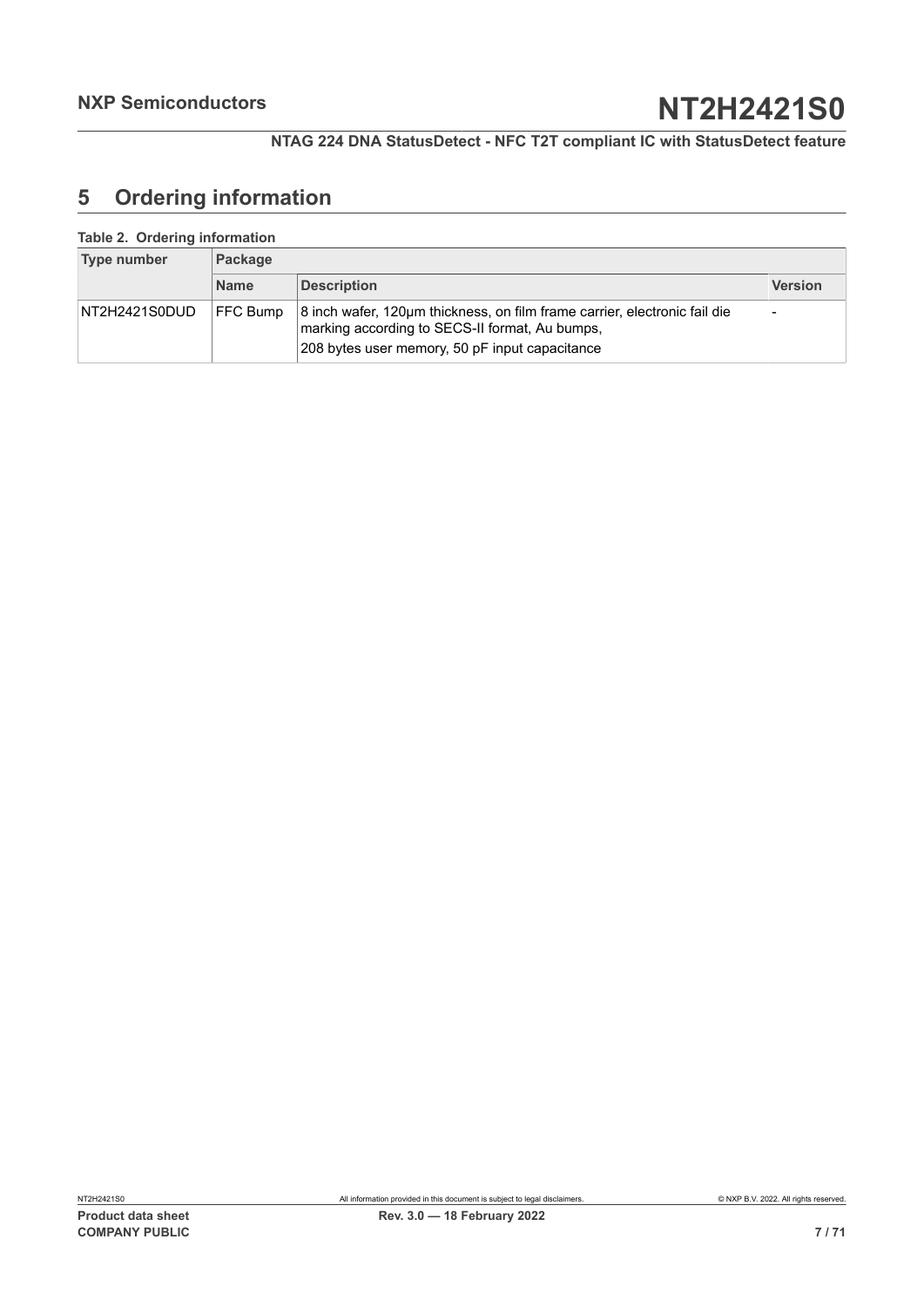## <span id="page-6-0"></span>**5 Ordering information**

#### <span id="page-6-1"></span>**Table 2. Ordering information**

| Type number   | Package         |                                                                                                                                                                               |                          |  |  |
|---------------|-----------------|-------------------------------------------------------------------------------------------------------------------------------------------------------------------------------|--------------------------|--|--|
|               | <b>Name</b>     | <b>Description</b>                                                                                                                                                            | <b>Version</b>           |  |  |
| NT2H2421S0DUD | <b>FFC Bump</b> | 8 inch wafer, 120µm thickness, on film frame carrier, electronic fail die<br>marking according to SECS-II format, Au bumps,<br>208 bytes user memory, 50 pF input capacitance | $\overline{\phantom{a}}$ |  |  |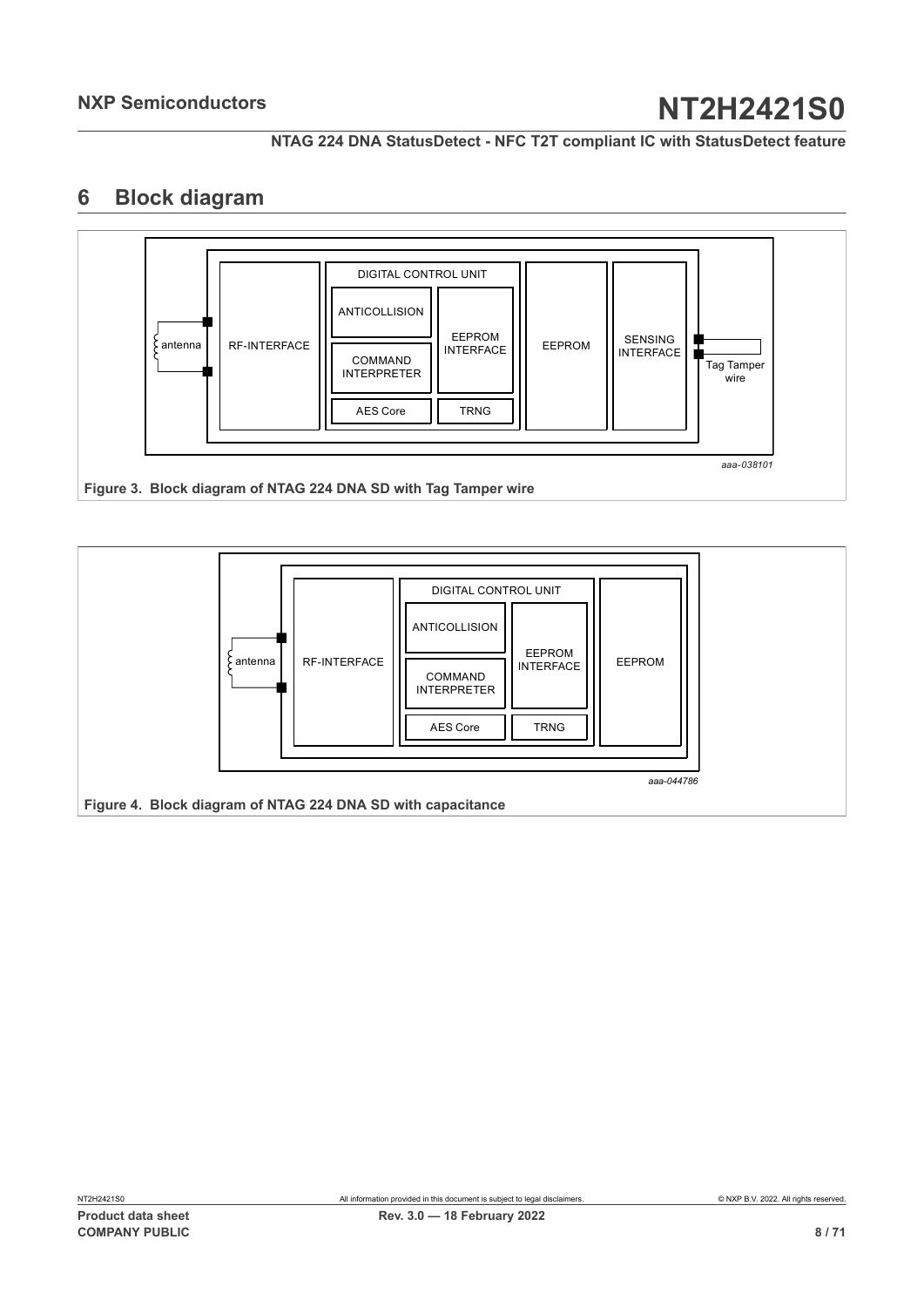**NTAG 224 DNA StatusDetect - NFC T2T compliant IC with StatusDetect feature**

## <span id="page-7-2"></span>**6 Block diagram**

<span id="page-7-0"></span>

<span id="page-7-1"></span>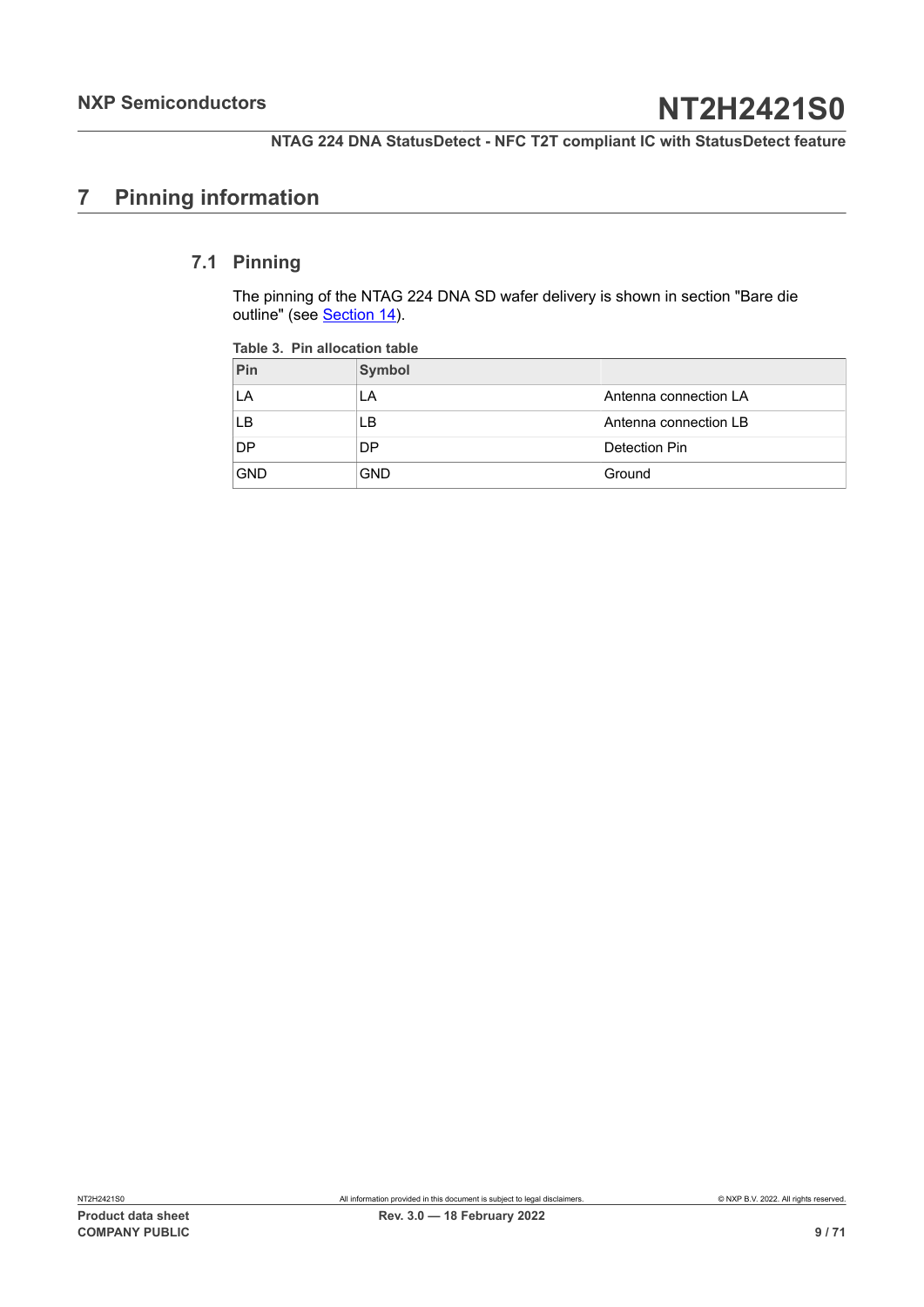## <span id="page-8-1"></span>**7 Pinning information**

## **7.1 Pinning**

<span id="page-8-2"></span>The pinning of the NTAG 224 DNA SD wafer delivery is shown in section "Bare die outline" (see [Section 14](#page-61-0)).

<span id="page-8-0"></span>

| Pin        | Symbol     |                       |
|------------|------------|-----------------------|
| LA         | LA         | Antenna connection LA |
| LB         | LB         | Antenna connection LB |
| <b>DP</b>  | DP         | Detection Pin         |
| <b>GND</b> | <b>GND</b> | Ground                |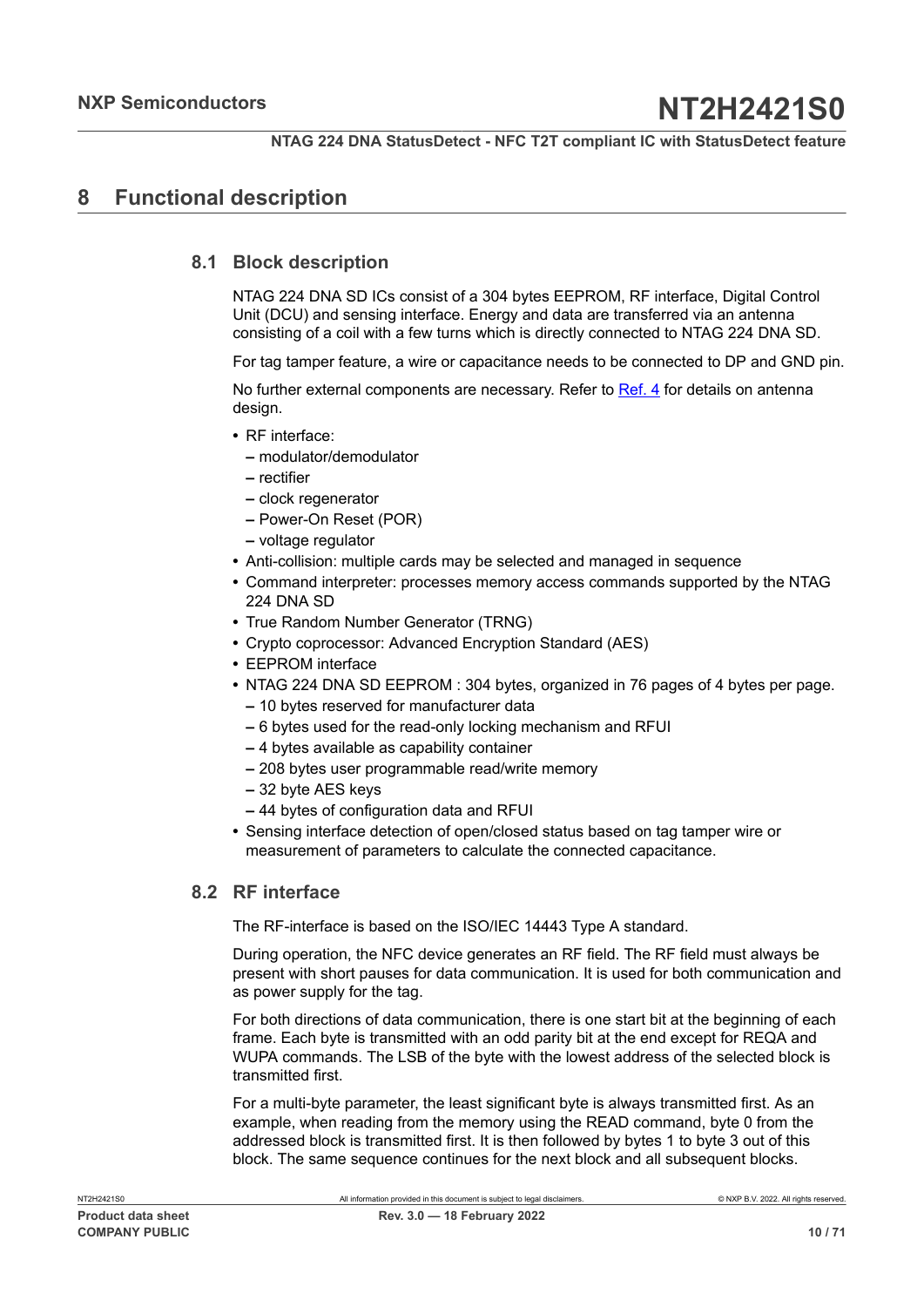## <span id="page-9-0"></span>**8 Functional description**

## **8.1 Block description**

<span id="page-9-1"></span>NTAG 224 DNA SD ICs consist of a 304 bytes EEPROM, RF interface, Digital Control Unit (DCU) and sensing interface. Energy and data are transferred via an antenna consisting of a coil with a few turns which is directly connected to NTAG 224 DNA SD.

For tag tamper feature, a wire or capacitance needs to be connected to DP and GND pin.

No further external components are necessary. Refer to [Ref. 4](#page-63-2) for details on antenna design.

- **•** RF interface:
	- **–** modulator/demodulator
	- **–** rectifier
	- **–** clock regenerator
	- **–** Power-On Reset (POR)
	- **–** voltage regulator
- **•** Anti-collision: multiple cards may be selected and managed in sequence
- **•** Command interpreter: processes memory access commands supported by the NTAG 224 DNA SD
- **•** True Random Number Generator (TRNG)
- **•** Crypto coprocessor: Advanced Encryption Standard (AES)
- **•** EEPROM interface
- **•** NTAG 224 DNA SD EEPROM : 304 bytes, organized in 76 pages of 4 bytes per page.
	- **–** 10 bytes reserved for manufacturer data
	- **–** 6 bytes used for the read-only locking mechanism and RFUI
	- **–** 4 bytes available as capability container
	- **–** 208 bytes user programmable read/write memory
	- **–** 32 byte AES keys
	- **–** 44 bytes of configuration data and RFUI
- **•** Sensing interface detection of open/closed status based on tag tamper wire or measurement of parameters to calculate the connected capacitance.

## **8.2 RF interface**

<span id="page-9-2"></span>The RF-interface is based on the ISO/IEC 14443 Type A standard.

During operation, the NFC device generates an RF field. The RF field must always be present with short pauses for data communication. It is used for both communication and as power supply for the tag.

For both directions of data communication, there is one start bit at the beginning of each frame. Each byte is transmitted with an odd parity bit at the end except for REQA and WUPA commands. The LSB of the byte with the lowest address of the selected block is transmitted first.

For a multi-byte parameter, the least significant byte is always transmitted first. As an example, when reading from the memory using the READ command, byte 0 from the addressed block is transmitted first. It is then followed by bytes 1 to byte 3 out of this block. The same sequence continues for the next block and all subsequent blocks.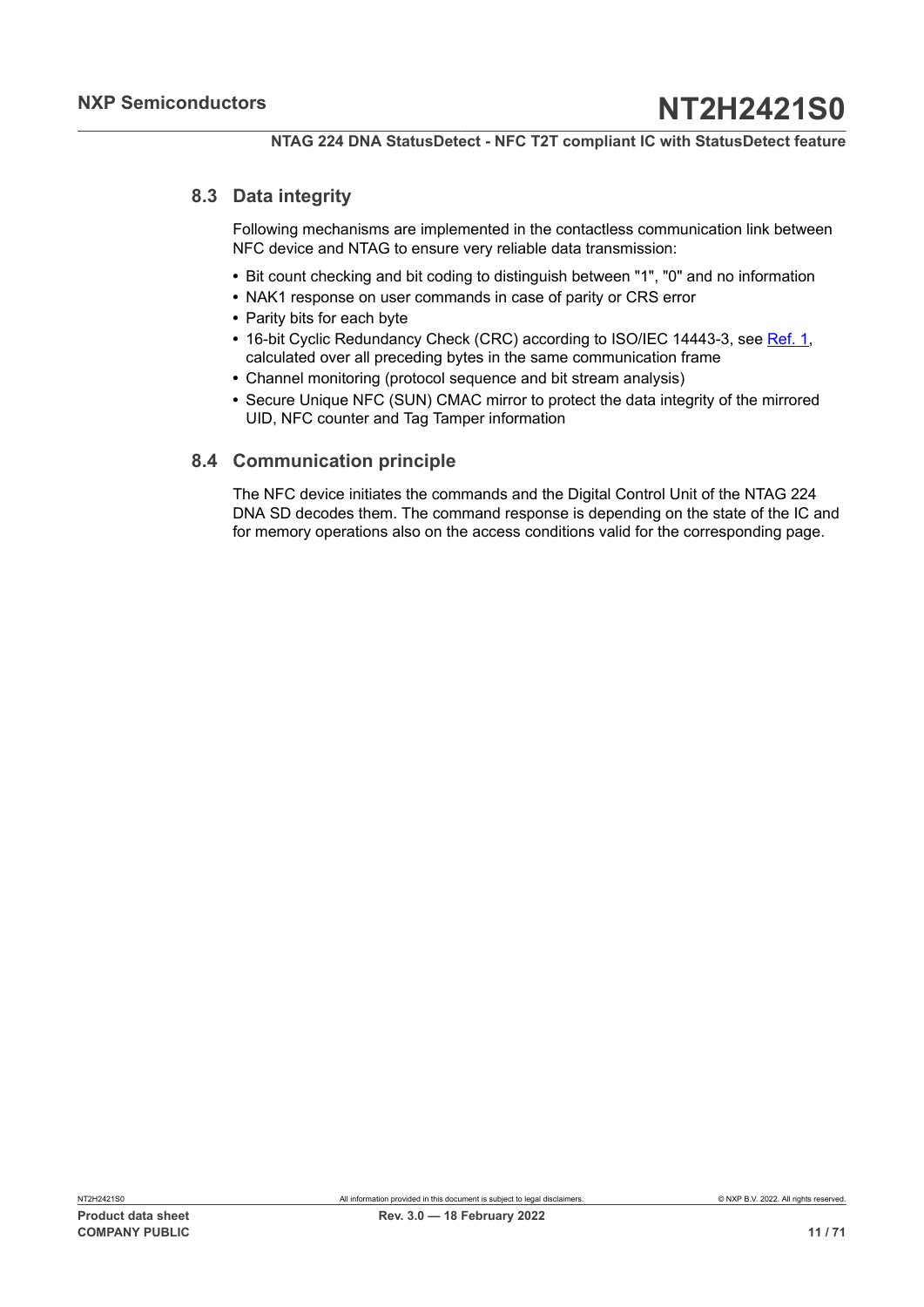## **8.3 Data integrity**

<span id="page-10-0"></span>Following mechanisms are implemented in the contactless communication link between NFC device and NTAG to ensure very reliable data transmission:

- **•** Bit count checking and bit coding to distinguish between "1", "0" and no information
- **•** NAK1 response on user commands in case of parity or CRS error
- **•** Parity bits for each byte
- **•** 16-bit Cyclic Redundancy Check (CRC) according to ISO/IEC 14443-3, see [Ref. 1](#page-63-0), calculated over all preceding bytes in the same communication frame
- **•** Channel monitoring (protocol sequence and bit stream analysis)
- **•** Secure Unique NFC (SUN) CMAC mirror to protect the data integrity of the mirrored UID, NFC counter and Tag Tamper information

## <span id="page-10-1"></span>**8.4 Communication principle**

The NFC device initiates the commands and the Digital Control Unit of the NTAG 224 DNA SD decodes them. The command response is depending on the state of the IC and for memory operations also on the access conditions valid for the corresponding page.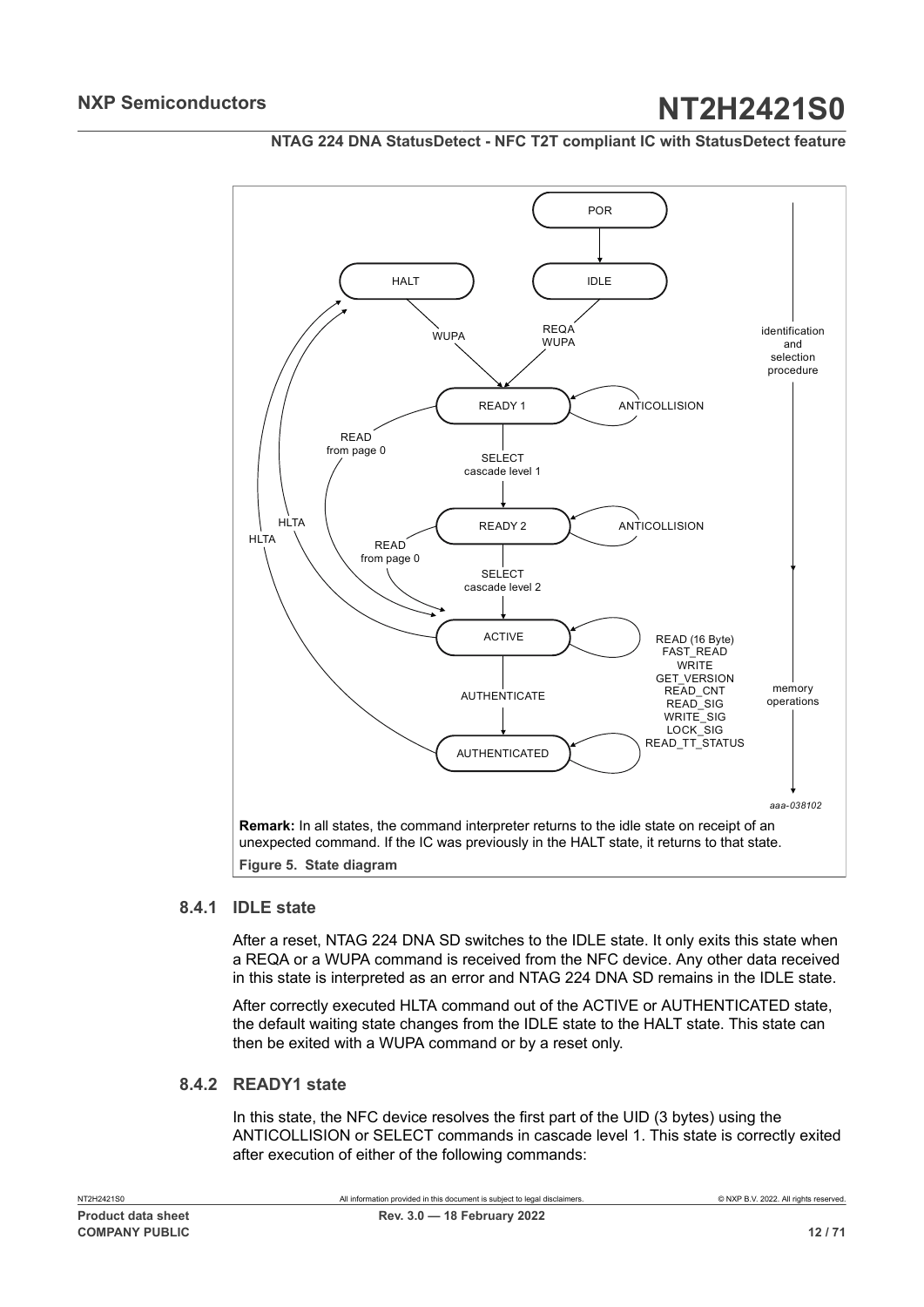<span id="page-11-0"></span>

## **NTAG 224 DNA StatusDetect - NFC T2T compliant IC with StatusDetect feature**

### **8.4.1 IDLE state**

<span id="page-11-1"></span>After a reset, NTAG 224 DNA SD switches to the IDLE state. It only exits this state when a REQA or a WUPA command is received from the NFC device. Any other data received in this state is interpreted as an error and NTAG 224 DNA SD remains in the IDLE state.

After correctly executed HLTA command out of the ACTIVE or AUTHENTICATED state, the default waiting state changes from the IDLE state to the HALT state. This state can then be exited with a WUPA command or by a reset only.

## **8.4.2 READY1 state**

<span id="page-11-2"></span>In this state, the NFC device resolves the first part of the UID (3 bytes) using the ANTICOLLISION or SELECT commands in cascade level 1. This state is correctly exited after execution of either of the following commands: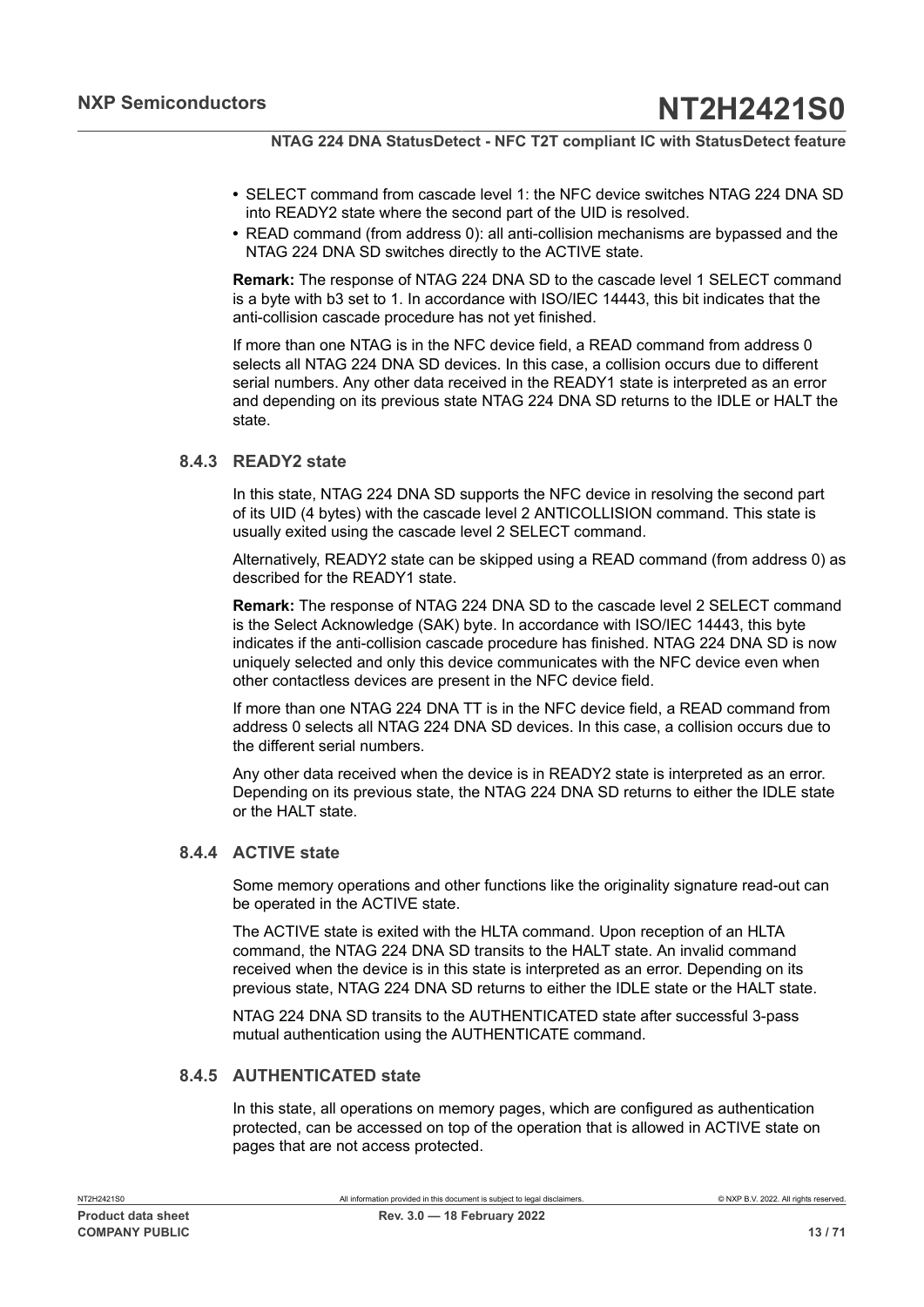- **•** SELECT command from cascade level 1: the NFC device switches NTAG 224 DNA SD into READY2 state where the second part of the UID is resolved.
- **•** READ command (from address 0): all anti-collision mechanisms are bypassed and the NTAG 224 DNA SD switches directly to the ACTIVE state.

**Remark:** The response of NTAG 224 DNA SD to the cascade level 1 SELECT command is a byte with b3 set to 1. In accordance with ISO/IEC 14443, this bit indicates that the anti-collision cascade procedure has not yet finished.

If more than one NTAG is in the NFC device field, a READ command from address 0 selects all NTAG 224 DNA SD devices. In this case, a collision occurs due to different serial numbers. Any other data received in the READY1 state is interpreted as an error and depending on its previous state NTAG 224 DNA SD returns to the IDLE or HALT the state.

## **8.4.3 READY2 state**

<span id="page-12-0"></span>In this state, NTAG 224 DNA SD supports the NFC device in resolving the second part of its UID (4 bytes) with the cascade level 2 ANTICOLLISION command. This state is usually exited using the cascade level 2 SELECT command.

Alternatively, READY2 state can be skipped using a READ command (from address 0) as described for the READY1 state.

**Remark:** The response of NTAG 224 DNA SD to the cascade level 2 SELECT command is the Select Acknowledge (SAK) byte. In accordance with ISO/IEC 14443, this byte indicates if the anti-collision cascade procedure has finished. NTAG 224 DNA SD is now uniquely selected and only this device communicates with the NFC device even when other contactless devices are present in the NFC device field.

If more than one NTAG 224 DNA TT is in the NFC device field, a READ command from address 0 selects all NTAG 224 DNA SD devices. In this case, a collision occurs due to the different serial numbers.

Any other data received when the device is in READY2 state is interpreted as an error. Depending on its previous state, the NTAG 224 DNA SD returns to either the IDLE state or the HALT state.

### **8.4.4 ACTIVE state**

<span id="page-12-1"></span>Some memory operations and other functions like the originality signature read-out can be operated in the ACTIVE state.

The ACTIVE state is exited with the HLTA command. Upon reception of an HLTA command, the NTAG 224 DNA SD transits to the HALT state. An invalid command received when the device is in this state is interpreted as an error. Depending on its previous state, NTAG 224 DNA SD returns to either the IDLE state or the HALT state.

NTAG 224 DNA SD transits to the AUTHENTICATED state after successful 3-pass mutual authentication using the AUTHENTICATE command.

#### **8.4.5 AUTHENTICATED state**

<span id="page-12-2"></span>In this state, all operations on memory pages, which are configured as authentication protected, can be accessed on top of the operation that is allowed in ACTIVE state on pages that are not access protected.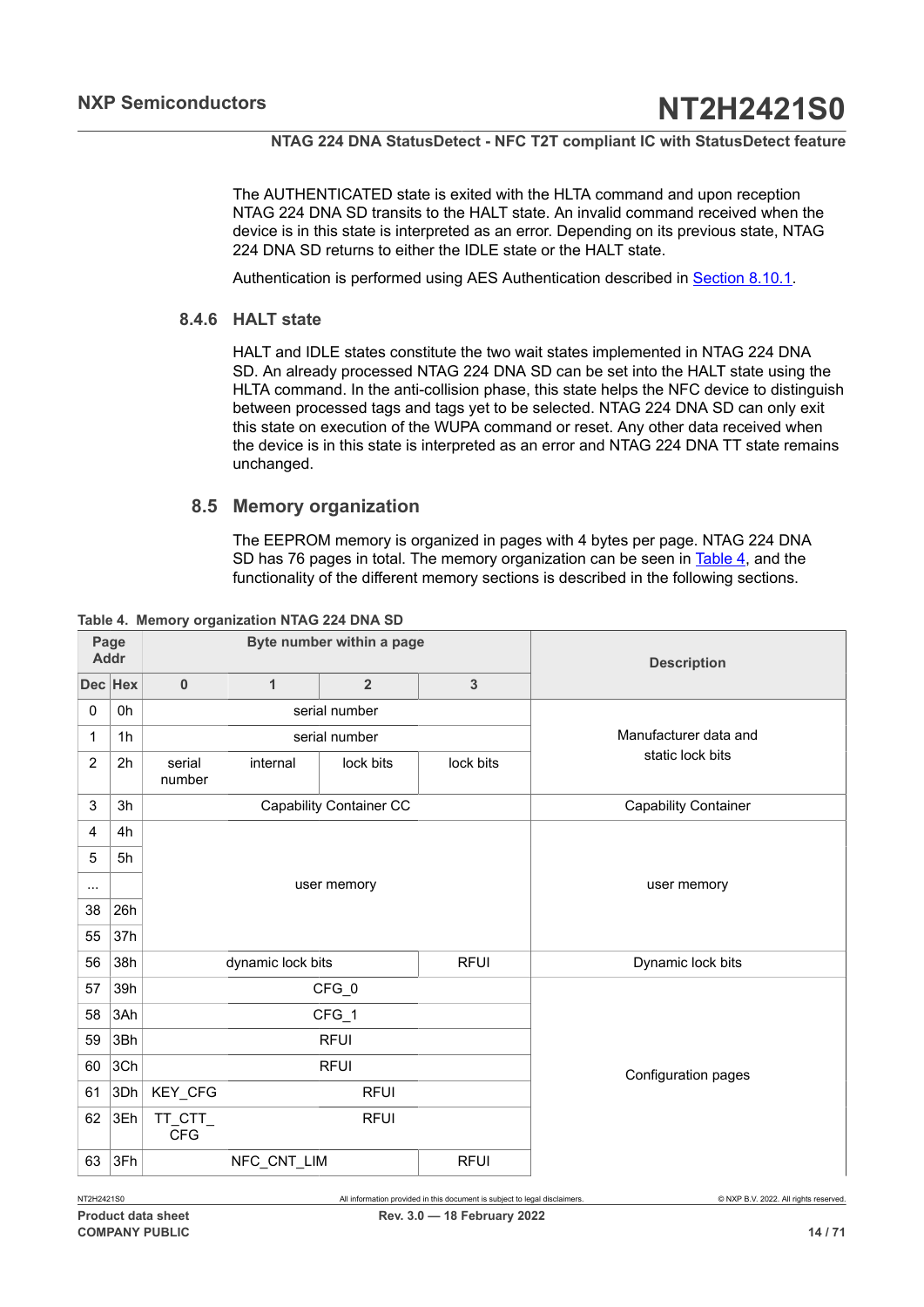The AUTHENTICATED state is exited with the HLTA command and upon reception NTAG 224 DNA SD transits to the HALT state. An invalid command received when the device is in this state is interpreted as an error. Depending on its previous state, NTAG 224 DNA SD returns to either the IDLE state or the HALT state.

<span id="page-13-1"></span>Authentication is performed using AES Authentication described in [Section 8.10.1](#page-32-0).

## **8.4.6 HALT state**

HALT and IDLE states constitute the two wait states implemented in NTAG 224 DNA SD. An already processed NTAG 224 DNA SD can be set into the HALT state using the HLTA command. In the anti-collision phase, this state helps the NFC device to distinguish between processed tags and tags yet to be selected. NTAG 224 DNA SD can only exit this state on execution of the WUPA command or reset. Any other data received when the device is in this state is interpreted as an error and NTAG 224 DNA TT state remains unchanged.

## **8.5 Memory organization**

<span id="page-13-2"></span><span id="page-13-0"></span>The EEPROM memory is organized in pages with 4 bytes per page. NTAG 224 DNA SD has 76 pages in total. The memory organization can be seen in [Table](#page-13-0) 4, and the functionality of the different memory sections is described in the following sections.

| Page<br><b>Addr</b> |                |                                | Byte number within a page |                | <b>Description</b> |                             |  |  |
|---------------------|----------------|--------------------------------|---------------------------|----------------|--------------------|-----------------------------|--|--|
|                     | Dec Hex        | $\bf{0}$                       | $\mathbf{1}$              | $\overline{2}$ | $\overline{3}$     |                             |  |  |
| $\mathbf 0$         | 0h             |                                |                           | serial number  |                    |                             |  |  |
| 1                   | 1 <sub>h</sub> |                                |                           | serial number  |                    | Manufacturer data and       |  |  |
| $\overline{2}$      | 2 <sub>h</sub> | serial<br>number               | internal                  | lock bits      | lock bits          | static lock bits            |  |  |
| 3                   | 3h             | <b>Capability Container CC</b> |                           |                |                    | <b>Capability Container</b> |  |  |
| $\overline{4}$      | 4h             |                                |                           |                |                    |                             |  |  |
| 5                   | 5h             |                                |                           |                |                    |                             |  |  |
| $\cdots$            |                |                                |                           | user memory    |                    | user memory                 |  |  |
| 38                  | 26h            |                                |                           |                |                    |                             |  |  |
| 55                  | 37h            |                                |                           |                |                    |                             |  |  |
| 56                  | 38h            |                                | dynamic lock bits         |                | <b>RFUI</b>        | Dynamic lock bits           |  |  |
| 57                  | 39h            |                                |                           | CFG_0          |                    |                             |  |  |
| 58                  | 3Ah            |                                |                           | CFG_1          |                    |                             |  |  |
| 59                  | 3Bh            |                                |                           | <b>RFUI</b>    |                    |                             |  |  |
| 60                  | 3Ch            | <b>RFUI</b>                    |                           |                |                    | Configuration pages         |  |  |
| 61                  | 3Dh            | KEY_CFG<br><b>RFUI</b>         |                           |                |                    |                             |  |  |
| 62                  | 3Eh            | TT_CTT_<br><b>CFG</b>          |                           | <b>RFUI</b>    |                    |                             |  |  |
| 63                  | 3Fh            |                                | NFC_CNT_LIM               |                | <b>RFUI</b>        |                             |  |  |

**Table 4. Memory organization NTAG 224 DNA SD**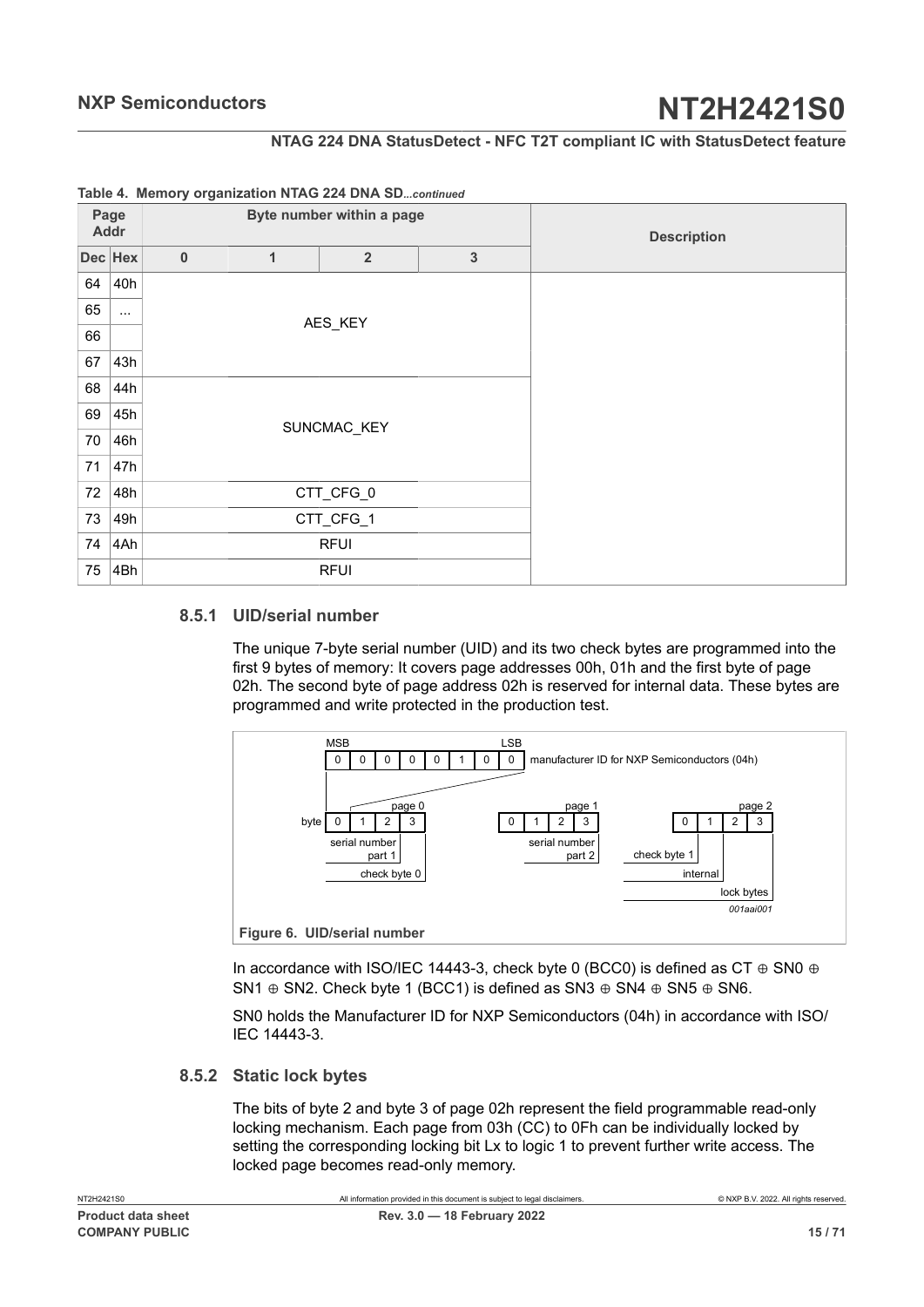## **NTAG 224 DNA StatusDetect - NFC T2T compliant IC with StatusDetect feature**

| Page<br><b>Addr</b> |          | ------ -- --- <i>------</i> -- <i>g-</i> -------- |              | Byte number within a page | <b>Description</b> |  |
|---------------------|----------|---------------------------------------------------|--------------|---------------------------|--------------------|--|
|                     | Dec Hex  | $\pmb{0}$                                         | $\mathbf{1}$ | $\overline{2}$            |                    |  |
| 64                  | 40h      |                                                   |              |                           |                    |  |
| 65                  | $\cdots$ |                                                   |              |                           |                    |  |
| 66                  |          |                                                   |              | AES_KEY                   |                    |  |
| 67                  | 43h      |                                                   |              |                           |                    |  |
| 68                  | 44h      |                                                   |              |                           |                    |  |
| 69                  | 45h      |                                                   |              |                           |                    |  |
| 70                  | 46h      |                                                   |              | SUNCMAC_KEY               |                    |  |
| 71                  | 47h      |                                                   |              |                           |                    |  |
| 72                  | 48h      |                                                   |              | CTT_CFG_0                 |                    |  |
| 73                  | 49h      |                                                   |              | CTT_CFG_1                 |                    |  |
| 74                  | 4Ah      |                                                   |              | <b>RFUI</b>               |                    |  |
| 75                  | 4Bh      |                                                   |              | <b>RFUI</b>               |                    |  |

### **Table 4. Memory organization NTAG 224 DNA SD***...continued*

### **8.5.1 UID/serial number**

<span id="page-14-0"></span>The unique 7-byte serial number (UID) and its two check bytes are programmed into the first 9 bytes of memory: It covers page addresses 00h, 01h and the first byte of page 02h. The second byte of page address 02h is reserved for internal data. These bytes are programmed and write protected in the production test.

<span id="page-14-1"></span>

In accordance with ISO/IEC 14443-3, check byte 0 (BCC0) is defined as CT ⊕ SN0 ⊕ SN1  $\oplus$  SN2. Check byte 1 (BCC1) is defined as SN3  $\oplus$  SN4  $\oplus$  SN5  $\oplus$  SN6.

SN0 holds the Manufacturer ID for NXP Semiconductors (04h) in accordance with ISO/ IEC 14443-3.

#### **8.5.2 Static lock bytes**

<span id="page-14-2"></span>The bits of byte 2 and byte 3 of page 02h represent the field programmable read-only locking mechanism. Each page from 03h (CC) to 0Fh can be individually locked by setting the corresponding locking bit Lx to logic 1 to prevent further write access. The locked page becomes read-only memory.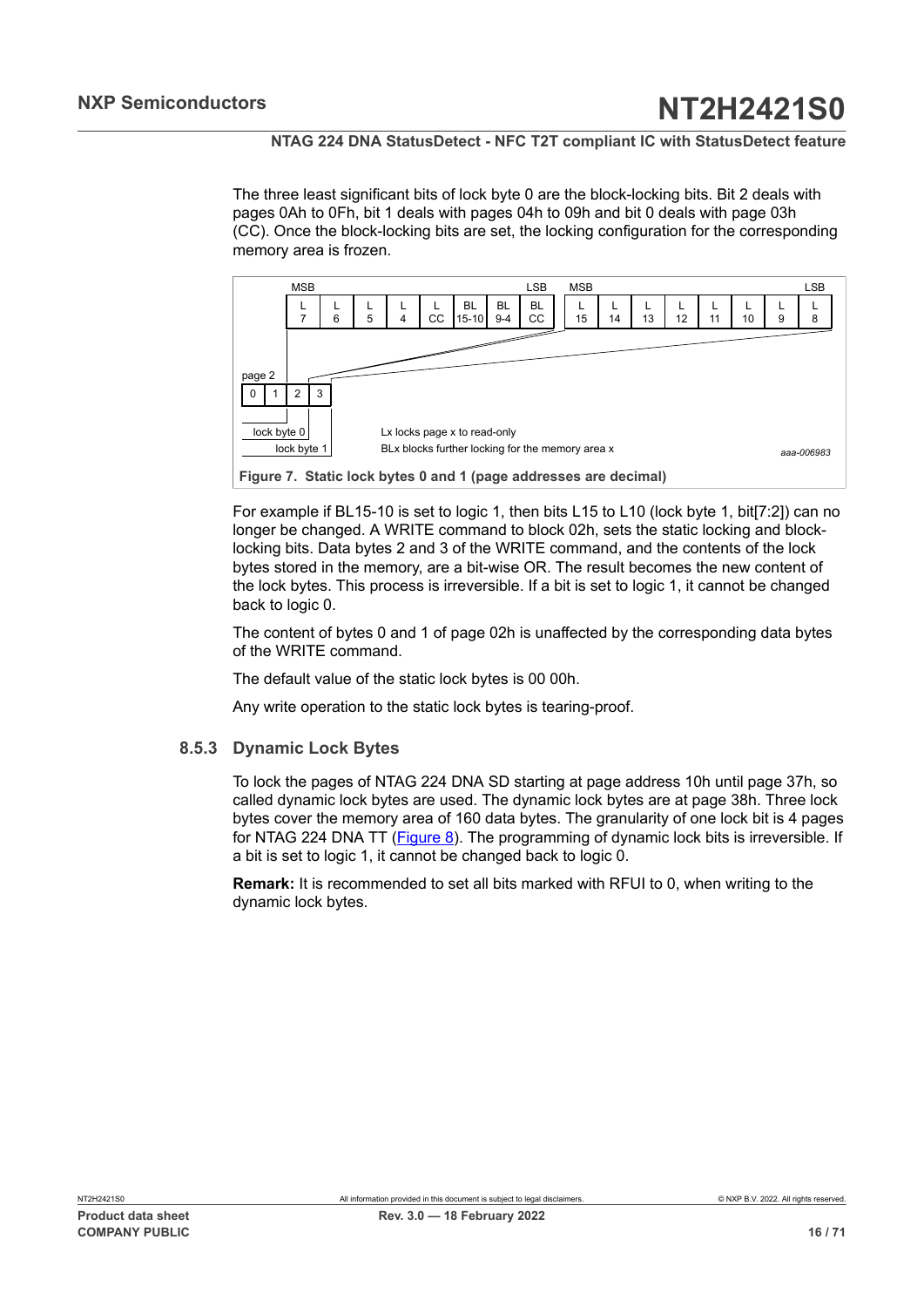The three least significant bits of lock byte 0 are the block-locking bits. Bit 2 deals with pages 0Ah to 0Fh, bit 1 deals with pages 04h to 09h and bit 0 deals with page 03h (CC). Once the block-locking bits are set, the locking configuration for the corresponding memory area is frozen.

<span id="page-15-0"></span>

For example if BL15-10 is set to logic 1, then bits L15 to L10 (lock byte 1, bit[7:2]) can no longer be changed. A WRITE command to block 02h, sets the static locking and blocklocking bits. Data bytes 2 and 3 of the WRITE command, and the contents of the lock bytes stored in the memory, are a bit-wise OR. The result becomes the new content of the lock bytes. This process is irreversible. If a bit is set to logic 1, it cannot be changed back to logic 0.

The content of bytes 0 and 1 of page 02h is unaffected by the corresponding data bytes of the WRITE command.

The default value of the static lock bytes is 00 00h.

<span id="page-15-1"></span>Any write operation to the static lock bytes is tearing-proof.

## **8.5.3 Dynamic Lock Bytes**

To lock the pages of NTAG 224 DNA SD starting at page address 10h until page 37h, so called dynamic lock bytes are used. The dynamic lock bytes are at page 38h. Three lock bytes cover the memory area of 160 data bytes. The granularity of one lock bit is 4 pages for NTAG 224 DNA TT ([Figure 8](#page-16-0)). The programming of dynamic lock bits is irreversible. If a bit is set to logic 1, it cannot be changed back to logic 0.

**Remark:** It is recommended to set all bits marked with RFUI to 0, when writing to the dynamic lock bytes.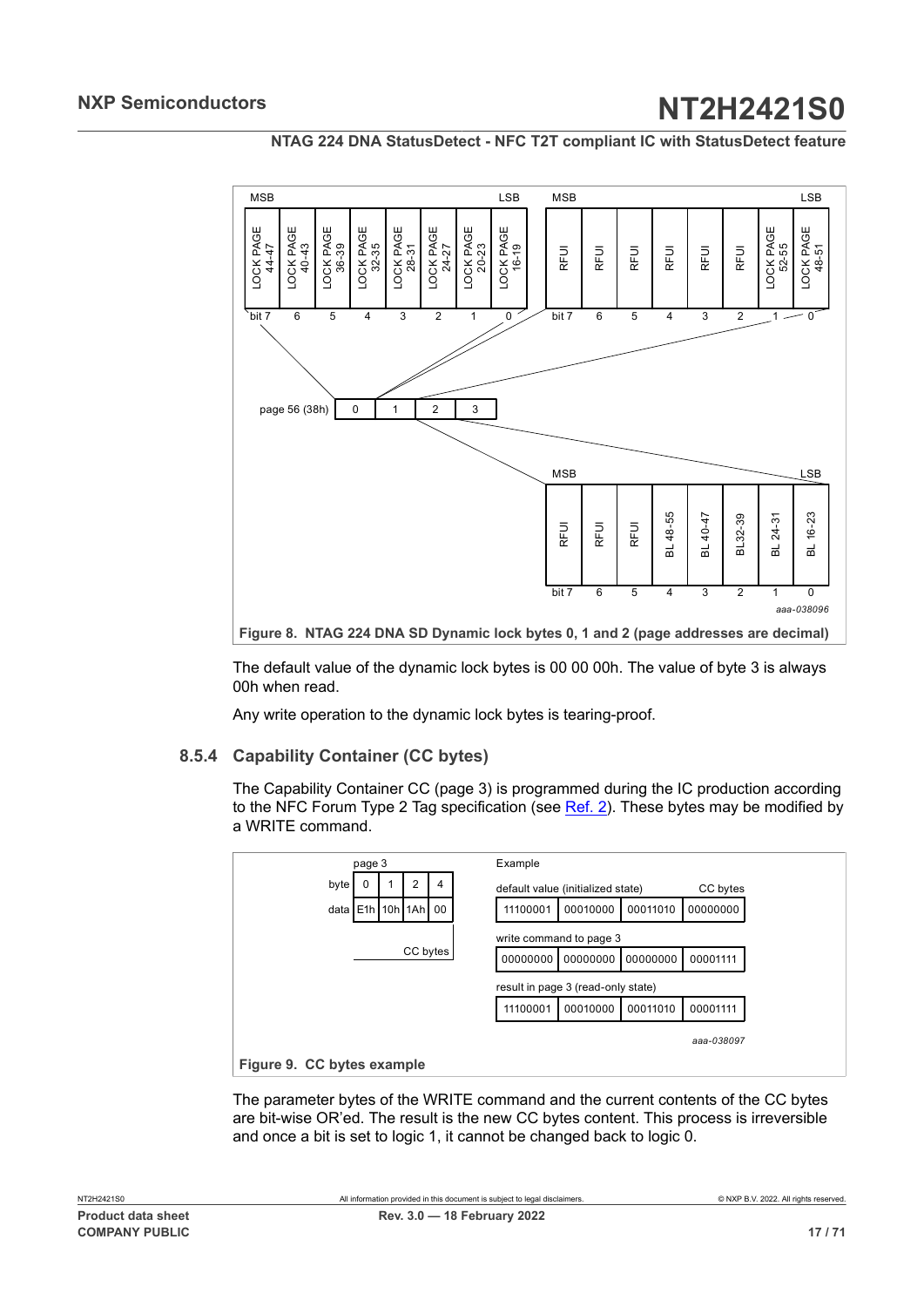**NTAG 224 DNA StatusDetect - NFC T2T compliant IC with StatusDetect feature**

<span id="page-16-0"></span>

The default value of the dynamic lock bytes is 00 00 00h. The value of byte 3 is always 00h when read.

<span id="page-16-2"></span>Any write operation to the dynamic lock bytes is tearing-proof.

## **8.5.4 Capability Container (CC bytes)**

The Capability Container CC (page 3) is programmed during the IC production according to the NFC Forum Type 2 Tag specification (see [Ref. 2](#page-63-1)). These bytes may be modified by a WRITE command.

<span id="page-16-1"></span>

The parameter bytes of the WRITE command and the current contents of the CC bytes are bit-wise OR'ed. The result is the new CC bytes content. This process is irreversible and once a bit is set to logic 1, it cannot be changed back to logic 0.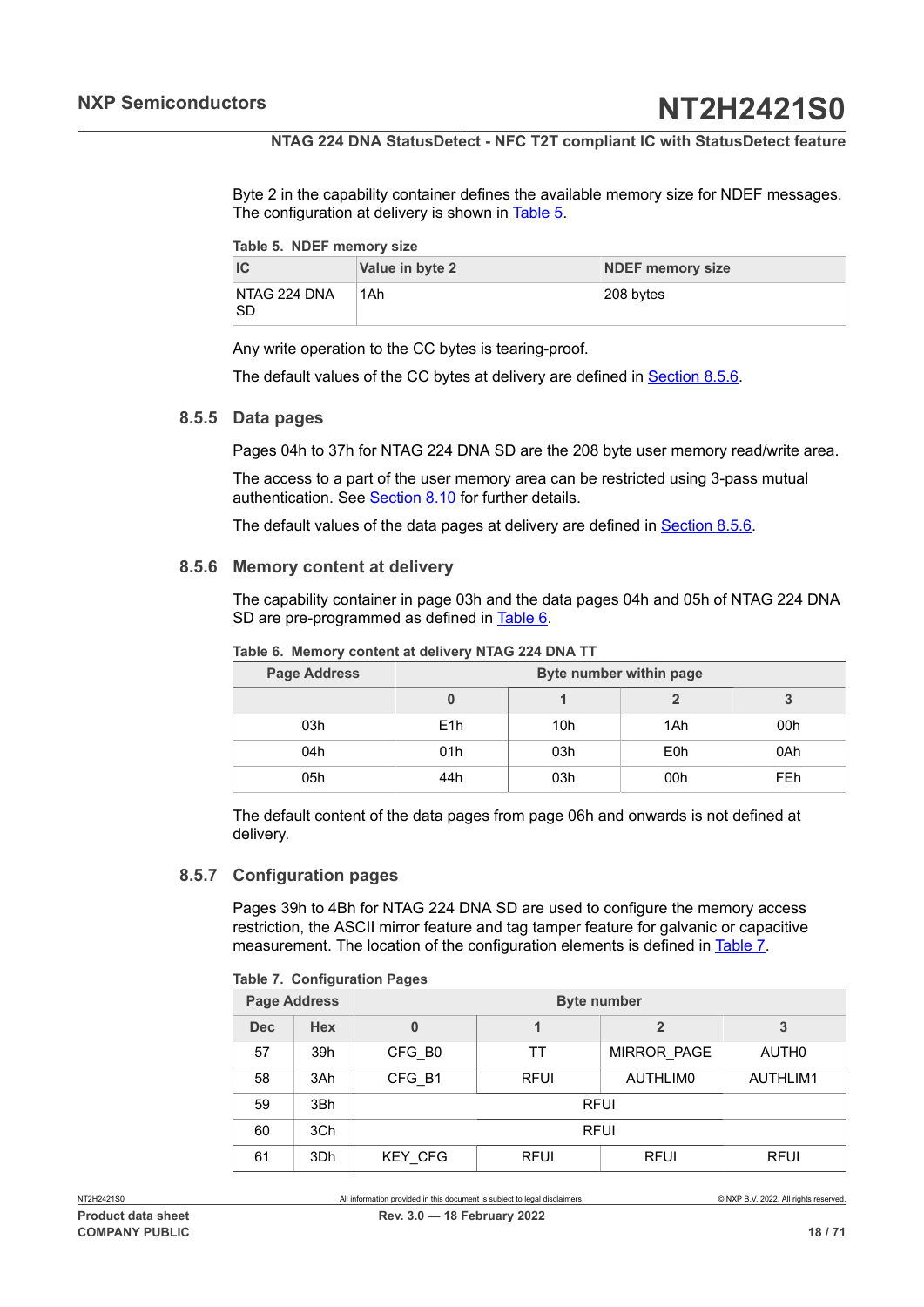Byte 2 in the capability container defines the available memory size for NDEF messages. The configuration at delivery is shown in [Table](#page-17-0) 5.

<span id="page-17-0"></span>

|  |  | Table 5. NDEF memory size |  |
|--|--|---------------------------|--|
|--|--|---------------------------|--|

|                     | Value in byte 2 | <b>NDEF memory size</b> |
|---------------------|-----------------|-------------------------|
| NTAG 224 DNA<br>'SD | 1Ah             | 208 bytes               |

Any write operation to the CC bytes is tearing-proof.

<span id="page-17-5"></span>The default values of the CC bytes at delivery are defined in [Section 8.5.6](#page-17-1).

#### **8.5.5 Data pages**

Pages 04h to 37h for NTAG 224 DNA SD are the 208 byte user memory read/write area.

The access to a part of the user memory area can be restricted using 3-pass mutual authentication. See [Section 8.10](#page-31-0) for further details.

<span id="page-17-1"></span>The default values of the data pages at delivery are defined in [Section 8.5.6](#page-17-1).

#### **8.5.6 Memory content at delivery**

The capability container in page 03h and the data pages 04h and 05h of NTAG 224 DNA SD are pre-programmed as defined in [Table](#page-17-2) 6.

| <b>Page Address</b> | Byte number within page |     |                  |            |  |
|---------------------|-------------------------|-----|------------------|------------|--|
|                     |                         |     |                  |            |  |
| 03h                 | E <sub>1</sub> h        | 10h | 1Ah              | 00h        |  |
| 04h                 | 01h                     | 03h | E <sub>0</sub> h | 0Ah        |  |
| 05h                 | 44h                     | 03h | 00h              | <b>FEh</b> |  |

<span id="page-17-2"></span>**Table 6. Memory content at delivery NTAG 224 DNA TT**

The default content of the data pages from page 06h and onwards is not defined at delivery.

#### **8.5.7 Configuration pages**

<span id="page-17-4"></span>Pages 39h to 4Bh for NTAG 224 DNA SD are used to configure the memory access restriction, the ASCII mirror feature and tag tamper feature for galvanic or capacitive measurement. The location of the configuration elements is defined in [Table](#page-17-3) 7.

#### <span id="page-17-3"></span>**Table 7. Configuration Pages**

| <b>Page Address</b> |            | <b>Byte number</b> |             |                    |                 |  |  |
|---------------------|------------|--------------------|-------------|--------------------|-----------------|--|--|
| <b>Dec</b>          | <b>Hex</b> | 0                  |             |                    | 3               |  |  |
| 57                  | 39h        | CFG B <sub>0</sub> | TТ          | <b>MIRROR PAGE</b> | AUTH0           |  |  |
| 58                  | 3Ah        | CFG B1             | <b>RFUI</b> | AUTHLIM0           | <b>AUTHLIM1</b> |  |  |
| 59                  | 3Bh        | <b>RFUI</b>        |             |                    |                 |  |  |
| 60                  | 3Ch        | <b>RFUI</b>        |             |                    |                 |  |  |
| 61                  | 3Dh        | <b>KEY CFG</b>     | <b>RFUI</b> | <b>RFUI</b>        | <b>RFUI</b>     |  |  |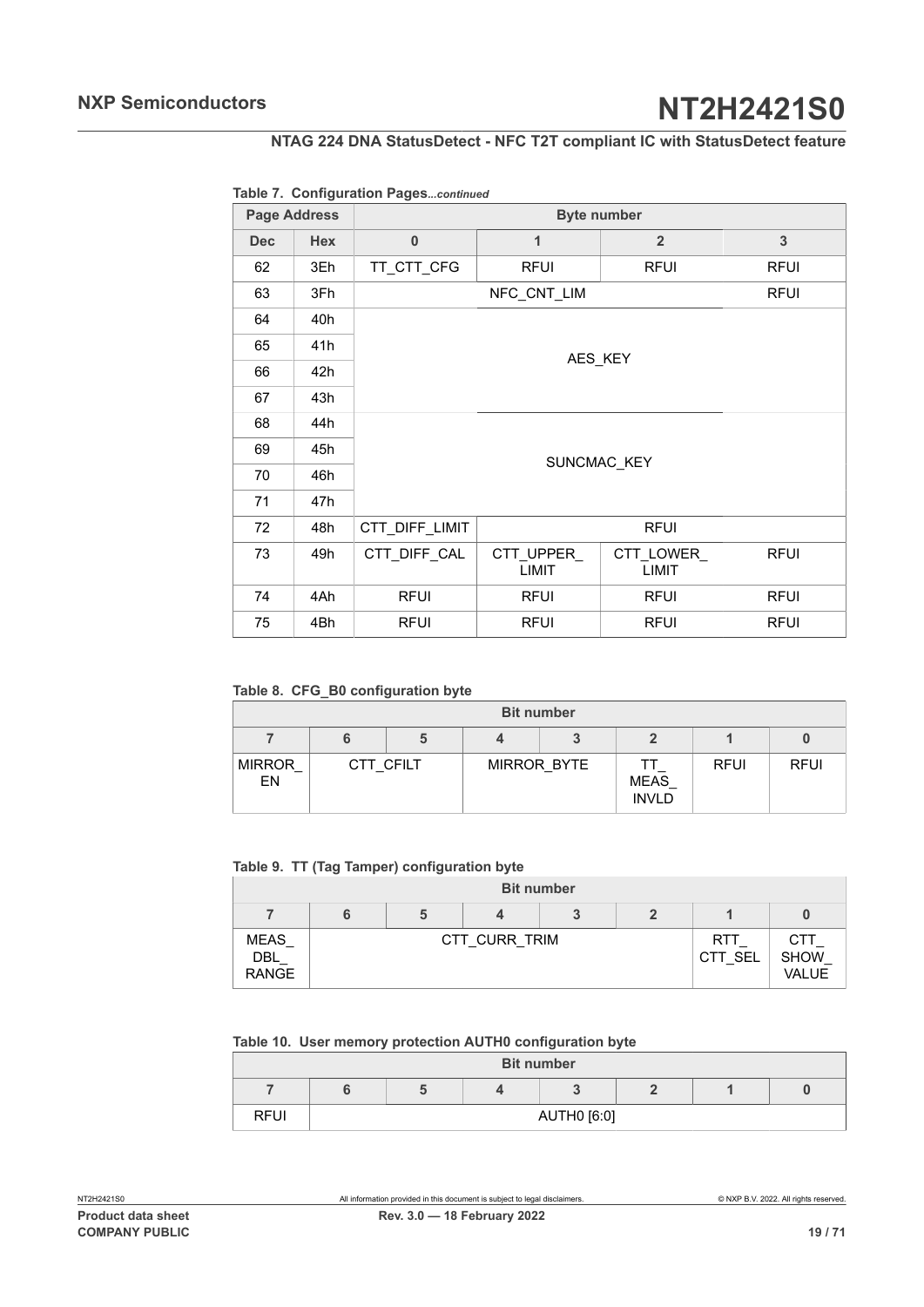## **NTAG 224 DNA StatusDetect - NFC T2T compliant IC with StatusDetect feature**

### **Table 7. Configuration Pages***...continued*

| <b>Page Address</b> |            |                |                           |                           |              |  |
|---------------------|------------|----------------|---------------------------|---------------------------|--------------|--|
| <b>Dec</b>          | <b>Hex</b> | $\bf{0}$       | 1                         | $\overline{2}$            | $\mathbf{3}$ |  |
| 62                  | 3Eh        | TT_CTT_CFG     | <b>RFUI</b>               | <b>RFUI</b>               | <b>RFUI</b>  |  |
| 63                  | 3Fh        |                | NFC_CNT_LIM               |                           | <b>RFUI</b>  |  |
| 64                  | 40h        |                |                           |                           |              |  |
| 65                  | 41h        |                |                           | AES KEY                   |              |  |
| 66                  | 42h        |                |                           |                           |              |  |
| 67                  | 43h        |                |                           |                           |              |  |
| 68                  | 44h        |                |                           |                           |              |  |
| 69                  | 45h        |                |                           | SUNCMAC KEY               |              |  |
| 70                  | 46h        |                |                           |                           |              |  |
| 71                  | 47h        |                |                           |                           |              |  |
| 72                  | 48h        | CTT_DIFF_LIMIT |                           | <b>RFUI</b>               |              |  |
| 73                  | 49h        | CTT DIFF CAL   | CTT UPPER<br><b>LIMIT</b> | CTT_LOWER<br><b>LIMIT</b> | <b>RFUI</b>  |  |
| 74                  | 4Ah        | <b>RFUI</b>    | <b>RFUI</b>               | <b>RFUI</b>               | <b>RFUI</b>  |  |
| 75                  | 4Bh        | <b>RFUI</b>    | <b>RFUI</b>               | <b>RFUI</b>               | <b>RFUI</b>  |  |

<span id="page-18-0"></span>**Table 8. CFG\_B0 configuration byte**

| <b>Bit number</b>   |           |  |  |             |                             |             |             |  |  |
|---------------------|-----------|--|--|-------------|-----------------------------|-------------|-------------|--|--|
|                     |           |  |  |             |                             |             |             |  |  |
| <b>MIRROR</b><br>EN | CTT CFILT |  |  | MIRROR BYTE | <b>MEAS</b><br><b>INVLD</b> | <b>RFUI</b> | <b>RFUI</b> |  |  |

<span id="page-18-1"></span>**Table 9. TT (Tag Tamper) configuration byte**

|                                    | <b>Bit number</b> |  |               |  |  |                       |                                    |
|------------------------------------|-------------------|--|---------------|--|--|-----------------------|------------------------------------|
|                                    |                   |  |               |  |  |                       |                                    |
| <b>MEAS</b><br>DBL<br><b>RANGE</b> |                   |  | CTT CURR TRIM |  |  | <b>RTT</b><br>CTT SEL | CTT<br><b>SHOW</b><br><b>VALUE</b> |

#### <span id="page-18-2"></span>**Table 10. User memory protection AUTH0 configuration byte**

|             |  | <b>Bit number</b> |  |  |
|-------------|--|-------------------|--|--|
|             |  |                   |  |  |
| <b>RFUI</b> |  | AUTH0 [6:0]       |  |  |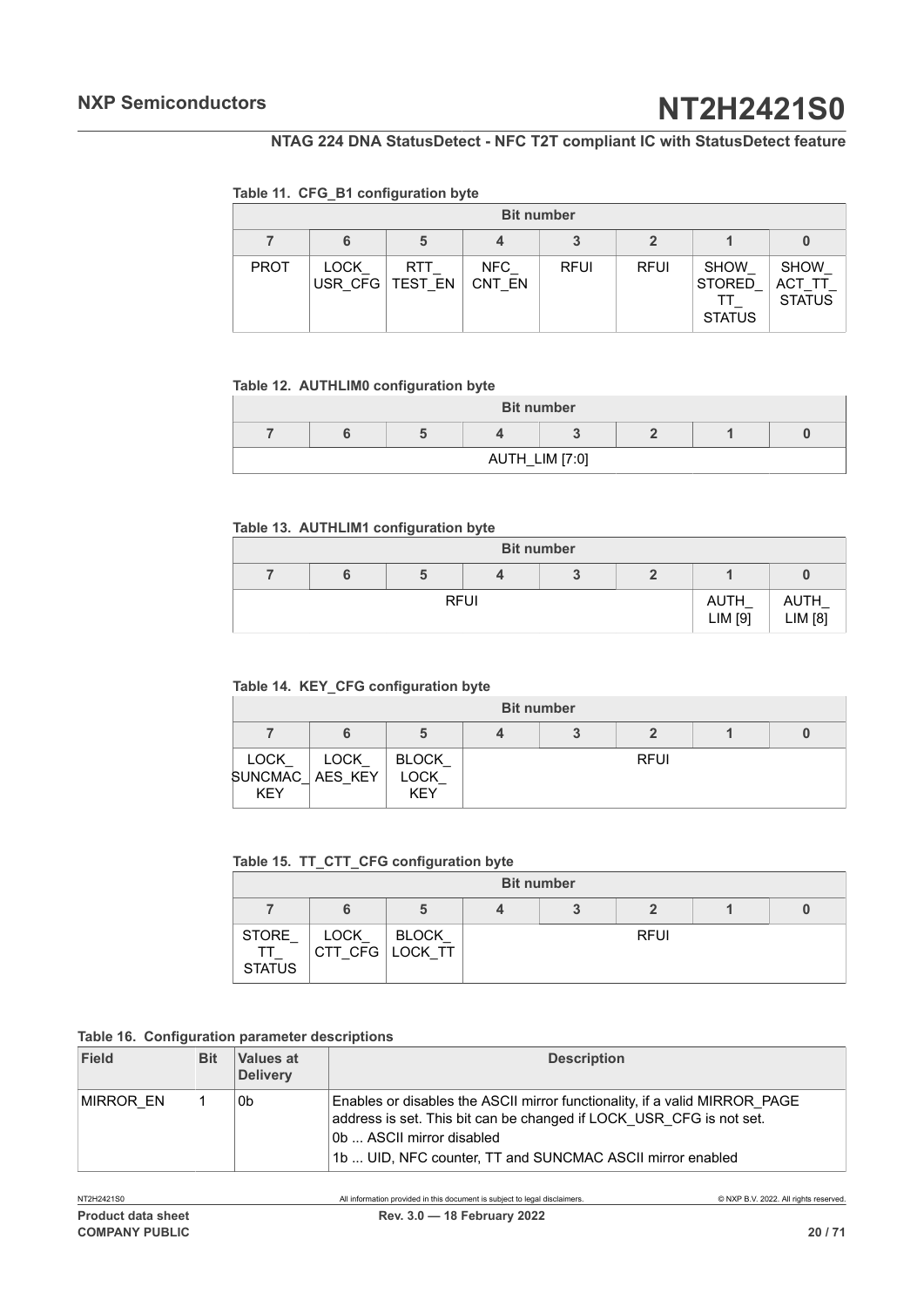#### <span id="page-19-0"></span>**Table 11. CFG\_B1 configuration byte**

|             |                 |                |               | <b>Bit number</b> |             |                                               |                                       |
|-------------|-----------------|----------------|---------------|-------------------|-------------|-----------------------------------------------|---------------------------------------|
|             | 6               | 5              | 4             |                   |             |                                               |                                       |
| <b>PROT</b> | LOCK<br>USR CFG | RTT<br>TEST EN | NFC<br>CNT EN | <b>RFUI</b>       | <b>RFUI</b> | <b>SHOW</b><br><b>STORED</b><br><b>STATUS</b> | <b>SHOW</b><br>ACT T<br><b>STATUS</b> |

#### <span id="page-19-1"></span>**Table 12. AUTHLIM0 configuration byte**

|  |  | <b>Bit number</b> |  |  |  |  |
|--|--|-------------------|--|--|--|--|
|  |  |                   |  |  |  |  |
|  |  | AUTH_LIM [7:0]    |  |  |  |  |

#### <span id="page-19-2"></span>**Table 13. AUTHLIM1 configuration byte**

| <b>Bit number</b> |             |  |  |  |                 |                 |
|-------------------|-------------|--|--|--|-----------------|-----------------|
|                   |             |  |  |  |                 |                 |
|                   | <b>RFUI</b> |  |  |  | AUTH<br>LIM [9] | AUTH<br>LIM [8] |

#### <span id="page-19-3"></span>**Table 14. KEY\_CFG configuration byte**

|                                                |             |                                    | <b>Bit number</b> |             |  |
|------------------------------------------------|-------------|------------------------------------|-------------------|-------------|--|
|                                                |             | b                                  |                   |             |  |
| <b>LOCK</b><br>SUNCMAC   AES KEY<br><b>KEY</b> | <b>LOCK</b> | <b>BLOCK</b><br>LOCK<br><b>KEY</b> |                   | <b>RFUI</b> |  |

### <span id="page-19-4"></span>**Table 15. TT\_CTT\_CFG configuration byte**

<span id="page-19-5"></span>

|                              |      |                                 | <b>Bit number</b> |             |  |
|------------------------------|------|---------------------------------|-------------------|-------------|--|
|                              | 6    | a                               |                   |             |  |
| STORE<br>TТ<br><b>STATUS</b> | LOCK | <b>BLOCK</b><br>CTT CFG LOCK TT |                   | <b>RFUI</b> |  |

#### **Table 16. Configuration parameter descriptions**

| Field     | <b>Bit</b> | Values at<br><b>Delivery</b> | <b>Description</b>                                                                                                                                                                                                                          |
|-----------|------------|------------------------------|---------------------------------------------------------------------------------------------------------------------------------------------------------------------------------------------------------------------------------------------|
| MIRROR EN |            | 0b                           | Enables or disables the ASCII mirror functionality, if a valid MIRROR PAGE<br>address is set. This bit can be changed if LOCK USR CFG is not set.<br>0b  ASCII mirror disabled<br>1b  UID, NFC counter, TT and SUNCMAC ASCII mirror enabled |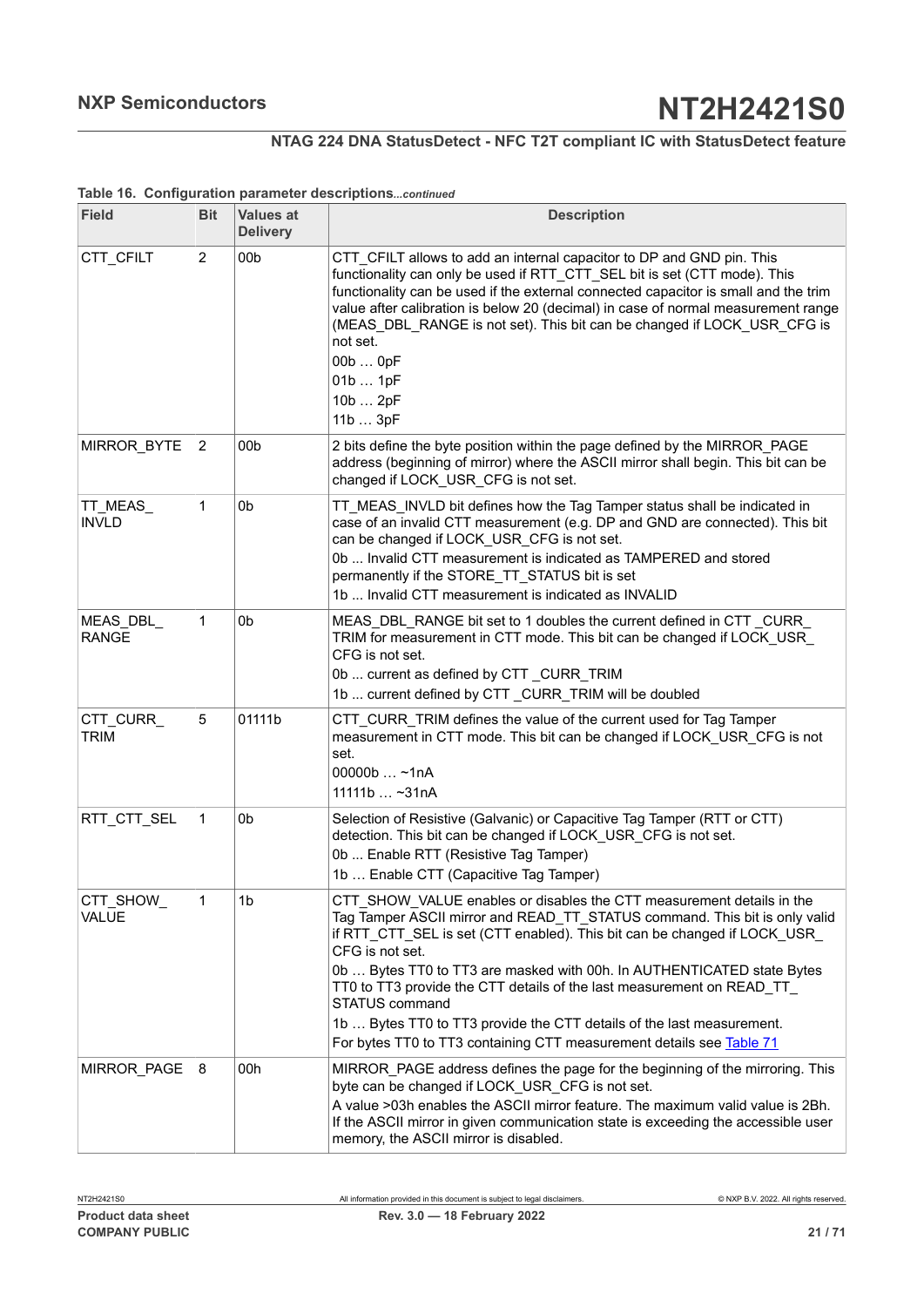## **NTAG 224 DNA StatusDetect - NFC T2T compliant IC with StatusDetect feature**

| <b>Field</b>              | <b>Bit</b>     | <b>Values at</b><br><b>Delivery</b> | <b>Description</b>                                                                                                                                                                                                                                                                                                                                                                                                                                                                                                                                                         |
|---------------------------|----------------|-------------------------------------|----------------------------------------------------------------------------------------------------------------------------------------------------------------------------------------------------------------------------------------------------------------------------------------------------------------------------------------------------------------------------------------------------------------------------------------------------------------------------------------------------------------------------------------------------------------------------|
| CTT CFILT                 | 2              | 00 <sub>b</sub>                     | CTT_CFILT allows to add an internal capacitor to DP and GND pin. This<br>functionality can only be used if RTT CTT SEL bit is set (CTT mode). This<br>functionality can be used if the external connected capacitor is small and the trim<br>value after calibration is below 20 (decimal) in case of normal measurement range<br>(MEAS_DBL_RANGE is not set). This bit can be changed if LOCK_USR_CFG is<br>not set.<br>00b  0pF<br>01b  1pF<br>10b  2pF<br>11b  3pF                                                                                                      |
| MIRROR_BYTE               | $\overline{2}$ | 00b                                 | 2 bits define the byte position within the page defined by the MIRROR_PAGE<br>address (beginning of mirror) where the ASCII mirror shall begin. This bit can be<br>changed if LOCK_USR_CFG is not set.                                                                                                                                                                                                                                                                                                                                                                     |
| TT_MEAS_<br><b>INVLD</b>  | 1              | 0 <sub>b</sub>                      | TT_MEAS_INVLD bit defines how the Tag Tamper status shall be indicated in<br>case of an invalid CTT measurement (e.g. DP and GND are connected). This bit<br>can be changed if LOCK_USR_CFG is not set.<br>0b  Invalid CTT measurement is indicated as TAMPERED and stored<br>permanently if the STORE_TT_STATUS bit is set<br>1b  Invalid CTT measurement is indicated as INVALID                                                                                                                                                                                         |
| MEAS DBL<br><b>RANGE</b>  | 1              | 0b                                  | MEAS DBL RANGE bit set to 1 doubles the current defined in CTT CURR<br>TRIM for measurement in CTT mode. This bit can be changed if LOCK_USR_<br>CFG is not set.<br>0b  current as defined by CTT_CURR_TRIM<br>1b  current defined by CTT _CURR_TRIM will be doubled                                                                                                                                                                                                                                                                                                       |
| CTT_CURR_<br><b>TRIM</b>  | 5              | 01111b                              | CTT CURR TRIM defines the value of the current used for Tag Tamper<br>measurement in CTT mode. This bit can be changed if LOCK_USR_CFG is not<br>set.<br>00000b $~1nA$<br>$111111b$ ~31nA                                                                                                                                                                                                                                                                                                                                                                                  |
| RTT_CTT_SEL               | 1              | 0 <sub>b</sub>                      | Selection of Resistive (Galvanic) or Capacitive Tag Tamper (RTT or CTT)<br>detection. This bit can be changed if LOCK USR CFG is not set.<br>0b  Enable RTT (Resistive Tag Tamper)<br>1b  Enable CTT (Capacitive Tag Tamper)                                                                                                                                                                                                                                                                                                                                               |
| CTT_SHOW_<br><b>VALUE</b> |                | 1 <sub>b</sub>                      | CTT_SHOW_VALUE enables or disables the CTT measurement details in the<br>Tag Tamper ASCII mirror and READ_TT_STATUS command. This bit is only valid<br>if RTT_CTT_SEL is set (CTT enabled). This bit can be changed if LOCK_USR_<br>CFG is not set.<br>0b  Bytes TT0 to TT3 are masked with 00h. In AUTHENTICATED state Bytes<br>TT0 to TT3 provide the CTT details of the last measurement on READ_TT_<br>STATUS command<br>1b  Bytes TT0 to TT3 provide the CTT details of the last measurement.<br>For bytes TT0 to TT3 containing CTT measurement details see Table 71 |
| MIRROR_PAGE               | 8              | 00h                                 | MIRROR_PAGE address defines the page for the beginning of the mirroring. This<br>byte can be changed if LOCK_USR_CFG is not set.<br>A value >03h enables the ASCII mirror feature. The maximum valid value is 2Bh.<br>If the ASCII mirror in given communication state is exceeding the accessible user<br>memory, the ASCII mirror is disabled.                                                                                                                                                                                                                           |

#### **Table 16. Configuration parameter descriptions***...continued*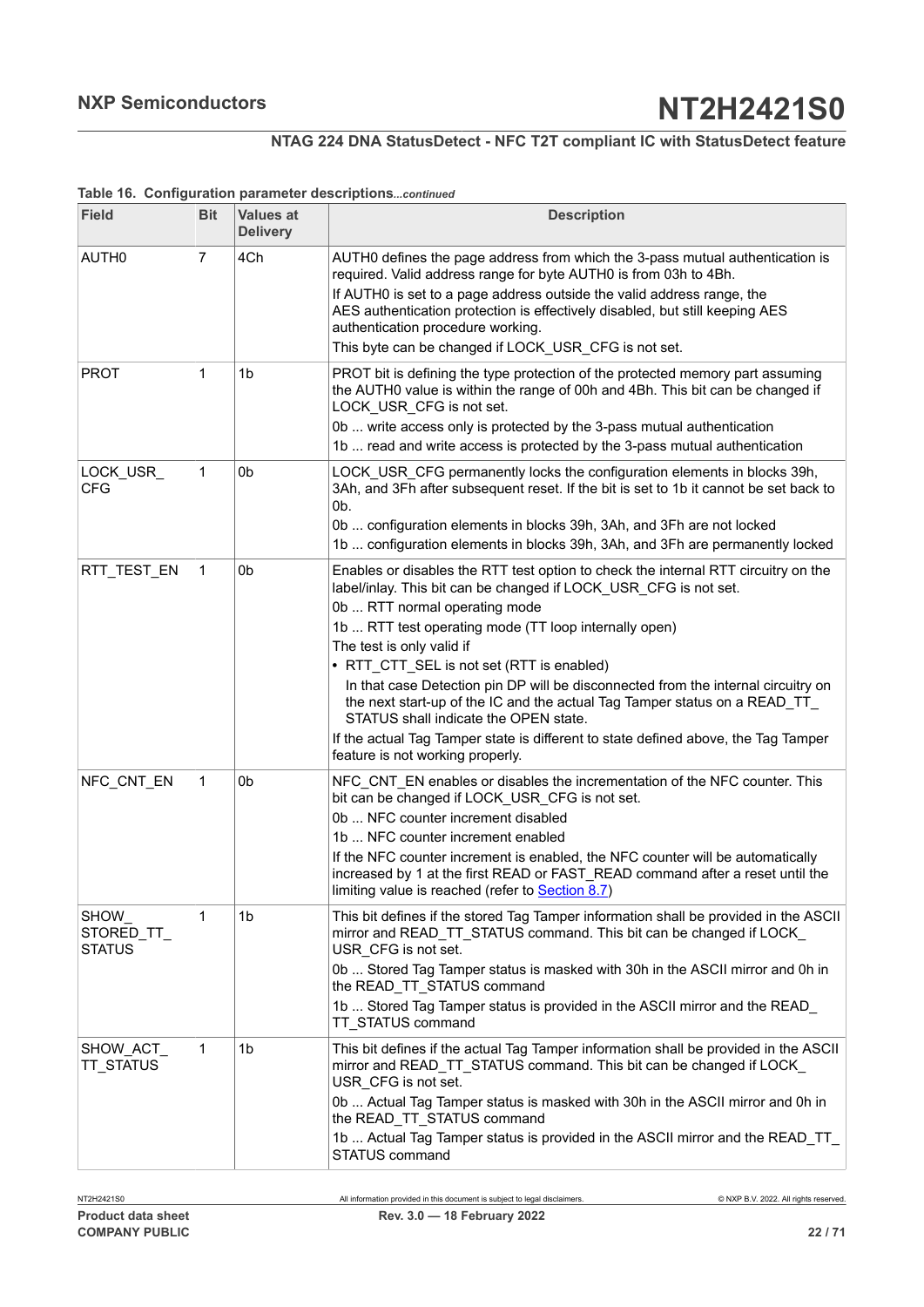## **NTAG 224 DNA StatusDetect - NFC T2T compliant IC with StatusDetect feature**

| <b>Field</b>                         | <b>Bit</b> | <b>Values at</b><br><b>Delivery</b> | <b>Description</b>                                                                                                                                                                                                                                                                                                                                                                                                                                                                                                                                                                                                                                               |
|--------------------------------------|------------|-------------------------------------|------------------------------------------------------------------------------------------------------------------------------------------------------------------------------------------------------------------------------------------------------------------------------------------------------------------------------------------------------------------------------------------------------------------------------------------------------------------------------------------------------------------------------------------------------------------------------------------------------------------------------------------------------------------|
| AUTH <sub>0</sub>                    | 7          | 4Ch                                 | AUTH0 defines the page address from which the 3-pass mutual authentication is<br>required. Valid address range for byte AUTH0 is from 03h to 4Bh.<br>If AUTH0 is set to a page address outside the valid address range, the<br>AES authentication protection is effectively disabled, but still keeping AES<br>authentication procedure working.<br>This byte can be changed if LOCK USR CFG is not set.                                                                                                                                                                                                                                                         |
| <b>PROT</b>                          | 1          | 1 <sub>b</sub>                      | PROT bit is defining the type protection of the protected memory part assuming<br>the AUTH0 value is within the range of 00h and 4Bh. This bit can be changed if<br>LOCK_USR_CFG is not set.<br>0b  write access only is protected by the 3-pass mutual authentication<br>1b  read and write access is protected by the 3-pass mutual authentication                                                                                                                                                                                                                                                                                                             |
| LOCK_USR_<br><b>CFG</b>              | 1          | 0 <sub>b</sub>                      | LOCK_USR_CFG permanently locks the configuration elements in blocks 39h,<br>3Ah, and 3Fh after subsequent reset. If the bit is set to 1b it cannot be set back to<br>0b.<br>0b  configuration elements in blocks 39h, 3Ah, and 3Fh are not locked<br>1b  configuration elements in blocks 39h, 3Ah, and 3Fh are permanently locked                                                                                                                                                                                                                                                                                                                               |
| RTT_TEST_EN                          | 1          | 0b                                  | Enables or disables the RTT test option to check the internal RTT circuitry on the<br>label/inlay. This bit can be changed if LOCK_USR_CFG is not set.<br>0b  RTT normal operating mode<br>1b  RTT test operating mode (TT loop internally open)<br>The test is only valid if<br>• RTT_CTT_SEL is not set (RTT is enabled)<br>In that case Detection pin DP will be disconnected from the internal circuitry on<br>the next start-up of the IC and the actual Tag Tamper status on a READ_TT_<br>STATUS shall indicate the OPEN state.<br>If the actual Tag Tamper state is different to state defined above, the Tag Tamper<br>feature is not working properly. |
| NFC_CNT_EN                           | 1          | 0 <sub>b</sub>                      | NFC_CNT_EN enables or disables the incrementation of the NFC counter. This<br>bit can be changed if LOCK_USR_CFG is not set.<br>0b  NFC counter increment disabled<br>1b  NFC counter increment enabled<br>If the NFC counter increment is enabled, the NFC counter will be automatically<br>increased by 1 at the first READ or FAST_READ command after a reset until the<br>limiting value is reached (refer to <b>Section 8.7)</b>                                                                                                                                                                                                                            |
| SHOW_<br>STORED_TT_<br><b>STATUS</b> | 1          | 1b                                  | This bit defines if the stored Tag Tamper information shall be provided in the ASCII<br>mirror and READ_TT_STATUS command. This bit can be changed if LOCK_<br>USR_CFG is not set.<br>0b  Stored Tag Tamper status is masked with 30h in the ASCII mirror and 0h in<br>the READ_TT_STATUS command<br>1b  Stored Tag Tamper status is provided in the ASCII mirror and the READ<br>TT_STATUS command                                                                                                                                                                                                                                                              |
| SHOW_ACT_<br>TT_STATUS               | 1          | 1b                                  | This bit defines if the actual Tag Tamper information shall be provided in the ASCII<br>mirror and READ_TT_STATUS command. This bit can be changed if LOCK_<br>USR_CFG is not set.<br>0b  Actual Tag Tamper status is masked with 30h in the ASCII mirror and 0h in<br>the READ_TT_STATUS command<br>1b  Actual Tag Tamper status is provided in the ASCII mirror and the READ_TT_<br><b>STATUS command</b>                                                                                                                                                                                                                                                      |

#### **Table 16. Configuration parameter descriptions***...continued*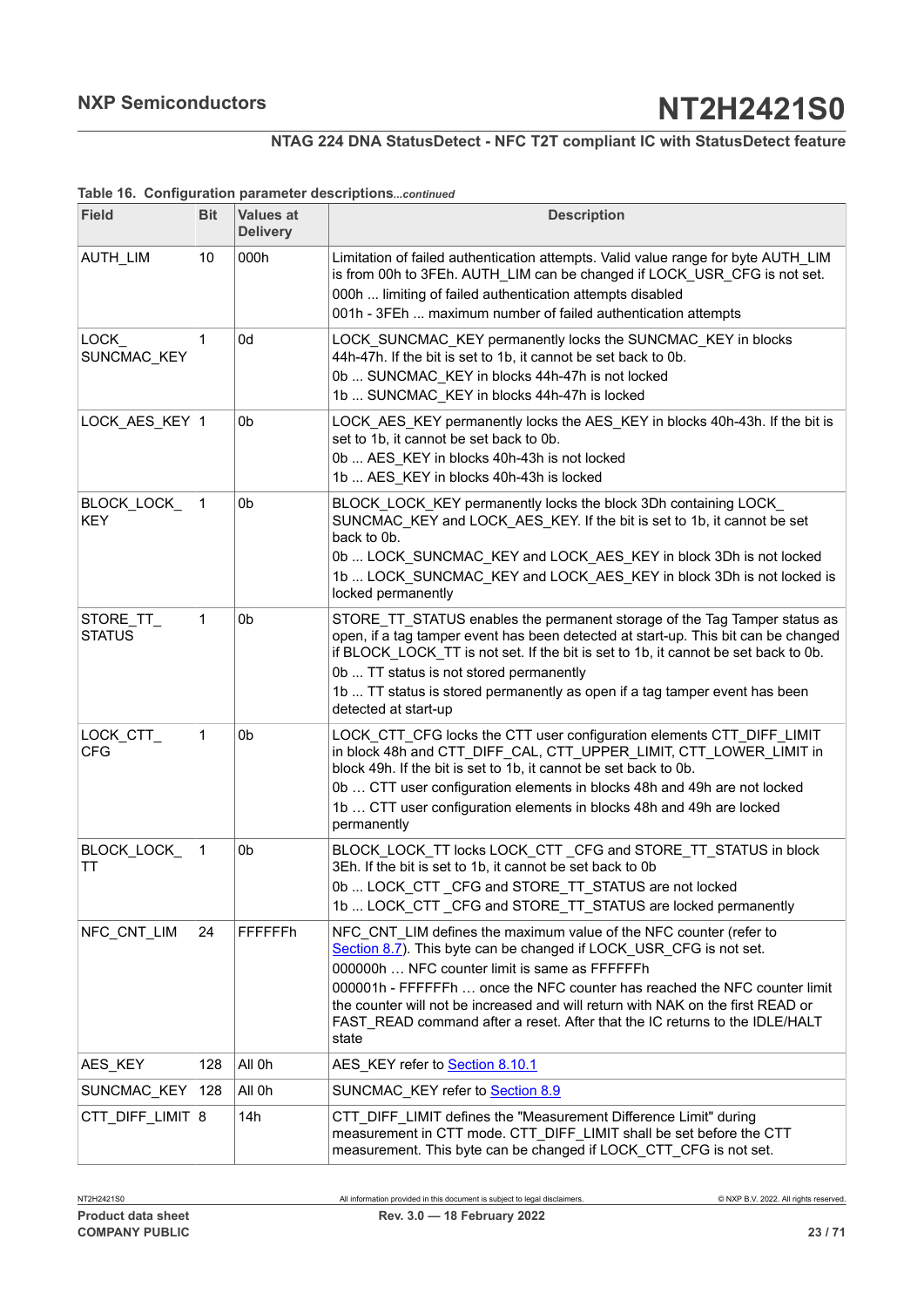## **NTAG 224 DNA StatusDetect - NFC T2T compliant IC with StatusDetect feature**

#### **Table 16. Configuration parameter descriptions***...continued*

| <b>Field</b>               | <b>Bit</b> | <b>Values at</b><br><b>Delivery</b> | <b>Description</b>                                                                                                                                                                                                                                                                                                                                                                                                                                |
|----------------------------|------------|-------------------------------------|---------------------------------------------------------------------------------------------------------------------------------------------------------------------------------------------------------------------------------------------------------------------------------------------------------------------------------------------------------------------------------------------------------------------------------------------------|
| <b>AUTH LIM</b>            | 10         | 000h                                | Limitation of failed authentication attempts. Valid value range for byte AUTH LIM<br>is from 00h to 3FEh. AUTH_LIM can be changed if LOCK_USR_CFG is not set.<br>000h  limiting of failed authentication attempts disabled<br>001h - 3FEh  maximum number of failed authentication attempts                                                                                                                                                       |
| LOCK<br>SUNCMAC_KEY        | 1          | 0d                                  | LOCK_SUNCMAC_KEY permanently locks the SUNCMAC_KEY in blocks<br>44h-47h. If the bit is set to 1b, it cannot be set back to 0b.<br>0b  SUNCMAC_KEY in blocks 44h-47h is not locked<br>1b  SUNCMAC KEY in blocks 44h-47h is locked                                                                                                                                                                                                                  |
| LOCK_AES_KEY  1            |            | 0b                                  | LOCK_AES_KEY permanently locks the AES_KEY in blocks 40h-43h. If the bit is<br>set to 1b, it cannot be set back to 0b.<br>0b  AES_KEY in blocks 40h-43h is not locked<br>1b  AES KEY in blocks 40h-43h is locked                                                                                                                                                                                                                                  |
| BLOCK_LOCK<br><b>KEY</b>   | 1          | 0b                                  | BLOCK_LOCK_KEY permanently locks the block 3Dh containing LOCK_<br>SUNCMAC KEY and LOCK AES KEY. If the bit is set to 1b, it cannot be set<br>back to 0b.<br>0b  LOCK_SUNCMAC_KEY and LOCK_AES_KEY in block 3Dh is not locked<br>1b  LOCK SUNCMAC_KEY and LOCK_AES_KEY in block 3Dh is not locked is<br>locked permanently                                                                                                                        |
| STORE_TT_<br><b>STATUS</b> | 1          | 0b                                  | STORE_TT_STATUS enables the permanent storage of the Tag Tamper status as<br>open, if a tag tamper event has been detected at start-up. This bit can be changed<br>if BLOCK_LOCK_TT is not set. If the bit is set to 1b, it cannot be set back to 0b.<br>0b  TT status is not stored permanently<br>1b  TT status is stored permanently as open if a tag tamper event has been<br>detected at start-up                                            |
| LOCK_CTT_<br><b>CFG</b>    | 1          | 0b                                  | LOCK_CTT_CFG locks the CTT user configuration elements CTT_DIFF_LIMIT<br>in block 48h and CTT_DIFF_CAL, CTT_UPPER_LIMIT, CTT_LOWER_LIMIT in<br>block 49h. If the bit is set to 1b, it cannot be set back to 0b.<br>0b  CTT user configuration elements in blocks 48h and 49h are not locked<br>1b  CTT user configuration elements in blocks 48h and 49h are locked<br>permanently                                                                |
| BLOCK_LOCK_<br>ТT          | 1          | 0b                                  | BLOCK LOCK TT locks LOCK CTT CFG and STORE TT STATUS in block<br>3Eh. If the bit is set to 1b, it cannot be set back to 0b<br>0b  LOCK_CTT_CFG and STORE_TT_STATUS are not locked<br>1b  LOCK_CTT_CFG and STORE_TT_STATUS are locked permanently                                                                                                                                                                                                  |
| NFC_CNT_LIM                | 24         | FFFFFFh                             | NFC CNT LIM defines the maximum value of the NFC counter (refer to<br>Section 8.7). This byte can be changed if LOCK_USR_CFG is not set.<br>000000h  NFC counter limit is same as FFFFFFh<br>000001h - FFFFFFh  once the NFC counter has reached the NFC counter limit<br>the counter will not be increased and will return with NAK on the first READ or<br>FAST READ command after a reset. After that the IC returns to the IDLE/HALT<br>state |
| AES_KEY                    | 128        | All 0h                              | AES KEY refer to Section 8.10.1                                                                                                                                                                                                                                                                                                                                                                                                                   |
| SUNCMAC_KEY                | 128        | All 0h                              | SUNCMAC_KEY refer to Section 8.9                                                                                                                                                                                                                                                                                                                                                                                                                  |
| CTT_DIFF_LIMIT 8           |            | 14h                                 | CTT DIFF LIMIT defines the "Measurement Difference Limit" during<br>measurement in CTT mode. CTT_DIFF_LIMIT shall be set before the CTT<br>measurement. This byte can be changed if LOCK_CTT_CFG is not set.                                                                                                                                                                                                                                      |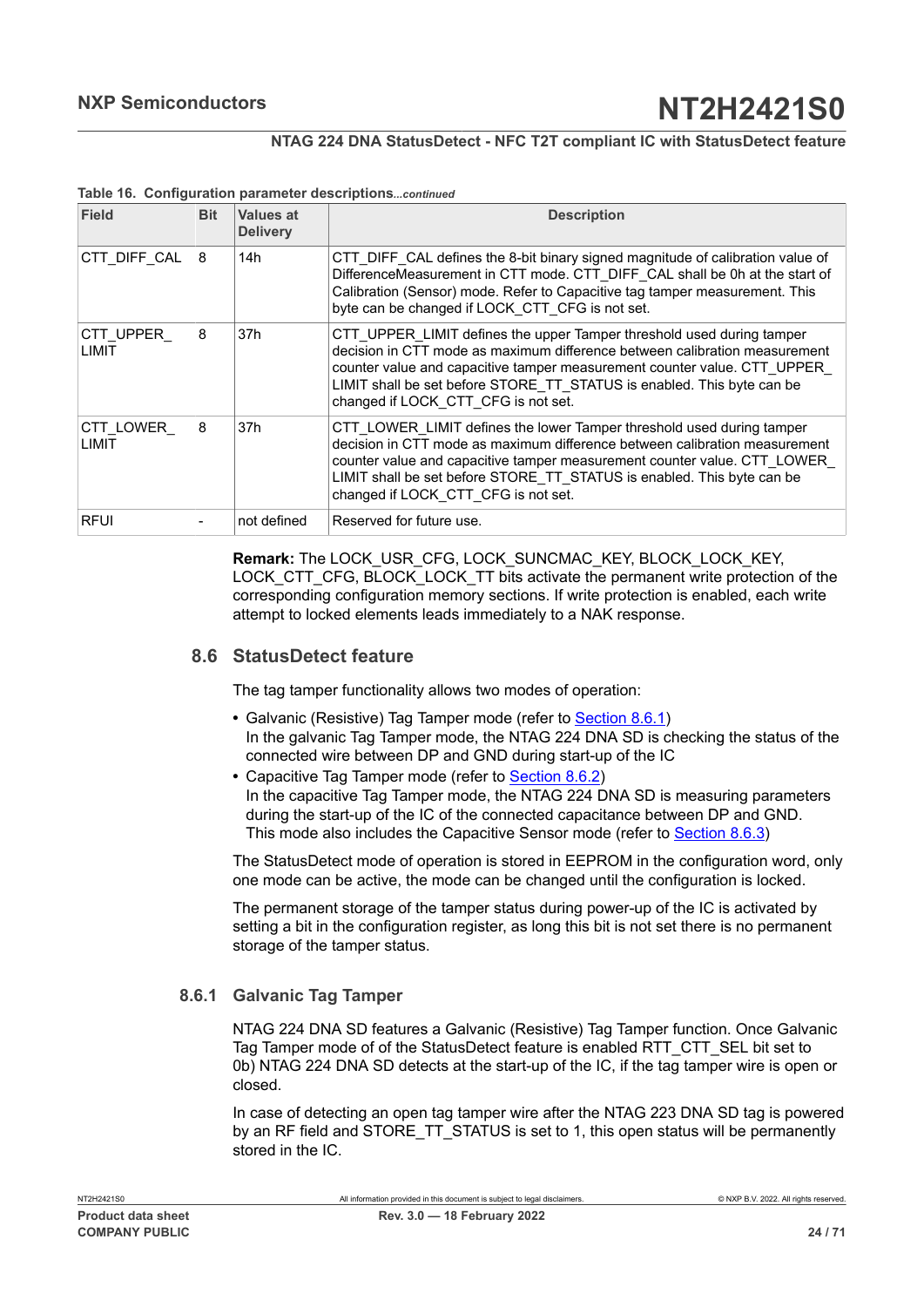## **NTAG 224 DNA StatusDetect - NFC T2T compliant IC with StatusDetect feature**

| Field                      | <b>Bit</b> | Values at<br><b>Delivery</b> | <b>Description</b>                                                                                                                                                                                                                                                                                                                               |
|----------------------------|------------|------------------------------|--------------------------------------------------------------------------------------------------------------------------------------------------------------------------------------------------------------------------------------------------------------------------------------------------------------------------------------------------|
| CTT DIFF CAL               | 8          | 14h                          | CTT DIFF CAL defines the 8-bit binary signed magnitude of calibration value of<br>DifferenceMeasurement in CTT mode. CTT DIFF CAL shall be 0h at the start of<br>Calibration (Sensor) mode. Refer to Capacitive tag tamper measurement. This<br>byte can be changed if LOCK CTT CFG is not set.                                                  |
| CTT UPPER<br>LIMIT         | 8          | 37h                          | CTT UPPER LIMIT defines the upper Tamper threshold used during tamper<br>decision in CTT mode as maximum difference between calibration measurement<br>counter value and capacitive tamper measurement counter value. CTT UPPER<br>LIMIT shall be set before STORE TT STATUS is enabled. This byte can be<br>changed if LOCK CTT CFG is not set. |
| CTT LOWER<br><b>I IMIT</b> | 8          | 37h                          | CTT LOWER LIMIT defines the lower Tamper threshold used during tamper<br>decision in CTT mode as maximum difference between calibration measurement<br>counter value and capacitive tamper measurement counter value. CTT LOWER<br>LIMIT shall be set before STORE TT STATUS is enabled. This byte can be<br>changed if LOCK CTT CFG is not set. |
| <b>RFUI</b>                |            | not defined                  | Reserved for future use.                                                                                                                                                                                                                                                                                                                         |

#### **Table 16. Configuration parameter descriptions***...continued*

**Remark:** The LOCK\_USR\_CFG, LOCK\_SUNCMAC\_KEY, BLOCK\_LOCK\_KEY, LOCK\_CTT\_CFG, BLOCK\_LOCK\_TT bits activate the permanent write protection of the corresponding configuration memory sections. If write protection is enabled, each write attempt to locked elements leads immediately to a NAK response.

## **8.6 StatusDetect feature**

<span id="page-23-1"></span>The tag tamper functionality allows two modes of operation:

- **•** Galvanic (Resistive) Tag Tamper mode (refer to [Section 8.6.1\)](#page-23-0) In the galvanic Tag Tamper mode, the NTAG 224 DNA SD is checking the status of the connected wire between DP and GND during start-up of the IC
- **•** Capacitive Tag Tamper mode (refer to [Section 8.6.2\)](#page-24-0) In the capacitive Tag Tamper mode, the NTAG 224 DNA SD is measuring parameters during the start-up of the IC of the connected capacitance between DP and GND. This mode also includes the Capacitive Sensor mode (refer to [Section 8.6.3\)](#page-26-1)

The StatusDetect mode of operation is stored in EEPROM in the configuration word, only one mode can be active, the mode can be changed until the configuration is locked.

The permanent storage of the tamper status during power-up of the IC is activated by setting a bit in the configuration register, as long this bit is not set there is no permanent storage of the tamper status.

## **8.6.1 Galvanic Tag Tamper**

<span id="page-23-0"></span>NTAG 224 DNA SD features a Galvanic (Resistive) Tag Tamper function. Once Galvanic Tag Tamper mode of of the StatusDetect feature is enabled RTT\_CTT\_SEL bit set to 0b) NTAG 224 DNA SD detects at the start-up of the IC, if the tag tamper wire is open or closed.

In case of detecting an open tag tamper wire after the NTAG 223 DNA SD tag is powered by an RF field and STORE TT\_STATUS is set to 1, this open status will be permanently stored in the IC.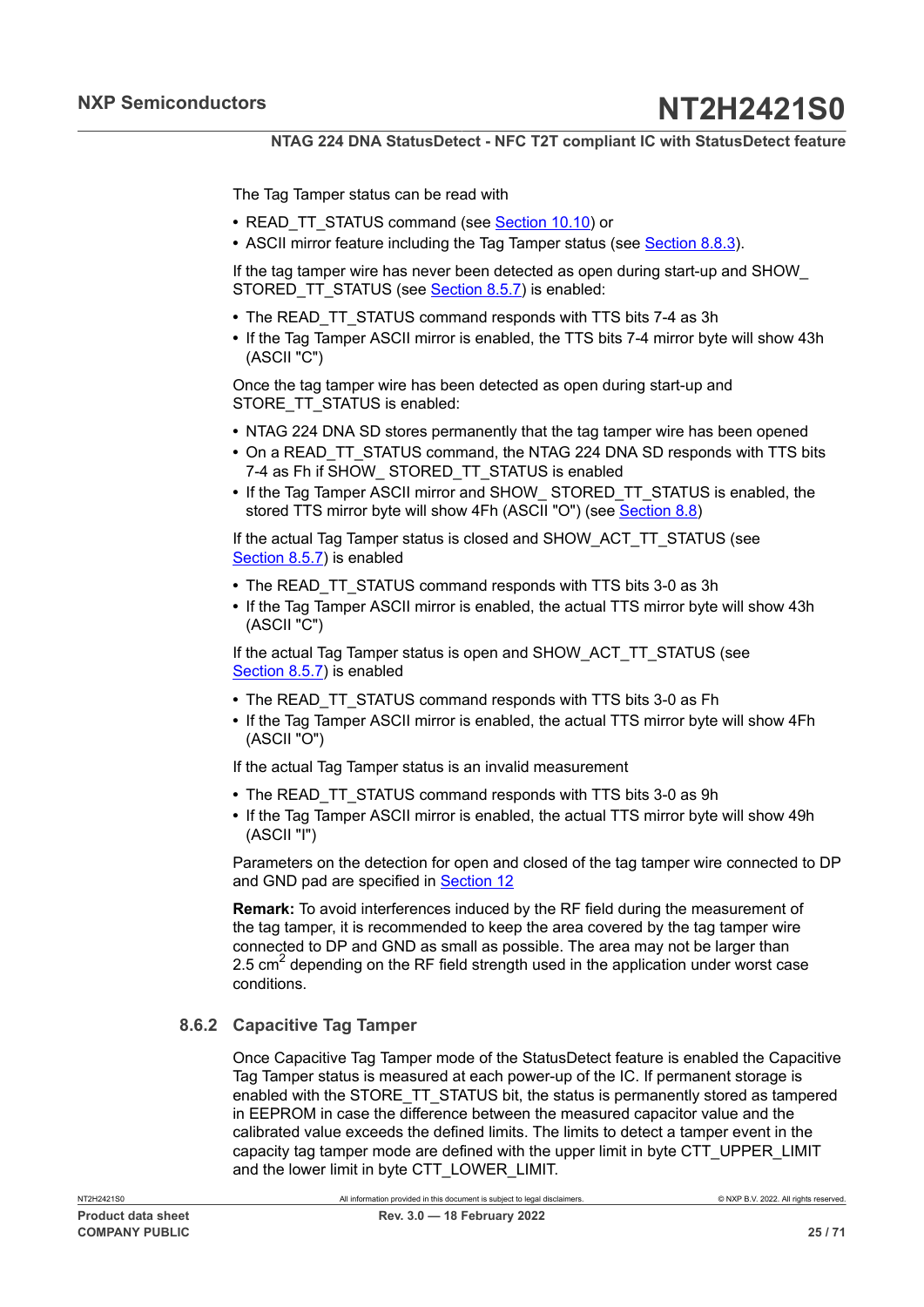The Tag Tamper status can be read with

- READ\_TT\_STATUS command (see [Section 10.10](#page-52-0)) or
- **•** ASCII mirror feature including the Tag Tamper status (see [Section 8.8.3\)](#page-28-0).

If the tag tamper wire has never been detected as open during start-up and SHOW\_ STORED TT STATUS (see [Section 8.5.7](#page-17-4)) is enabled:

- **•** The READ\_TT\_STATUS command responds with TTS bits 7-4 as 3h
- **•** If the Tag Tamper ASCII mirror is enabled, the TTS bits 7-4 mirror byte will show 43h (ASCII "C")

Once the tag tamper wire has been detected as open during start-up and STORE TT\_STATUS is enabled:

- **•** NTAG 224 DNA SD stores permanently that the tag tamper wire has been opened
- **•** On a READ\_TT\_STATUS command, the NTAG 224 DNA SD responds with TTS bits 7-4 as Fh if SHOW\_ STORED\_TT\_STATUS is enabled
- **•** If the Tag Tamper ASCII mirror and SHOW\_ STORED\_TT\_STATUS is enabled, the stored TTS mirror byte will show 4Fh (ASCII "O") (see [Section 8.8](#page-27-0))

If the actual Tag Tamper status is closed and SHOW\_ACT\_TT\_STATUS (see [Section 8.5.7](#page-17-4)) is enabled

- **•** The READ\_TT\_STATUS command responds with TTS bits 3-0 as 3h
- **•** If the Tag Tamper ASCII mirror is enabled, the actual TTS mirror byte will show 43h (ASCII "C")

If the actual Tag Tamper status is open and SHOW\_ACT\_TT\_STATUS (see [Section 8.5.7](#page-17-4)) is enabled

- **•** The READ\_TT\_STATUS command responds with TTS bits 3-0 as Fh
- **•** If the Tag Tamper ASCII mirror is enabled, the actual TTS mirror byte will show 4Fh (ASCII "O")

If the actual Tag Tamper status is an invalid measurement

- **•** The READ\_TT\_STATUS command responds with TTS bits 3-0 as 9h
- **•** If the Tag Tamper ASCII mirror is enabled, the actual TTS mirror byte will show 49h (ASCII "I")

Parameters on the detection for open and closed of the tag tamper wire connected to DP and GND pad are specified in [Section 12](#page-56-0)

**Remark:** To avoid interferences induced by the RF field during the measurement of the tag tamper, it is recommended to keep the area covered by the tag tamper wire connected to DP and GND as small as possible. The area may not be larger than 2.5 cm<sup>2</sup> depending on the RF field strength used in the application under worst case conditions.

## **8.6.2 Capacitive Tag Tamper**

<span id="page-24-0"></span>Once Capacitive Tag Tamper mode of the StatusDetect feature is enabled the Capacitive Tag Tamper status is measured at each power-up of the IC. If permanent storage is enabled with the STORE\_TT\_STATUS bit, the status is permanently stored as tampered in EEPROM in case the difference between the measured capacitor value and the calibrated value exceeds the defined limits. The limits to detect a tamper event in the capacity tag tamper mode are defined with the upper limit in byte CTT\_UPPER\_LIMIT and the lower limit in byte CTT\_LOWER\_LIMIT.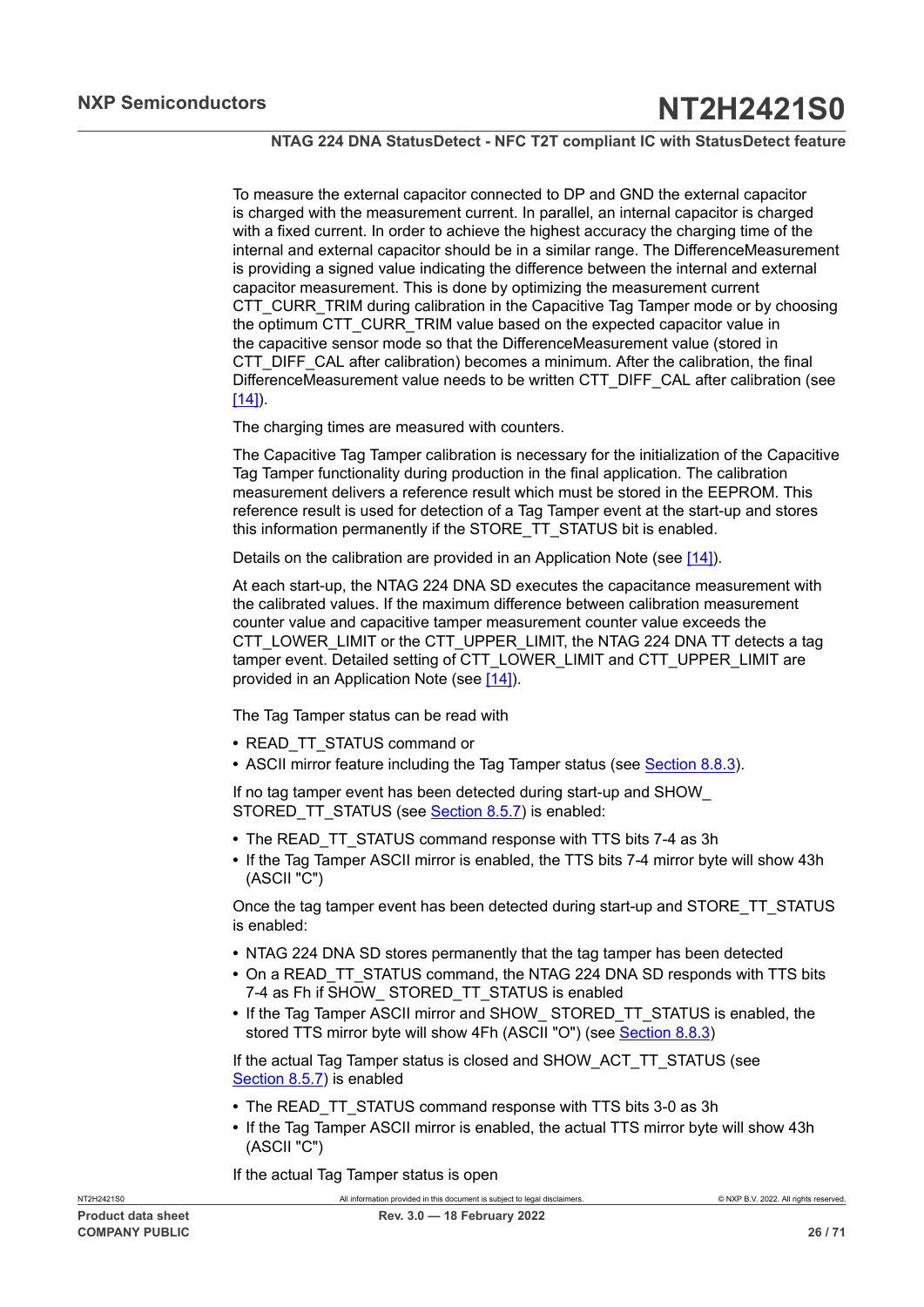To measure the external capacitor connected to DP and GND the external capacitor is charged with the measurement current. In parallel, an internal capacitor is charged with a fixed current. In order to achieve the highest accuracy the charging time of the internal and external capacitor should be in a similar range. The DifferenceMeasurement is providing a signed value indicating the difference between the internal and external capacitor measurement. This is done by optimizing the measurement current CTT\_CURR\_TRIM during calibration in the Capacitive Tag Tamper mode or by choosing the optimum CTT\_CURR\_TRIM value based on the expected capacitor value in the capacitive sensor mode so that the DifferenceMeasurement value (stored in CTT\_DIFF\_CAL after calibration) becomes a minimum. After the calibration, the final DifferenceMeasurement value needs to be written CTT\_DIFF\_CAL after calibration (see  $[14]$ ).

The charging times are measured with counters.

The Capacitive Tag Tamper calibration is necessary for the initialization of the Capacitive Tag Tamper functionality during production in the final application. The calibration measurement delivers a reference result which must be stored in the EEPROM. This reference result is used for detection of a Tag Tamper event at the start-up and stores this information permanently if the STORE\_TT\_STATUS bit is enabled.

Details on the calibration are provided in an Application Note (see [\[14\]](#page-63-4)).

At each start-up, the NTAG 224 DNA SD executes the capacitance measurement with the calibrated values. If the maximum difference between calibration measurement counter value and capacitive tamper measurement counter value exceeds the CTT\_LOWER\_LIMIT or the CTT\_UPPER\_LIMIT, the NTAG 224 DNA TT detects a tag tamper event. Detailed setting of CTT\_LOWER\_LIMIT and CTT\_UPPER\_LIMIT are provided in an Application Note (see [\[14\]\)](#page-63-4).

The Tag Tamper status can be read with

- **•** READ\_TT\_STATUS command or
- **•** ASCII mirror feature including the Tag Tamper status (see [Section 8.8.3\)](#page-28-0).

If no tag tamper event has been detected during start-up and SHOW\_ STORED TT STATUS (see [Section 8.5.7](#page-17-4)) is enabled:

- **•** The READ\_TT\_STATUS command response with TTS bits 7-4 as 3h
- **•** If the Tag Tamper ASCII mirror is enabled, the TTS bits 7-4 mirror byte will show 43h (ASCII "C")

Once the tag tamper event has been detected during start-up and STORE\_TT\_STATUS is enabled:

- **•** NTAG 224 DNA SD stores permanently that the tag tamper has been detected
- **•** On a READ\_TT\_STATUS command, the NTAG 224 DNA SD responds with TTS bits 7-4 as Fh if SHOW STORED TT STATUS is enabled
- **•** If the Tag Tamper ASCII mirror and SHOW\_ STORED\_TT\_STATUS is enabled, the stored TTS mirror byte will show 4Fh (ASCII "O") (see [Section 8.8.3\)](#page-28-0)

If the actual Tag Tamper status is closed and SHOW\_ACT\_TT\_STATUS (see [Section 8.5.7](#page-17-4)) is enabled

- The READ TT STATUS command response with TTS bits 3-0 as 3h
- **•** If the Tag Tamper ASCII mirror is enabled, the actual TTS mirror byte will show 43h (ASCII "C")

If the actual Tag Tamper status is open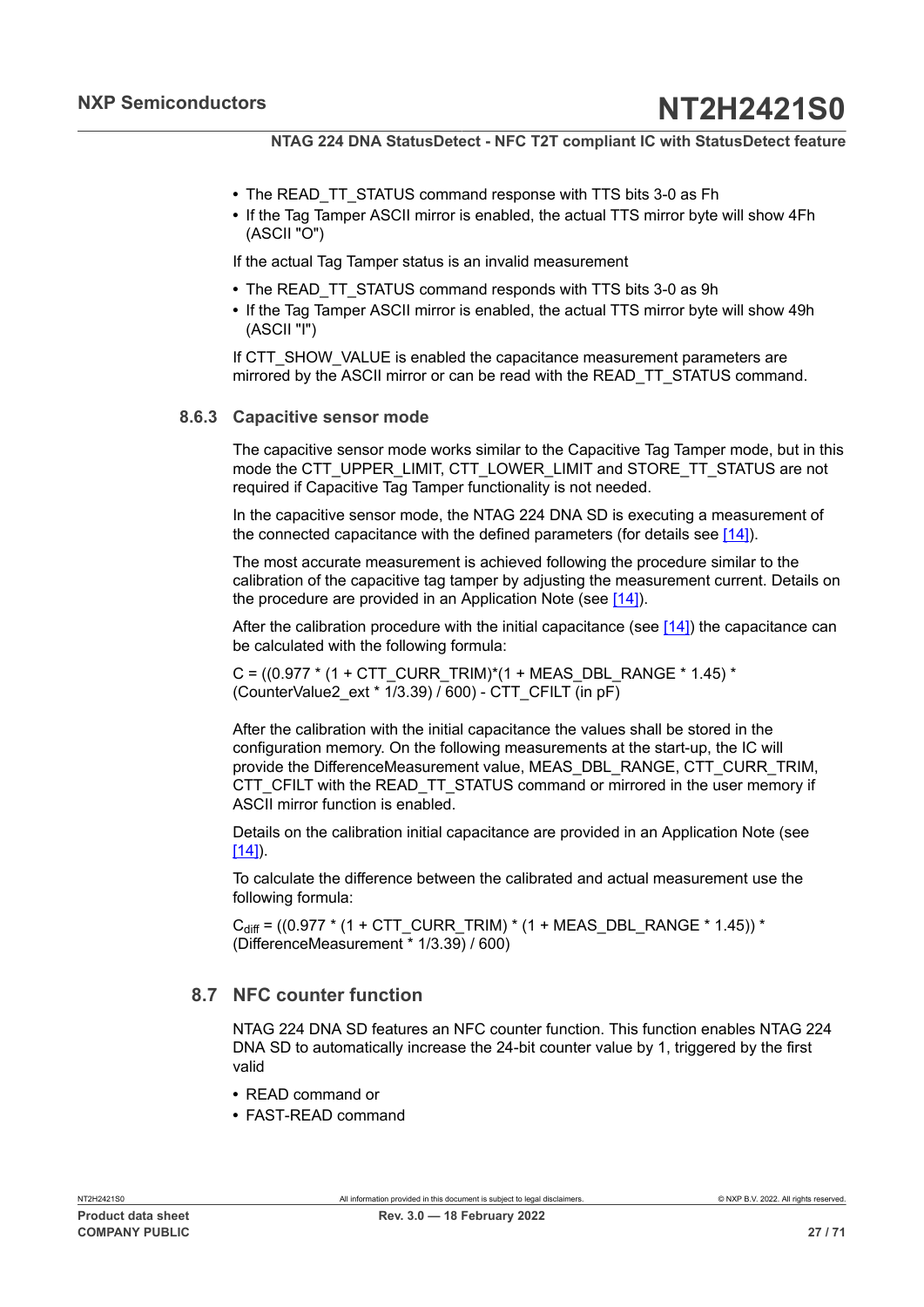- **•** The READ\_TT\_STATUS command response with TTS bits 3-0 as Fh
- **•** If the Tag Tamper ASCII mirror is enabled, the actual TTS mirror byte will show 4Fh (ASCII "O")

If the actual Tag Tamper status is an invalid measurement

- **•** The READ\_TT\_STATUS command responds with TTS bits 3-0 as 9h
- **•** If the Tag Tamper ASCII mirror is enabled, the actual TTS mirror byte will show 49h (ASCII "I")

If CTT\_SHOW\_VALUE is enabled the capacitance measurement parameters are mirrored by the ASCII mirror or can be read with the READ\_TT\_STATUS command.

#### **8.6.3 Capacitive sensor mode**

<span id="page-26-1"></span>The capacitive sensor mode works similar to the Capacitive Tag Tamper mode, but in this mode the CTT\_UPPER\_LIMIT, CTT\_LOWER\_LIMIT and STORE\_TT\_STATUS are not required if Capacitive Tag Tamper functionality is not needed.

In the capacitive sensor mode, the NTAG 224 DNA SD is executing a measurement of the connected capacitance with the defined parameters (for details see  $[14]$ ).

The most accurate measurement is achieved following the procedure similar to the calibration of the capacitive tag tamper by adjusting the measurement current. Details on the procedure are provided in an Application Note (see  $[14]$ ).

After the calibration procedure with the initial capacitance (see  $[14]$ ) the capacitance can be calculated with the following formula:

C =  $((0.977 * (1 + CTT-CURR TRIM)*(1 + MEAS DBL RANGE * 1.45) *$ (CounterValue2\_ext \* 1/3.39) / 600) - CTT\_CFILT (in pF)

After the calibration with the initial capacitance the values shall be stored in the configuration memory. On the following measurements at the start-up, the IC will provide the DifferenceMeasurement value, MEAS\_DBL\_RANGE, CTT\_CURR\_TRIM, CTT\_CFILT with the READ\_TT\_STATUS command or mirrored in the user memory if ASCII mirror function is enabled.

Details on the calibration initial capacitance are provided in an Application Note (see  $[14]$ ).

To calculate the difference between the calibrated and actual measurement use the following formula:

C<sub>diff</sub> = ((0.977 \* (1 + CTT\_CURR\_TRIM) \* (1 + MEAS\_DBL\_RANGE \* 1.45)) \* (DifferenceMeasurement \* 1/3.39) / 600)

## **8.7 NFC counter function**

<span id="page-26-0"></span>NTAG 224 DNA SD features an NFC counter function. This function enables NTAG 224 DNA SD to automatically increase the 24-bit counter value by 1, triggered by the first valid

- **•** READ command or
- **•** FAST-READ command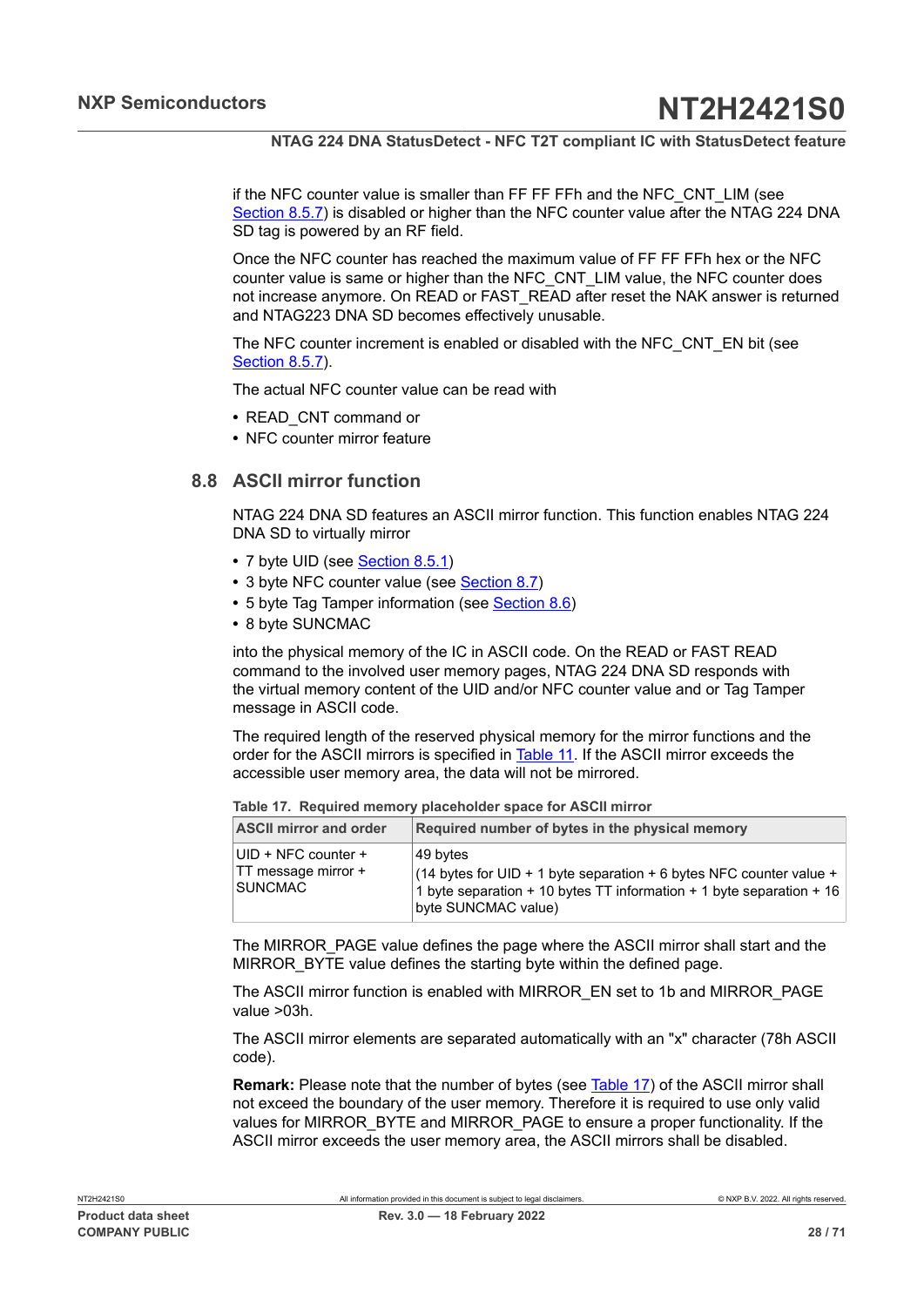if the NFC counter value is smaller than FF FF FFh and the NFC CNT LIM (see [Section 8.5.7](#page-17-4)) is disabled or higher than the NFC counter value after the NTAG 224 DNA SD tag is powered by an RF field.

Once the NFC counter has reached the maximum value of FF FF FFh hex or the NFC counter value is same or higher than the NFC\_CNT\_LIM value, the NFC counter does not increase anymore. On READ or FAST\_READ after reset the NAK answer is returned and NTAG223 DNA SD becomes effectively unusable.

The NFC counter increment is enabled or disabled with the NFC\_CNT\_EN bit (see [Section 8.5.7](#page-17-4)).

The actual NFC counter value can be read with

- **•** READ\_CNT command or
- <span id="page-27-0"></span>**•** NFC counter mirror feature

## **8.8 ASCII mirror function**

NTAG 224 DNA SD features an ASCII mirror function. This function enables NTAG 224 DNA SD to virtually mirror

- **•** 7 byte UID (see [Section 8.5.1](#page-14-0))
- **•** 3 byte NFC counter value (see [Section 8.7\)](#page-26-0)
- **•** 5 byte Tag Tamper information (see [Section 8.6\)](#page-23-1)
- **•** 8 byte SUNCMAC

into the physical memory of the IC in ASCII code. On the READ or FAST READ command to the involved user memory pages, NTAG 224 DNA SD responds with the virtual memory content of the UID and/or NFC counter value and or Tag Tamper message in ASCII code.

The required length of the reserved physical memory for the mirror functions and the order for the ASCII mirrors is specified in [Table](#page-27-1) 11. If the ASCII mirror exceeds the accessible user memory area, the data will not be mirrored.

| <b>ASCII mirror and order</b>                                        | Required number of bytes in the physical memory                                                                                                                                                           |  |  |  |  |  |
|----------------------------------------------------------------------|-----------------------------------------------------------------------------------------------------------------------------------------------------------------------------------------------------------|--|--|--|--|--|
| UID + NFC counter +<br>$\vert$ TT message mirror +<br><b>SUNCMAC</b> | 49 bvtes<br>$(14 \text{ bytes for UID} + 1 \text{ byte separation} + 6 \text{ bytes }$ NFC counter value +<br>1 byte separation + 10 bytes TT information + 1 byte separation + 16<br>byte SUNCMAC value) |  |  |  |  |  |

<span id="page-27-2"></span><span id="page-27-1"></span>**Table 17. Required memory placeholder space for ASCII mirror**

The MIRROR\_PAGE value defines the page where the ASCII mirror shall start and the MIRROR BYTE value defines the starting byte within the defined page.

The ASCII mirror function is enabled with MIRROR\_EN set to 1b and MIRROR\_PAGE value >03h.

The ASCII mirror elements are separated automatically with an "x" character (78h ASCII code).

**Remark:** Please note that the number of bytes (see [Table](#page-27-2) 17) of the ASCII mirror shall not exceed the boundary of the user memory. Therefore it is required to use only valid values for MIRROR\_BYTE and MIRROR\_PAGE to ensure a proper functionality. If the ASCII mirror exceeds the user memory area, the ASCII mirrors shall be disabled.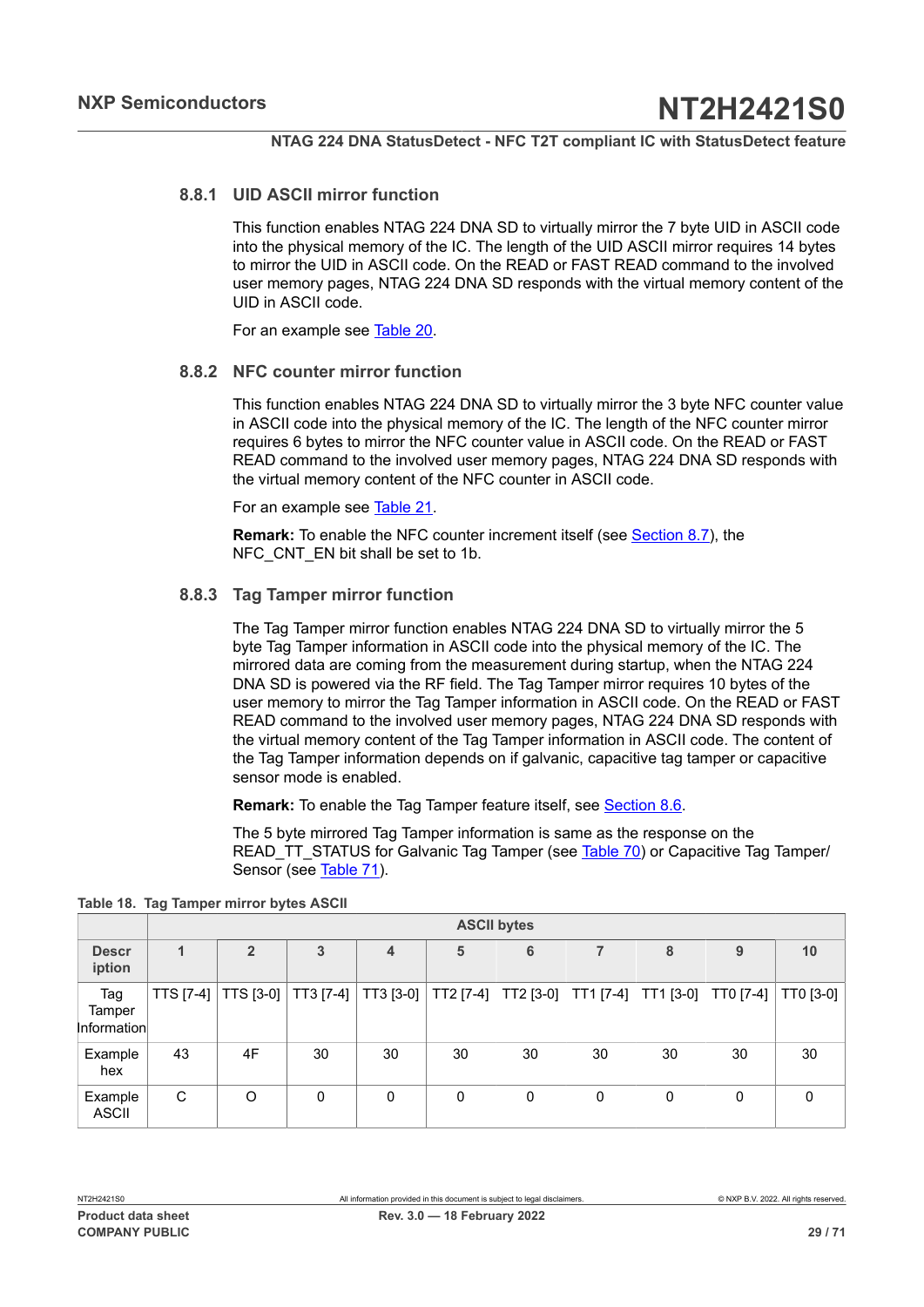## **8.8.1 UID ASCII mirror function**

<span id="page-28-2"></span>This function enables NTAG 224 DNA SD to virtually mirror the 7 byte UID in ASCII code into the physical memory of the IC. The length of the UID ASCII mirror requires 14 bytes to mirror the UID in ASCII code. On the READ or FAST READ command to the involved user memory pages, NTAG 224 DNA SD responds with the virtual memory content of the UID in ASCII code.

<span id="page-28-3"></span>For an example see [Table](#page-30-0) 20.

#### **8.8.2 NFC counter mirror function**

This function enables NTAG 224 DNA SD to virtually mirror the 3 byte NFC counter value in ASCII code into the physical memory of the IC. The length of the NFC counter mirror requires 6 bytes to mirror the NFC counter value in ASCII code. On the READ or FAST READ command to the involved user memory pages, NTAG 224 DNA SD responds with the virtual memory content of the NFC counter in ASCII code.

For an example see [Table](#page-30-1) 21.

**Remark:** To enable the NFC counter increment itself (see [Section 8.7](#page-26-0)), the NFC CNT EN bit shall be set to 1b.

## **8.8.3 Tag Tamper mirror function**

<span id="page-28-0"></span>The Tag Tamper mirror function enables NTAG 224 DNA SD to virtually mirror the 5 byte Tag Tamper information in ASCII code into the physical memory of the IC. The mirrored data are coming from the measurement during startup, when the NTAG 224 DNA SD is powered via the RF field. The Tag Tamper mirror requires 10 bytes of the user memory to mirror the Tag Tamper information in ASCII code. On the READ or FAST READ command to the involved user memory pages, NTAG 224 DNA SD responds with the virtual memory content of the Tag Tamper information in ASCII code. The content of the Tag Tamper information depends on if galvanic, capacitive tag tamper or capacitive sensor mode is enabled.

**Remark:** To enable the Tag Tamper feature itself, see [Section 8.6](#page-23-1).

<span id="page-28-1"></span>The 5 byte mirrored Tag Tamper information is same as the response on the READ TT\_STATUS for Galvanic Tag Tamper (see [Table](#page-53-0) 70) or Capacitive Tag Tamper/ Sensor (see [Table](#page-54-0) 71).

|                              |              | <b>ASCII bytes</b>        |           |           |             |           |           |           |           |           |
|------------------------------|--------------|---------------------------|-----------|-----------|-------------|-----------|-----------|-----------|-----------|-----------|
| <b>Descr</b><br>iption       | $\mathbf{1}$ | $\overline{2}$            | 3         | 4         | 5           | 6         |           | 8         | 9         | 10        |
| Tag<br>Tamper<br>Information | TTS [7-4]    | $\vert$ TTS [3-0] $\vert$ | TT3 [7-4] | TT3 [3-0] | TT2 [7-4]   | TT2 [3-0] | TT1 [7-4] | TT1 [3-0] | TT0 [7-4] | TT0 [3-0] |
| Example<br>hex               | 43           | 4F                        | 30        | 30        | 30          | 30        | 30        | 30        | 30        | 30        |
| Example<br>ASCII             | C            | $\circ$                   | 0         | 0         | $\mathbf 0$ | 0         | 0         | 0         | 0         | $\Omega$  |

**Table 18. Tag Tamper mirror bytes ASCII**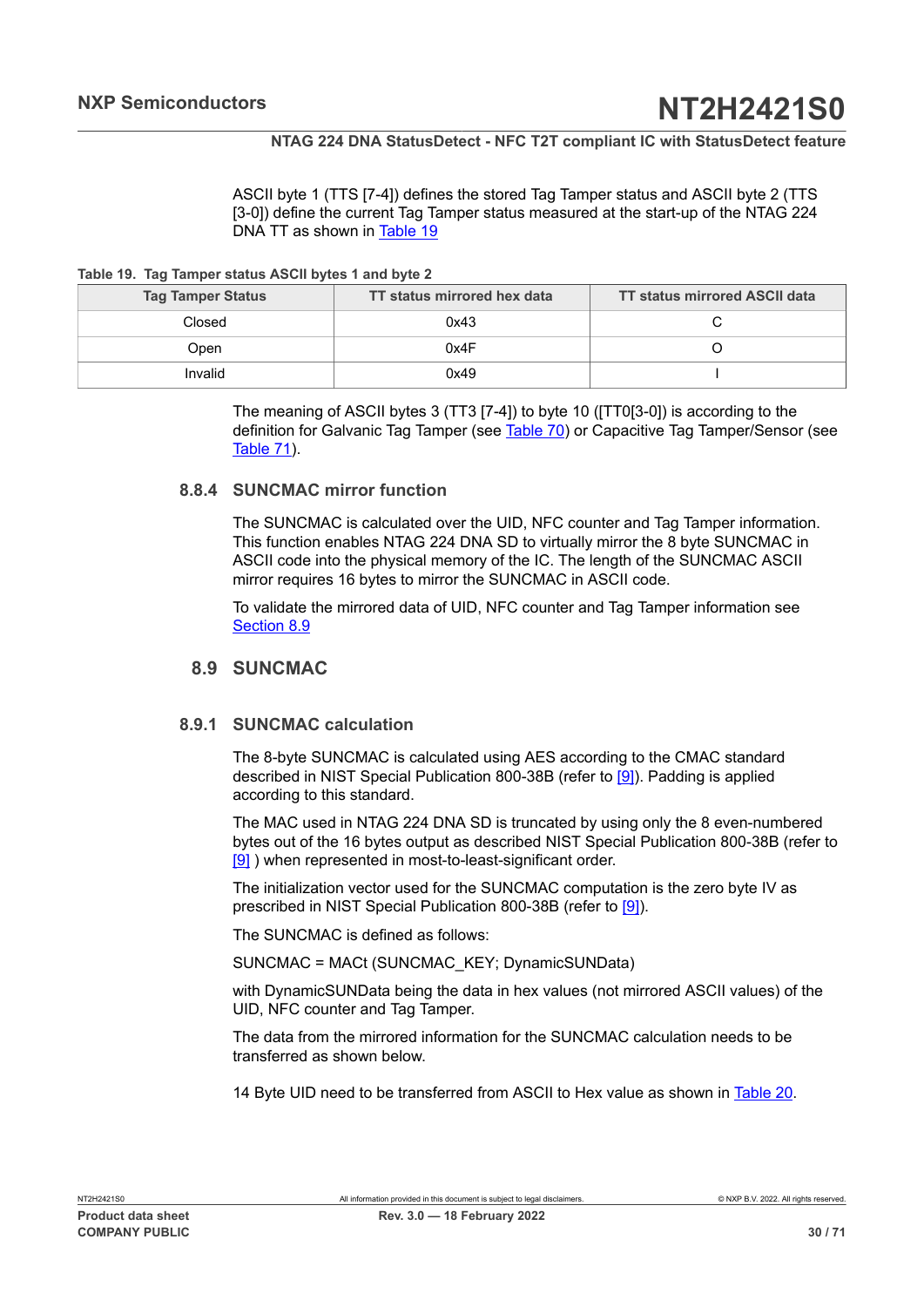<span id="page-29-1"></span>ASCII byte 1 (TTS [7-4]) defines the stored Tag Tamper status and ASCII byte 2 (TTS [3-0]) define the current Tag Tamper status measured at the start-up of the NTAG 224 DNA TT as shown in [Table](#page-29-1) 19

**Table 19. Tag Tamper status ASCII bytes 1 and byte 2**

| <b>Tag Tamper Status</b> | TT status mirrored hex data | <b>TT status mirrored ASCII data</b> |
|--------------------------|-----------------------------|--------------------------------------|
| Closed                   | 0x43                        |                                      |
| Open                     | 0x4F                        |                                      |
| Invalid                  | 0x49                        |                                      |

The meaning of ASCII bytes 3 (TT3 [7-4]) to byte 10 ([TT0[3-0]) is according to the definition for Galvanic Tag Tamper (see [Table](#page-53-0) 70) or Capacitive Tag Tamper/Sensor (see [Table](#page-54-0) 71).

#### **8.8.4 SUNCMAC mirror function**

<span id="page-29-2"></span>The SUNCMAC is calculated over the UID, NFC counter and Tag Tamper information. This function enables NTAG 224 DNA SD to virtually mirror the 8 byte SUNCMAC in ASCII code into the physical memory of the IC. The length of the SUNCMAC ASCII mirror requires 16 bytes to mirror the SUNCMAC in ASCII code.

To validate the mirrored data of UID, NFC counter and Tag Tamper information see [Section 8.9](#page-29-0)

## <span id="page-29-0"></span>**8.9 SUNCMAC**

#### **8.9.1 SUNCMAC calculation**

<span id="page-29-3"></span>The 8-byte SUNCMAC is calculated using AES according to the CMAC standard described in NIST Special Publication 800-38B (refer to [\[9\]\)](#page-63-5). Padding is applied according to this standard.

The MAC used in NTAG 224 DNA SD is truncated by using only the 8 even-numbered bytes out of the 16 bytes output as described NIST Special Publication 800-38B (refer to [\[9\]](#page-63-5) ) when represented in most-to-least-significant order.

The initialization vector used for the SUNCMAC computation is the zero byte IV as prescribed in NIST Special Publication 800-38B (refer to [\[9\]](#page-63-5)).

The SUNCMAC is defined as follows:

SUNCMAC = MACt (SUNCMAC\_KEY; DynamicSUNData)

with DynamicSUNData being the data in hex values (not mirrored ASCII values) of the UID, NFC counter and Tag Tamper.

The data from the mirrored information for the SUNCMAC calculation needs to be transferred as shown below.

14 Byte UID need to be transferred from ASCII to Hex value as shown in [Table](#page-30-0) 20.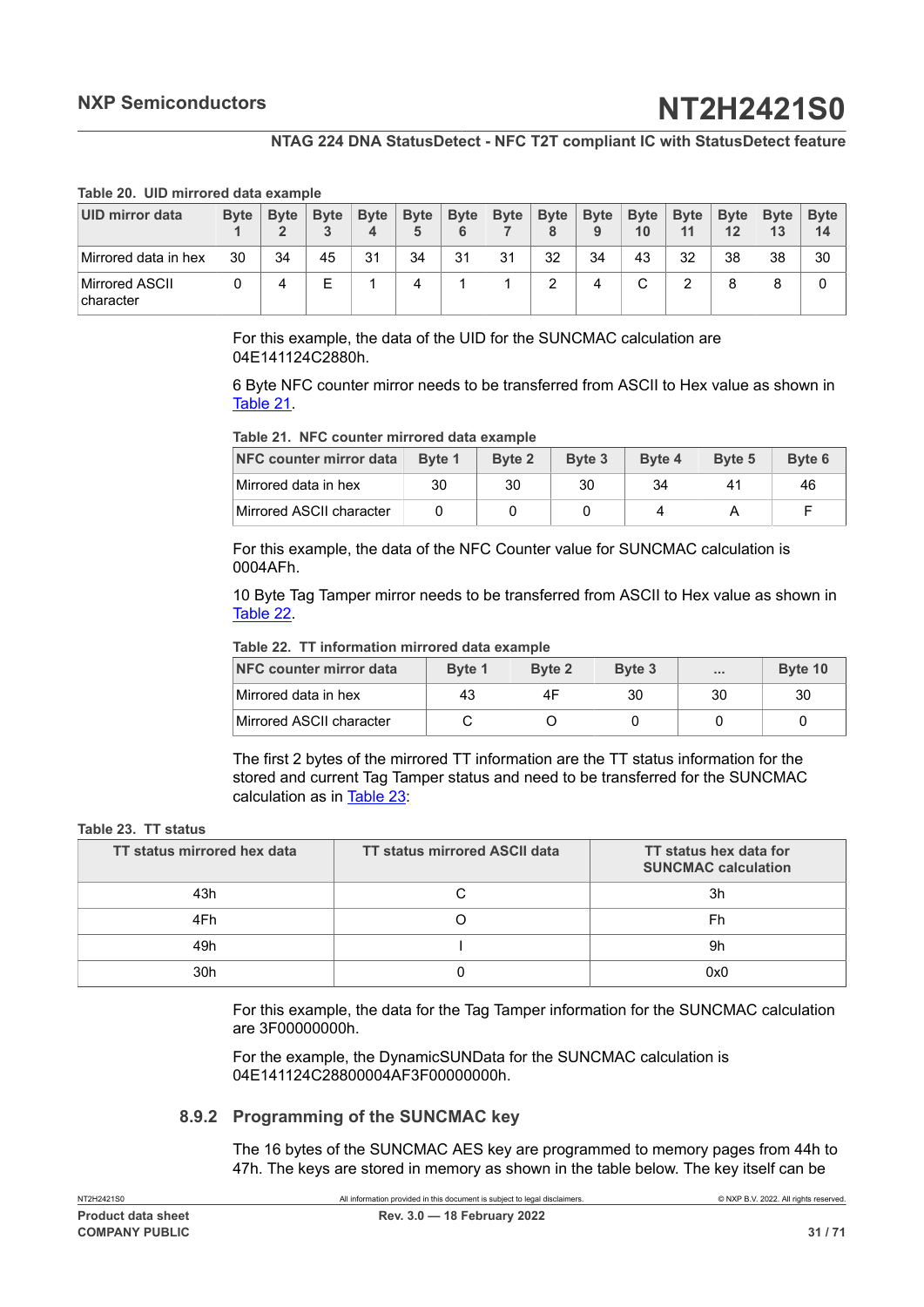#### **Table 20. UID mirrored data example**

| UID mirror data              | <b>Byte</b> | <b>Byte</b> | <b>Byte</b> | <b>Byte</b><br>4 | <b>Byte</b> | <b>Byte</b><br>6 | <b>Byte</b> | <b>Byte</b><br>8 | <b>Byte</b><br>9 | <b>Byte</b><br>10 | <b>Byte</b><br>11 | <b>Byte</b><br>12 | <b>Byte</b><br>13 | <b>Byte</b><br>14 |
|------------------------------|-------------|-------------|-------------|------------------|-------------|------------------|-------------|------------------|------------------|-------------------|-------------------|-------------------|-------------------|-------------------|
| Mirrored data in hex         | 30          | 34          | 45          | 31               | 34          | 31               | 31          | 32               | 34               | 43                | 32                | 38                | 38                | 30                |
| Mirrored ASCII<br>∣character |             | 4           | E           |                  |             |                  |             | っ<br>▵           |                  |                   | っ<br>▵            |                   | 8                 | 0                 |

<span id="page-30-0"></span>For this example, the data of the UID for the SUNCMAC calculation are 04E141124C2880h.

6 Byte NFC counter mirror needs to be transferred from ASCII to Hex value as shown in [Table](#page-30-1) 21.

<span id="page-30-1"></span>**Table 21. NFC counter mirrored data example**

| NFC counter mirror data  | Byte 1 | <b>Byte 2</b> | Byte 3 | Byte 4 | Byte 5                | Byte 6 |
|--------------------------|--------|---------------|--------|--------|-----------------------|--------|
| Mirrored data in hex     | 30     | 30            | 30     | 34     | $\mathbf{A}^{\prime}$ | 46     |
| Mirrored ASCII character |        |               |        |        |                       |        |

For this example, the data of the NFC Counter value for SUNCMAC calculation is 0004AFh.

10 Byte Tag Tamper mirror needs to be transferred from ASCII to Hex value as shown in [Table](#page-30-2) 22.

#### <span id="page-30-2"></span>**Table 22. TT information mirrored data example**

| NFC counter mirror data  | Byte 1 | Byte 2 | Byte 3 | 1.11 | Byte 10 |
|--------------------------|--------|--------|--------|------|---------|
| Mirrored data in hex     | 43     | 4F     | 30     | 30   | 30      |
| Mirrored ASCII character |        |        |        |      |         |

<span id="page-30-3"></span>The first 2 bytes of the mirrored TT information are the TT status information for the stored and current Tag Tamper status and need to be transferred for the SUNCMAC calculation as in [Table](#page-30-3) 23:

#### **Table 23. TT status**

| TT status mirrored hex data | <b>TT status mirrored ASCII data</b> | TT status hex data for<br><b>SUNCMAC calculation</b> |
|-----------------------------|--------------------------------------|------------------------------------------------------|
| 43h                         | ⌒                                    | 3h                                                   |
| 4Fh                         |                                      | Fh                                                   |
| 49h                         |                                      | 9h                                                   |
| 30h                         |                                      | 0x0                                                  |

For this example, the data for the Tag Tamper information for the SUNCMAC calculation are 3F00000000h.

For the example, the DynamicSUNData for the SUNCMAC calculation is 04E141124C28800004AF3F00000000h.

#### **8.9.2 Programming of the SUNCMAC key**

<span id="page-30-4"></span>The 16 bytes of the SUNCMAC AES key are programmed to memory pages from 44h to 47h. The keys are stored in memory as shown in the table below. The key itself can be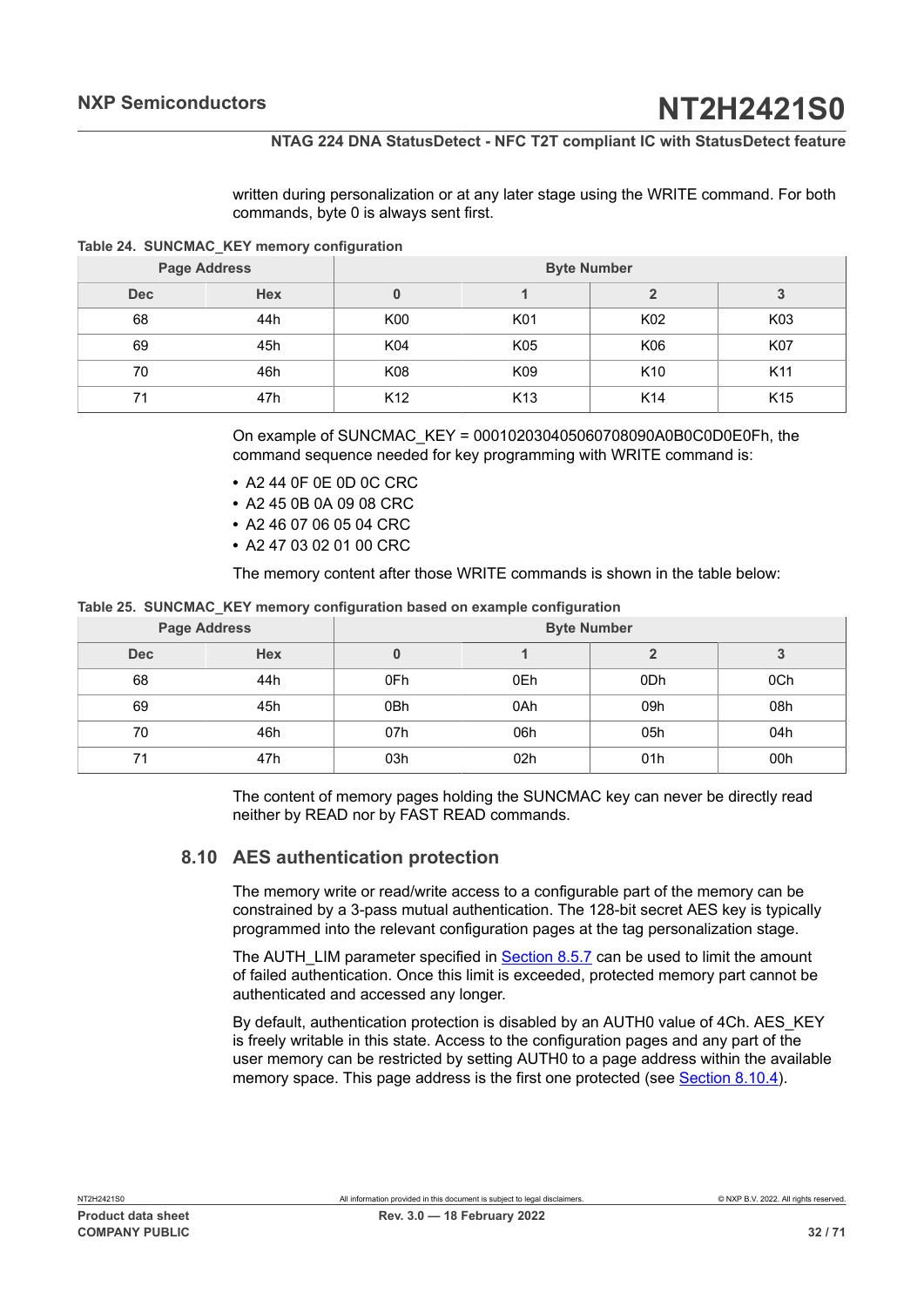<span id="page-31-1"></span>written during personalization or at any later stage using the WRITE command. For both commands, byte 0 is always sent first.

**Table 24. SUNCMAC\_KEY memory configuration**

|            | <b>Page Address</b> | <b>Byte Number</b> |                 |                 |                 |  |  |
|------------|---------------------|--------------------|-----------------|-----------------|-----------------|--|--|
| <b>Dec</b> | <b>Hex</b>          |                    |                 |                 | 3               |  |  |
| 68         | 44h                 | K00                | K01             | K02             | K03             |  |  |
| 69         | 45h                 | K04                | K05             | K06             | K07             |  |  |
| 70         | 46h                 | K08                | K09             | K <sub>10</sub> | K <sub>11</sub> |  |  |
| 71         | 47h                 | K <sub>12</sub>    | K <sub>13</sub> | K <sub>14</sub> | K <sub>15</sub> |  |  |

On example of SUNCMAC\_KEY = 000102030405060708090A0B0C0D0E0Fh, the command sequence needed for key programming with WRITE command is:

- **•** A2 44 0F 0E 0D 0C CRC
- **•** A2 45 0B 0A 09 08 CRC
- **•** A2 46 07 06 05 04 CRC
- **•** A2 47 03 02 01 00 CRC

<span id="page-31-2"></span>The memory content after those WRITE commands is shown in the table below:

#### **Table 25. SUNCMAC\_KEY memory configuration based on example configuration**

|     | <b>Page Address</b> | <b>Byte Number</b> |                 |     |     |  |  |
|-----|---------------------|--------------------|-----------------|-----|-----|--|--|
| Dec | <b>Hex</b>          |                    |                 |     | ۰J  |  |  |
| 68  | 44h                 | 0Fh                | 0Eh             | 0Dh | 0Ch |  |  |
| 69  | 45h                 | 0Bh                | 0Ah             | 09h | 08h |  |  |
| 70  | 46h                 | 07h                | 06h             | 05h | 04h |  |  |
| 71  | 47h                 | 03h                | 02 <sub>h</sub> | 01h | 00h |  |  |

The content of memory pages holding the SUNCMAC key can never be directly read neither by READ nor by FAST READ commands.

## **8.10 AES authentication protection**

<span id="page-31-0"></span>The memory write or read/write access to a configurable part of the memory can be constrained by a 3-pass mutual authentication. The 128-bit secret AES key is typically programmed into the relevant configuration pages at the tag personalization stage.

The AUTH\_LIM parameter specified in **Section 8.5.7** can be used to limit the amount of failed authentication. Once this limit is exceeded, protected memory part cannot be authenticated and accessed any longer.

By default, authentication protection is disabled by an AUTH0 value of 4Ch. AES\_KEY is freely writable in this state. Access to the configuration pages and any part of the user memory can be restricted by setting AUTH0 to a page address within the available memory space. This page address is the first one protected (see [Section 8.10.4\)](#page-35-0).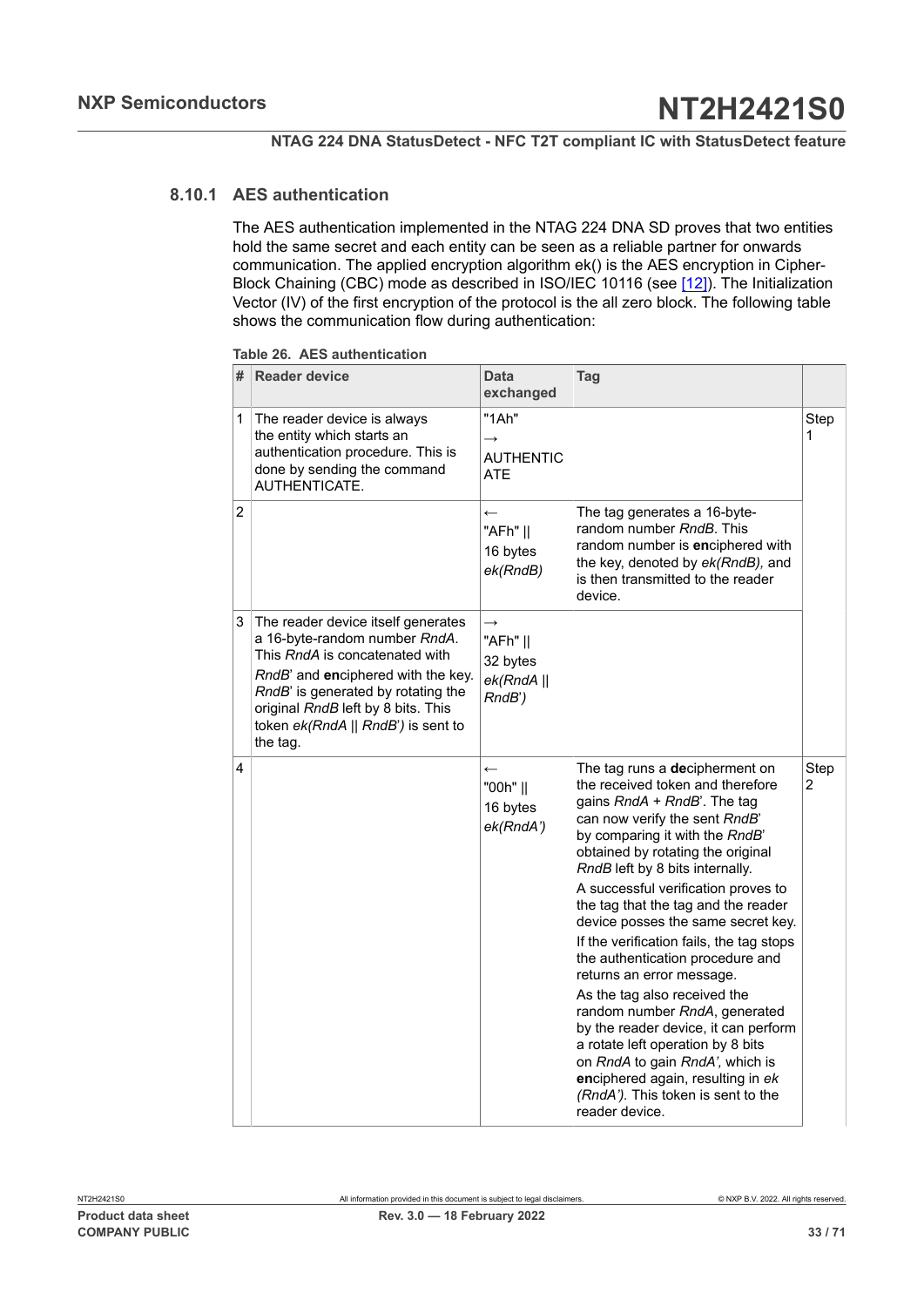## **8.10.1 AES authentication**

<span id="page-32-0"></span>The AES authentication implemented in the NTAG 224 DNA SD proves that two entities hold the same secret and each entity can be seen as a reliable partner for onwards communication. The applied encryption algorithm ek() is the AES encryption in Cipher-Block Chaining (CBC) mode as described in ISO/IEC 10116 (see [\[12\]\)](#page-63-6). The Initialization Vector (IV) of the first encryption of the protocol is the all zero block. The following table shows the communication flow during authentication:

| # | <b>Reader device</b>                                                                                                                                                                                                                                                      | Data<br>exchanged                                             | Tag                                                                                                                                                                                                                                                                                                                                                                                                                                                                                                                                                                                                                                                                                                                                                         |           |
|---|---------------------------------------------------------------------------------------------------------------------------------------------------------------------------------------------------------------------------------------------------------------------------|---------------------------------------------------------------|-------------------------------------------------------------------------------------------------------------------------------------------------------------------------------------------------------------------------------------------------------------------------------------------------------------------------------------------------------------------------------------------------------------------------------------------------------------------------------------------------------------------------------------------------------------------------------------------------------------------------------------------------------------------------------------------------------------------------------------------------------------|-----------|
| 1 | The reader device is always<br>the entity which starts an<br>authentication procedure. This is<br>done by sending the command<br>AUTHENTICATE.                                                                                                                            | "1Ah"<br>$\rightarrow$<br>AUTHENTIC<br>ATE                    |                                                                                                                                                                                                                                                                                                                                                                                                                                                                                                                                                                                                                                                                                                                                                             | Step<br>1 |
| 2 |                                                                                                                                                                                                                                                                           | $\leftarrow$<br>"AFh"   <br>16 bytes<br>ek(RndB)              | The tag generates a 16-byte-<br>random number RndB. This<br>random number is enciphered with<br>the key, denoted by ek(RndB), and<br>is then transmitted to the reader<br>device.                                                                                                                                                                                                                                                                                                                                                                                                                                                                                                                                                                           |           |
| 3 | The reader device itself generates<br>a 16-byte-random number RndA.<br>This RndA is concatenated with<br>RndB' and enciphered with the key.<br>RndB' is generated by rotating the<br>original RndB left by 8 bits. This<br>token ek(RndA    RndB') is sent to<br>the tag. | $\rightarrow$<br>"AFh"   <br>32 bytes<br>ek(RndA  )<br>RndB') |                                                                                                                                                                                                                                                                                                                                                                                                                                                                                                                                                                                                                                                                                                                                                             |           |
| 4 |                                                                                                                                                                                                                                                                           | $\leftarrow$<br>"00h"   <br>16 bytes<br>ek(RndA')             | The tag runs a decipherment on<br>the received token and therefore<br>gains RndA + RndB'. The tag<br>can now verify the sent RndB'<br>by comparing it with the RndB'<br>obtained by rotating the original<br>RndB left by 8 bits internally.<br>A successful verification proves to<br>the tag that the tag and the reader<br>device posses the same secret key.<br>If the verification fails, the tag stops<br>the authentication procedure and<br>returns an error message.<br>As the tag also received the<br>random number RndA, generated<br>by the reader device, it can perform<br>a rotate left operation by 8 bits<br>on RndA to gain RndA', which is<br>enciphered again, resulting in ek<br>(RndA'). This token is sent to the<br>reader device. | Step<br>2 |

<span id="page-32-1"></span>**Table 26. AES authentication**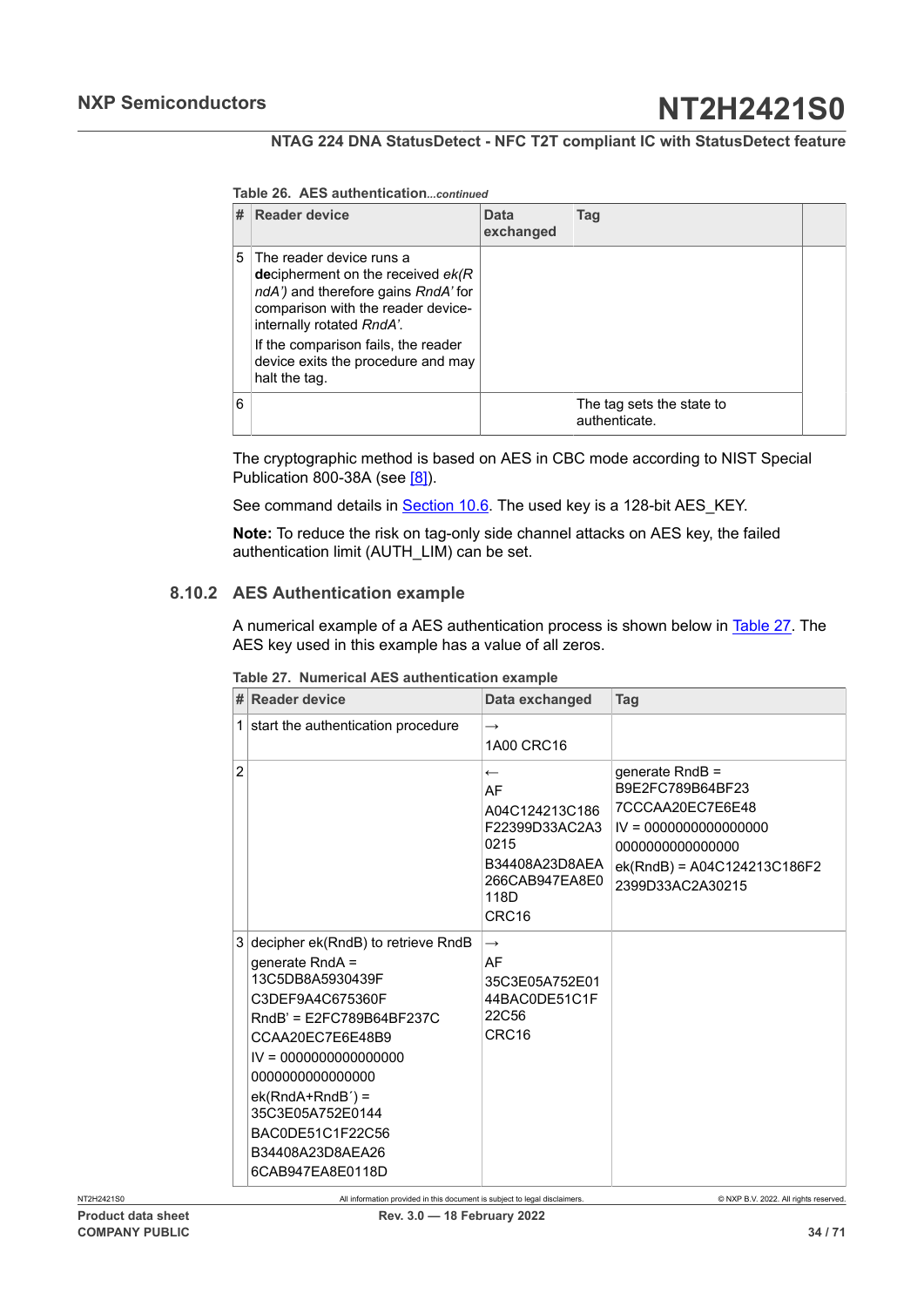#### **NTAG 224 DNA StatusDetect - NFC T2T compliant IC with StatusDetect feature**

#### **Table 26. AES authentication***...continued*

|   | # Reader device                                                                                                                                                                                                                                                           | Data<br>exchanged | Taq                                        |  |
|---|---------------------------------------------------------------------------------------------------------------------------------------------------------------------------------------------------------------------------------------------------------------------------|-------------------|--------------------------------------------|--|
|   | 5 The reader device runs a<br>decipherment on the received $ek/R$<br>ndA') and therefore gains RndA' for<br>comparison with the reader device-<br>internally rotated RndA'.<br>If the comparison fails, the reader<br>device exits the procedure and may<br>halt the tag. |                   |                                            |  |
| 6 |                                                                                                                                                                                                                                                                           |                   | The tag sets the state to<br>authenticate. |  |

The cryptographic method is based on AES in CBC mode according to NIST Special Publication 800-38A (see [\[8\]\)](#page-63-7).

See command details in **Section 10.6**. The used key is a 128-bit AES\_KEY.

**Note:** To reduce the risk on tag-only side channel attacks on AES key, the failed authentication limit (AUTH\_LIM) can be set.

### **8.10.2 AES Authentication example**

<span id="page-33-1"></span>A numerical example of a AES authentication process is shown below in [Table](#page-33-0) 27. The AES key used in this example has a value of all zeros.

|                | # Reader device                                                                                                                                                                                                                                                                                     | Data exchanged                                                                                                                  | Tag                                                                                                                                                        |
|----------------|-----------------------------------------------------------------------------------------------------------------------------------------------------------------------------------------------------------------------------------------------------------------------------------------------------|---------------------------------------------------------------------------------------------------------------------------------|------------------------------------------------------------------------------------------------------------------------------------------------------------|
|                | 1 start the authentication procedure                                                                                                                                                                                                                                                                | $\rightarrow$<br>1A00 CRC16                                                                                                     |                                                                                                                                                            |
| $\overline{2}$ |                                                                                                                                                                                                                                                                                                     | $\leftarrow$<br>AF<br>A04C124213C186<br>F22399D33AC2A3<br>0215<br>B34408A23D8AEA<br>266CAB947EA8E0<br>118D<br>CRC <sub>16</sub> | qenerate $RndB =$<br>B9E2FC789B64BF23<br>7CCCAA20EC7E6E48<br>$IV = 0000000000000000$<br>000000000000000<br>ek(RndB) = A04C124213C186F2<br>2399D33AC2A30215 |
|                | 3 decipher ek(RndB) to retrieve RndB<br>generate RndA =<br>13C5DB8A5930439F<br>C3DEF9A4C675360F<br>RndB' = E2FC789B64BF237C<br>CCAA20EC7E6E48B9<br>$IV = 0000000000000000$<br>000000000000000<br>$ek(RndA+RndB') =$<br>35C3E05A752E0144<br>BAC0DE51C1F22C56<br>B34408A23D8AEA26<br>6CAB947EA8E0118D | $\rightarrow$<br>AF<br>35C3E05A752E01<br>44BAC0DE51C1F<br>22C56<br>CRC <sub>16</sub>                                            |                                                                                                                                                            |

<span id="page-33-0"></span>**Table 27. Numerical AES authentication example**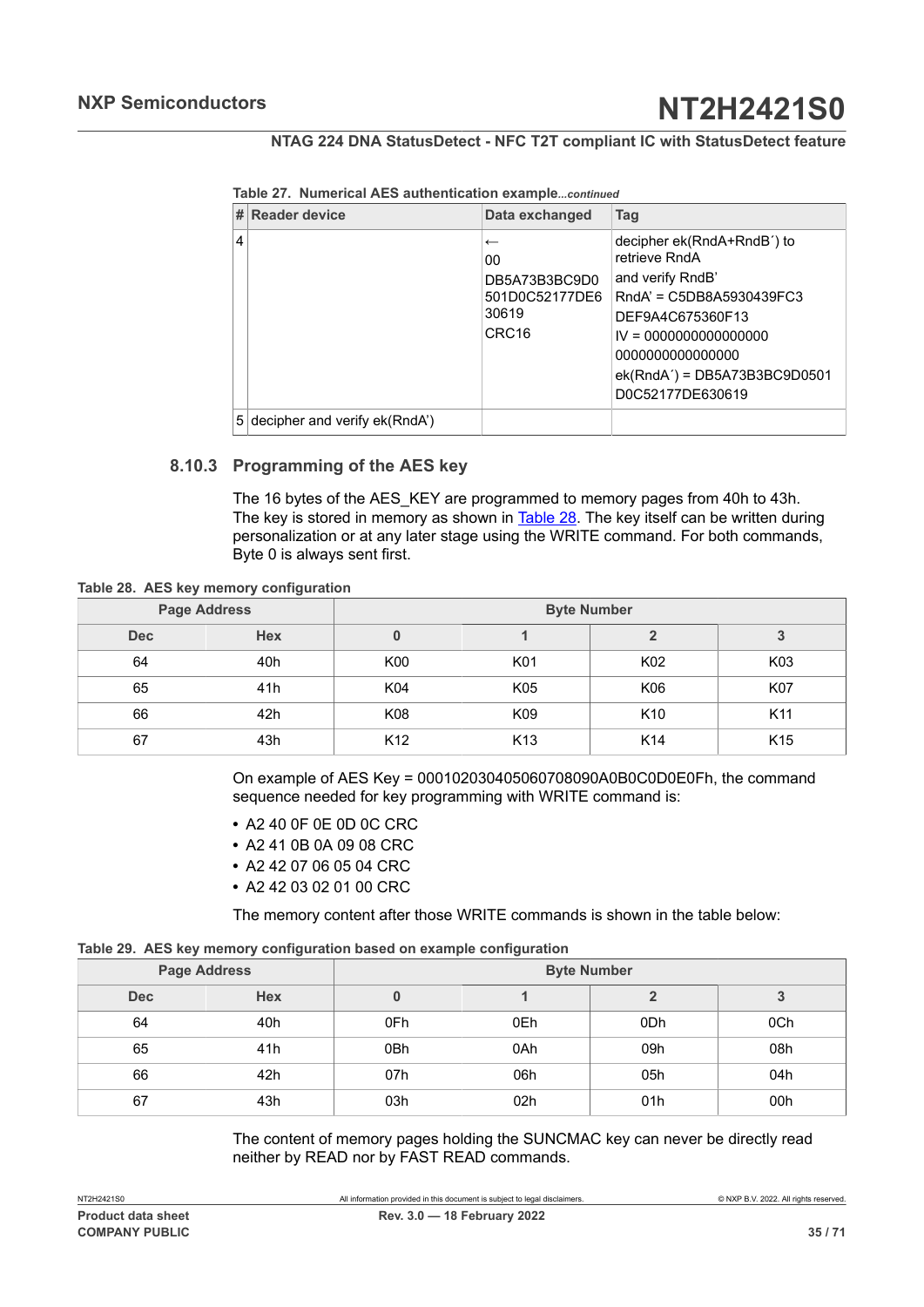|  |  |  |  | Table 27. Numerical AES authentication examplecontinued |
|--|--|--|--|---------------------------------------------------------|
|--|--|--|--|---------------------------------------------------------|

|   | # Reader device                 | Data exchanged                                                                      | Tag                                                                                                                                                                                                                  |
|---|---------------------------------|-------------------------------------------------------------------------------------|----------------------------------------------------------------------------------------------------------------------------------------------------------------------------------------------------------------------|
| 4 |                                 | $\leftarrow$<br>00<br>DB5A73B3BC9D0<br>501D0C52177DE6<br>30619<br>CRC <sub>16</sub> | decipher ek(RndA+RndB') to<br>retrieve RndA<br>and verify RndB'<br>RndA' = C5DB8A5930439FC3<br>DEF9A4C675360F13<br>$IV = 0000000000000000$<br>0000000000000000<br>$ek(RndA') = DB5A73B3BC9D0501$<br>D0C52177DE630619 |
|   | 5 decipher and verify ek(RndA') |                                                                                     |                                                                                                                                                                                                                      |

## **8.10.3 Programming of the AES key**

<span id="page-34-2"></span><span id="page-34-0"></span>The 16 bytes of the AES KEY are programmed to memory pages from 40h to 43h. The key is stored in memory as shown in [Table](#page-34-0) 28. The key itself can be written during personalization or at any later stage using the WRITE command. For both commands, Byte 0 is always sent first.

**Table 28. AES key memory configuration**

| <b>Page Address</b> |            | <b>Byte Number</b> |                 |                 |                 |  |  |  |  |  |
|---------------------|------------|--------------------|-----------------|-----------------|-----------------|--|--|--|--|--|
| <b>Dec</b>          | <b>Hex</b> |                    |                 |                 | ა               |  |  |  |  |  |
| 64                  | 40h        | K00                | K01             | K02             | K03             |  |  |  |  |  |
| 65                  | 41h        | K04                | K05             | K06             | <b>K07</b>      |  |  |  |  |  |
| 66                  | 42h        | K08                | K09             | K <sub>10</sub> | K11             |  |  |  |  |  |
| 67                  | 43h        | K <sub>12</sub>    | K <sub>13</sub> | K <sub>14</sub> | K <sub>15</sub> |  |  |  |  |  |

On example of AES Key = 000102030405060708090A0B0C0D0E0Fh, the command sequence needed for key programming with WRITE command is:

- **•** A2 40 0F 0E 0D 0C CRC
- **•** A2 41 0B 0A 09 08 CRC
- **•** A2 42 07 06 05 04 CRC
- **•** A2 42 03 02 01 00 CRC

<span id="page-34-1"></span>The memory content after those WRITE commands is shown in the table below:

|  | Table 29. AES key memory configuration based on example configuration |  |  |
|--|-----------------------------------------------------------------------|--|--|
|  |                                                                       |  |  |

|            | <b>Page Address</b> | <b>Byte Number</b> |     |                 |     |  |  |  |  |  |
|------------|---------------------|--------------------|-----|-----------------|-----|--|--|--|--|--|
| <b>Dec</b> | <b>Hex</b>          |                    |     |                 | 3   |  |  |  |  |  |
| 64         | 40h                 | 0Fh                | 0Eh | 0 <sub>Dh</sub> | 0Ch |  |  |  |  |  |
| 65         | 41h                 | 0Bh                | 0Ah | 09h             | 08h |  |  |  |  |  |
| 66         | 42h                 | 07h                | 06h | 05h             | 04h |  |  |  |  |  |
| 67         | 43h                 | 03h                | 02h | 01h             | 00h |  |  |  |  |  |

The content of memory pages holding the SUNCMAC key can never be directly read neither by READ nor by FAST READ commands.

**COMPANY PUBLIC 35 / 71**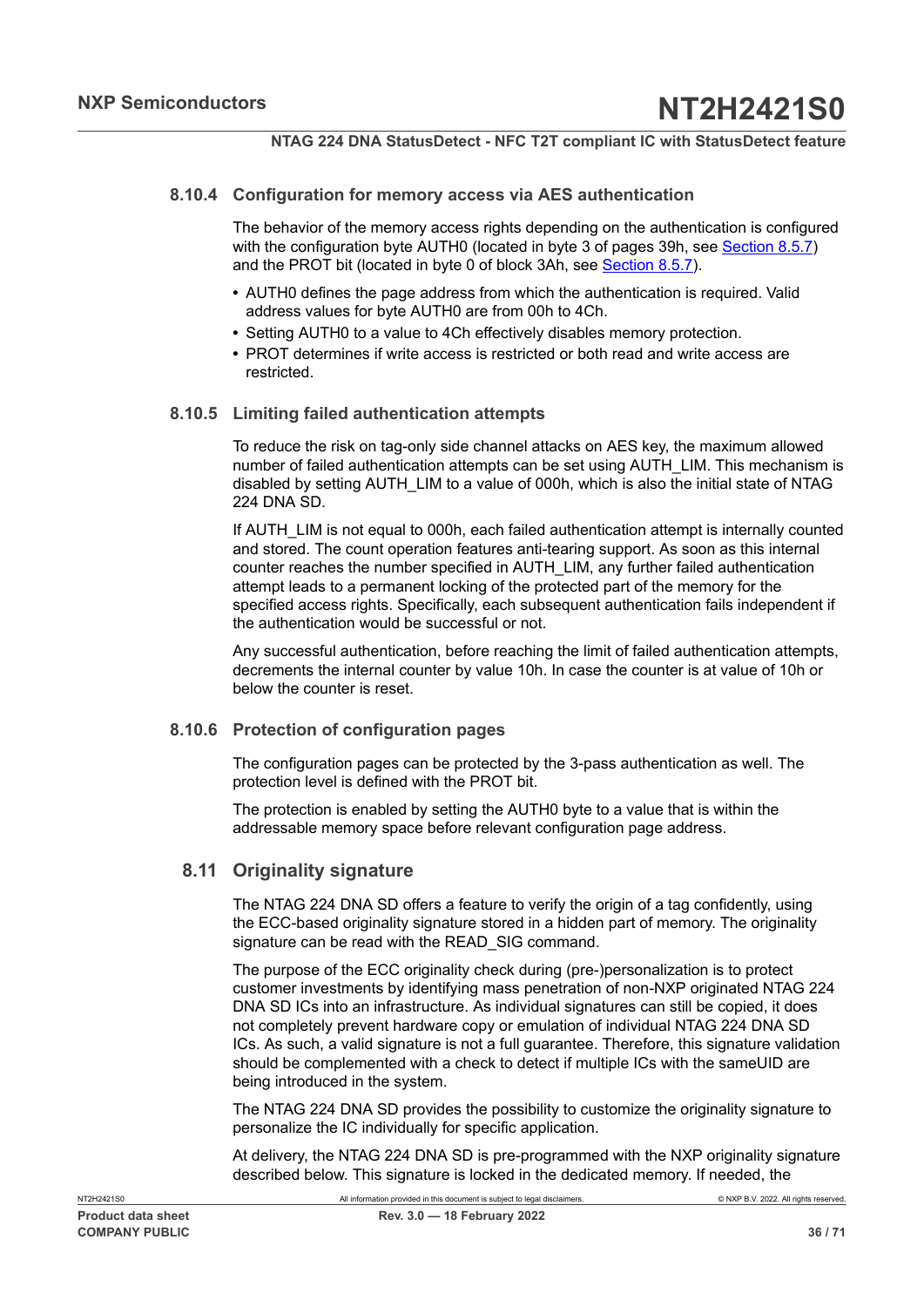## **8.10.4 Configuration for memory access via AES authentication**

<span id="page-35-0"></span>The behavior of the memory access rights depending on the authentication is configured with the configuration byte AUTH0 (located in byte 3 of pages 39h, see [Section 8.5.7\)](#page-17-4) and the PROT bit (located in byte 0 of block 3Ah, see [Section 8.5.7\)](#page-17-4).

- **•** AUTH0 defines the page address from which the authentication is required. Valid address values for byte AUTH0 are from 00h to 4Ch.
- **•** Setting AUTH0 to a value to 4Ch effectively disables memory protection.
- **•** PROT determines if write access is restricted or both read and write access are restricted.

## **8.10.5 Limiting failed authentication attempts**

<span id="page-35-1"></span>To reduce the risk on tag-only side channel attacks on AES key, the maximum allowed number of failed authentication attempts can be set using AUTH\_LIM. This mechanism is disabled by setting AUTH\_LIM to a value of 000h, which is also the initial state of NTAG 224 DNA SD.

If AUTH LIM is not equal to 000h, each failed authentication attempt is internally counted and stored. The count operation features anti-tearing support. As soon as this internal counter reaches the number specified in AUTH\_LIM, any further failed authentication attempt leads to a permanent locking of the protected part of the memory for the specified access rights. Specifically, each subsequent authentication fails independent if the authentication would be successful or not.

Any successful authentication, before reaching the limit of failed authentication attempts, decrements the internal counter by value 10h. In case the counter is at value of 10h or below the counter is reset.

## **8.10.6 Protection of configuration pages**

<span id="page-35-2"></span>The configuration pages can be protected by the 3-pass authentication as well. The protection level is defined with the PROT bit.

The protection is enabled by setting the AUTH0 byte to a value that is within the addressable memory space before relevant configuration page address.

## **8.11 Originality signature**

<span id="page-35-3"></span>The NTAG 224 DNA SD offers a feature to verify the origin of a tag confidently, using the ECC-based originality signature stored in a hidden part of memory. The originality signature can be read with the READ SIG command.

The purpose of the ECC originality check during (pre-)personalization is to protect customer investments by identifying mass penetration of non-NXP originated NTAG 224 DNA SD ICs into an infrastructure. As individual signatures can still be copied, it does not completely prevent hardware copy or emulation of individual NTAG 224 DNA SD ICs. As such, a valid signature is not a full guarantee. Therefore, this signature validation should be complemented with a check to detect if multiple ICs with the sameUID are being introduced in the system.

The NTAG 224 DNA SD provides the possibility to customize the originality signature to personalize the IC individually for specific application.

At delivery, the NTAG 224 DNA SD is pre-programmed with the NXP originality signature described below. This signature is locked in the dedicated memory. If needed, the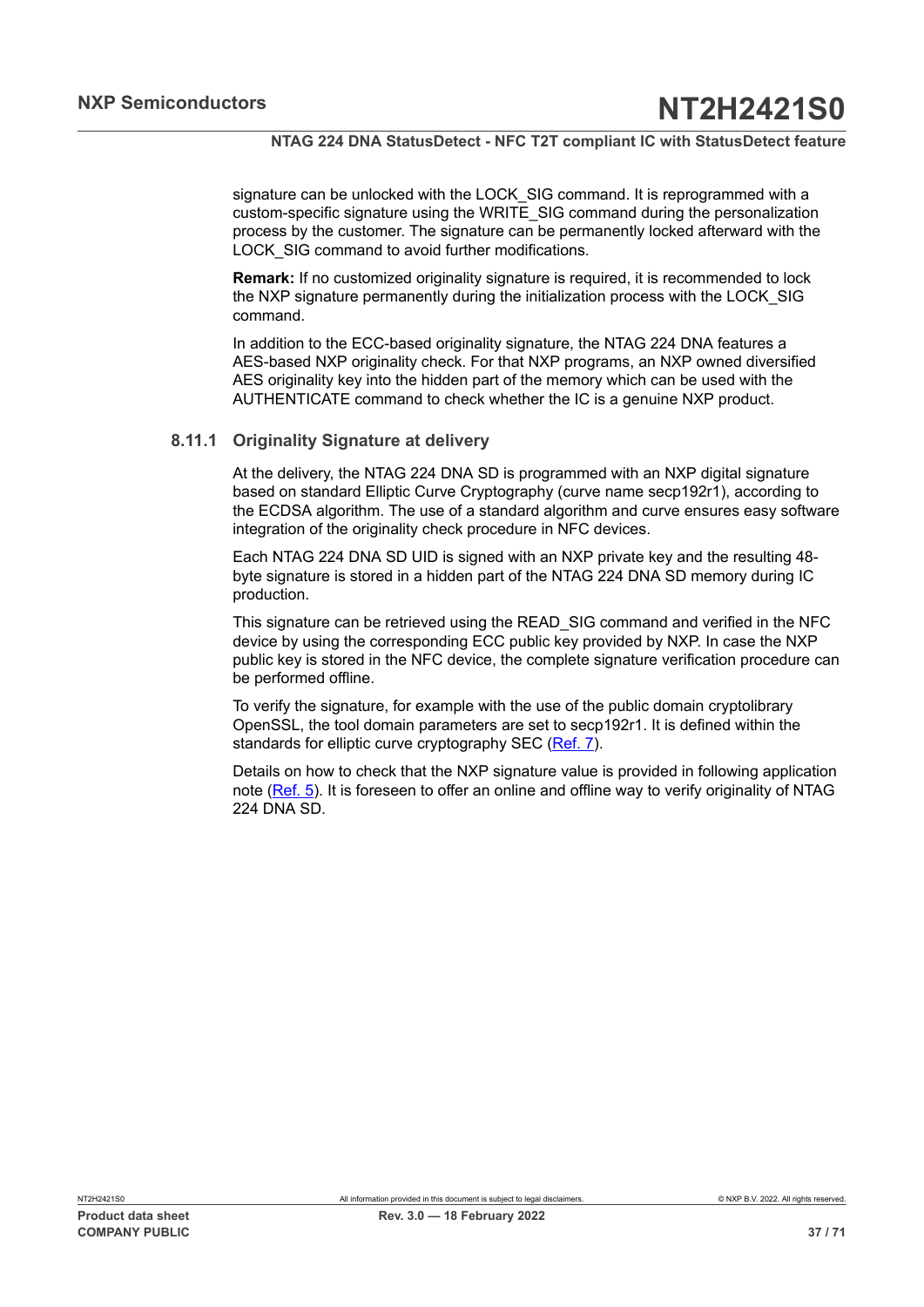signature can be unlocked with the LOCK\_SIG command. It is reprogrammed with a custom-specific signature using the WRITE\_SIG command during the personalization process by the customer. The signature can be permanently locked afterward with the LOCK SIG command to avoid further modifications.

**Remark:** If no customized originality signature is required, it is recommended to lock the NXP signature permanently during the initialization process with the LOCK\_SIG command.

In addition to the ECC-based originality signature, the NTAG 224 DNA features a AES-based NXP originality check. For that NXP programs, an NXP owned diversified AES originality key into the hidden part of the memory which can be used with the AUTHENTICATE command to check whether the IC is a genuine NXP product.

## **8.11.1 Originality Signature at delivery**

<span id="page-36-0"></span>At the delivery, the NTAG 224 DNA SD is programmed with an NXP digital signature based on standard Elliptic Curve Cryptography (curve name secp192r1), according to the ECDSA algorithm. The use of a standard algorithm and curve ensures easy software integration of the originality check procedure in NFC devices.

Each NTAG 224 DNA SD UID is signed with an NXP private key and the resulting 48 byte signature is stored in a hidden part of the NTAG 224 DNA SD memory during IC production.

This signature can be retrieved using the READ\_SIG command and verified in the NFC device by using the corresponding ECC public key provided by NXP. In case the NXP public key is stored in the NFC device, the complete signature verification procedure can be performed offline.

To verify the signature, for example with the use of the public domain cryptolibrary OpenSSL, the tool domain parameters are set to secp192r1. It is defined within the standards for elliptic curve cryptography SEC [\(Ref. 7\)](#page-63-8).

Details on how to check that the NXP signature value is provided in following application note ([Ref. 5](#page-63-9)). It is foreseen to offer an online and offline way to verify originality of NTAG 224 DNA SD.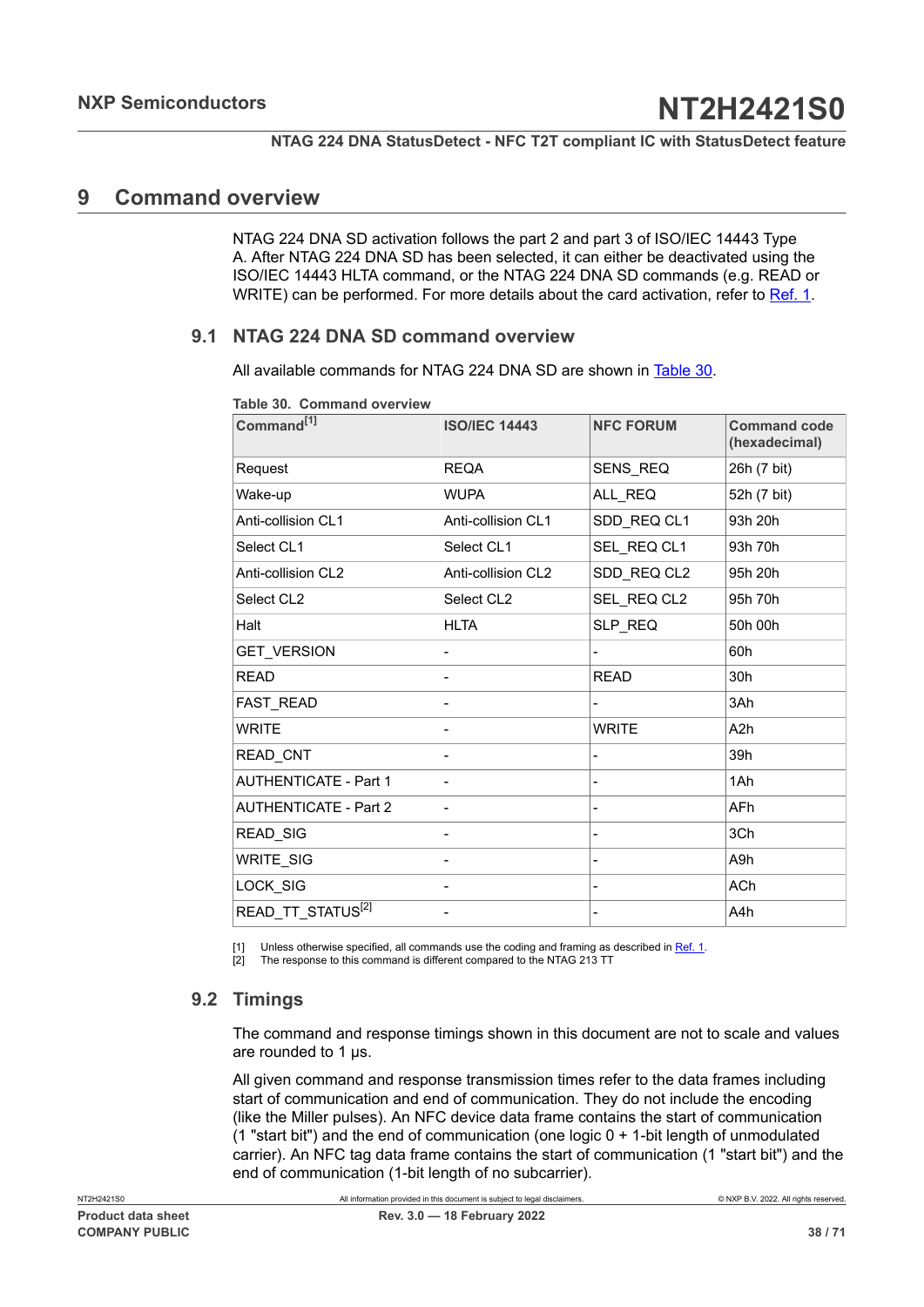## <span id="page-37-4"></span>**9 Command overview**

<span id="page-37-2"></span><span id="page-37-1"></span>NTAG 224 DNA SD activation follows the part 2 and part 3 of ISO/IEC 14443 Type A. After NTAG 224 DNA SD has been selected, it can either be deactivated using the ISO/IEC 14443 HLTA command, or the NTAG 224 DNA SD commands (e.g. READ or WRITE) can be performed. For more details about the card activation, refer to [Ref. 1.](#page-63-0)

## **9.1 NTAG 224 DNA SD command overview**

<span id="page-37-5"></span>All available commands for NTAG 224 DNA SD are shown in [Table](#page-37-0) 30.

| <b>ISO/IEC 14443</b> | <b>NFC FORUM</b> | <b>Command code</b><br>(hexadecimal) |
|----------------------|------------------|--------------------------------------|
| <b>REQA</b>          | SENS REQ         | 26h (7 bit)                          |
| <b>WUPA</b>          | ALL REQ          | 52h (7 bit)                          |
| Anti-collision CL1   | SDD_REQ CL1      | 93h 20h                              |
| Select CL1           | SEL REQ CL1      | 93h 70h                              |
| Anti-collision CL2   | SDD REQ CL2      | 95h 20h                              |
| Select CL2           | SEL REQ CL2      | 95h 70h                              |
| <b>HLTA</b>          | SLP REQ          | 50h 00h                              |
|                      |                  | 60h                                  |
|                      | <b>READ</b>      | 30h                                  |
|                      | -                | 3Ah                                  |
|                      | <b>WRITE</b>     | A <sub>2</sub> h                     |
|                      |                  | 39h                                  |
|                      |                  | 1Ah                                  |
|                      |                  | AFh                                  |
|                      |                  | 3Ch                                  |
|                      |                  | A9h                                  |
|                      | -                | <b>ACh</b>                           |
|                      | -                | A4h                                  |
|                      |                  |                                      |

<span id="page-37-0"></span>**Table 30. Command overview**

[1] Unless otherwise specified, all commands use the coding and framing as described in [Ref. 1.](#page-63-0)

<span id="page-37-3"></span>[2] The response to this command is different compared to the NTAG 213 TT

## **9.2 Timings**

The command and response timings shown in this document are not to scale and values are rounded to 1 μs.

All given command and response transmission times refer to the data frames including start of communication and end of communication. They do not include the encoding (like the Miller pulses). An NFC device data frame contains the start of communication (1 "start bit") and the end of communication (one logic 0 + 1-bit length of unmodulated carrier). An NFC tag data frame contains the start of communication (1 "start bit") and the end of communication (1-bit length of no subcarrier).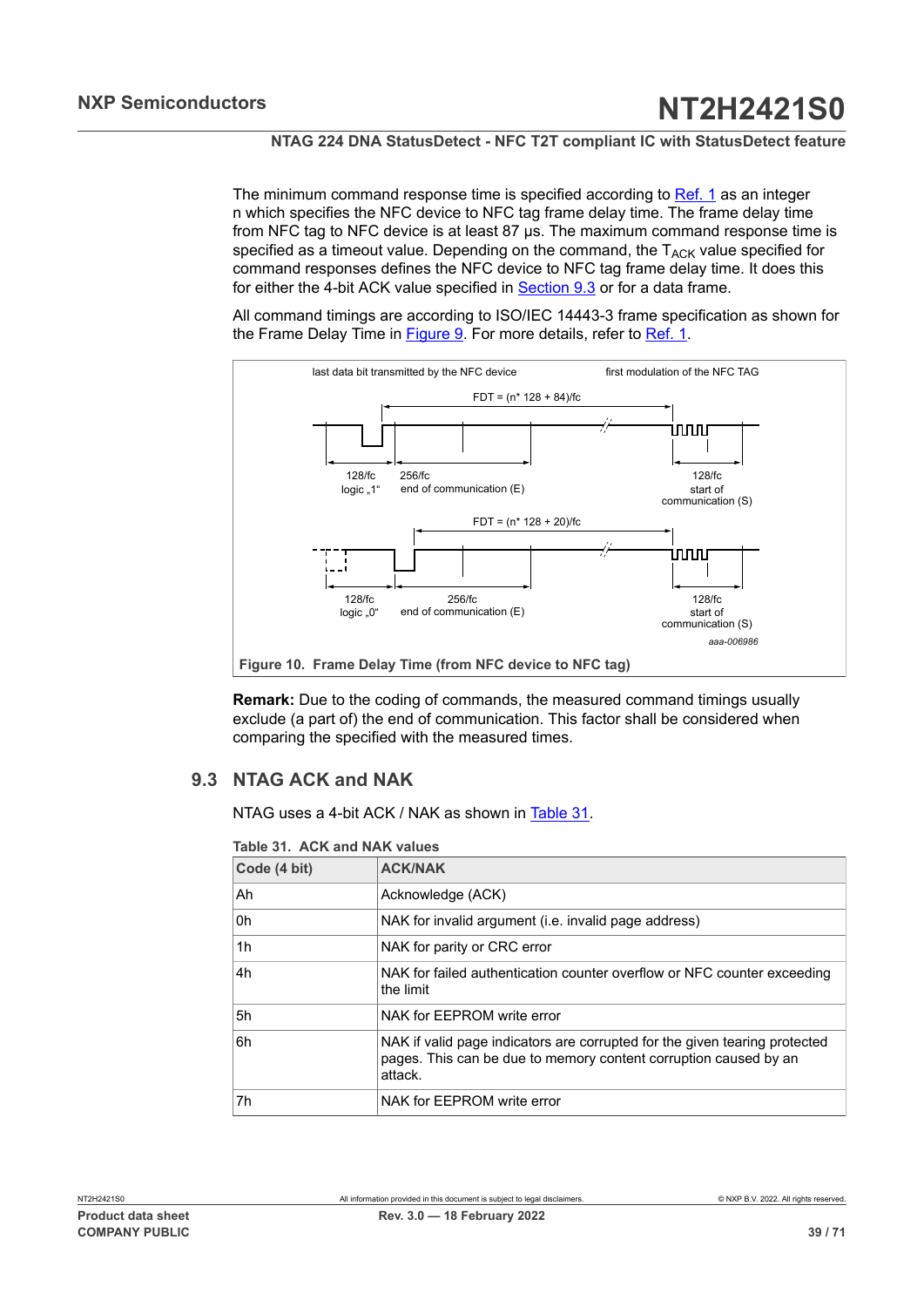The minimum command response time is specified according to  $Ref. 1$  as an integer</u> n which specifies the NFC device to NFC tag frame delay time. The frame delay time from NFC tag to NFC device is at least 87 μs. The maximum command response time is specified as a timeout value. Depending on the command, the  $T_{ACK}$  value specified for command responses defines the NFC device to NFC tag frame delay time. It does this for either the 4-bit ACK value specified in [Section 9.3](#page-38-0) or for a data frame.

All command timings are according to ISO/IEC 14443-3 frame specification as shown for the Frame Delay Time in [Figure 9](#page-38-1). For more details, refer to [Ref. 1.](#page-63-0)

<span id="page-38-3"></span>

<span id="page-38-1"></span>**Remark:** Due to the coding of commands, the measured command timings usually exclude (a part of) the end of communication. This factor shall be considered when comparing the specified with the measured times.

## **9.3 NTAG ACK and NAK**

<span id="page-38-0"></span>NTAG uses a 4-bit ACK / NAK as shown in [Table](#page-38-2) 31.

<span id="page-38-2"></span>

| Table 31. ACK and NAK values |  |
|------------------------------|--|
|------------------------------|--|

| Code (4 bit) | <b>ACK/NAK</b>                                                                                                                                            |
|--------------|-----------------------------------------------------------------------------------------------------------------------------------------------------------|
| Ah           | Acknowledge (ACK)                                                                                                                                         |
| 0h           | NAK for invalid argument (i.e. invalid page address)                                                                                                      |
| 1h           | NAK for parity or CRC error                                                                                                                               |
| 4h           | NAK for failed authentication counter overflow or NFC counter exceeding<br>the limit                                                                      |
| 5h           | NAK for EEPROM write error                                                                                                                                |
| 6h           | NAK if valid page indicators are corrupted for the given tearing protected<br>pages. This can be due to memory content corruption caused by an<br>attack. |
| 7h           | NAK for EEPROM write error                                                                                                                                |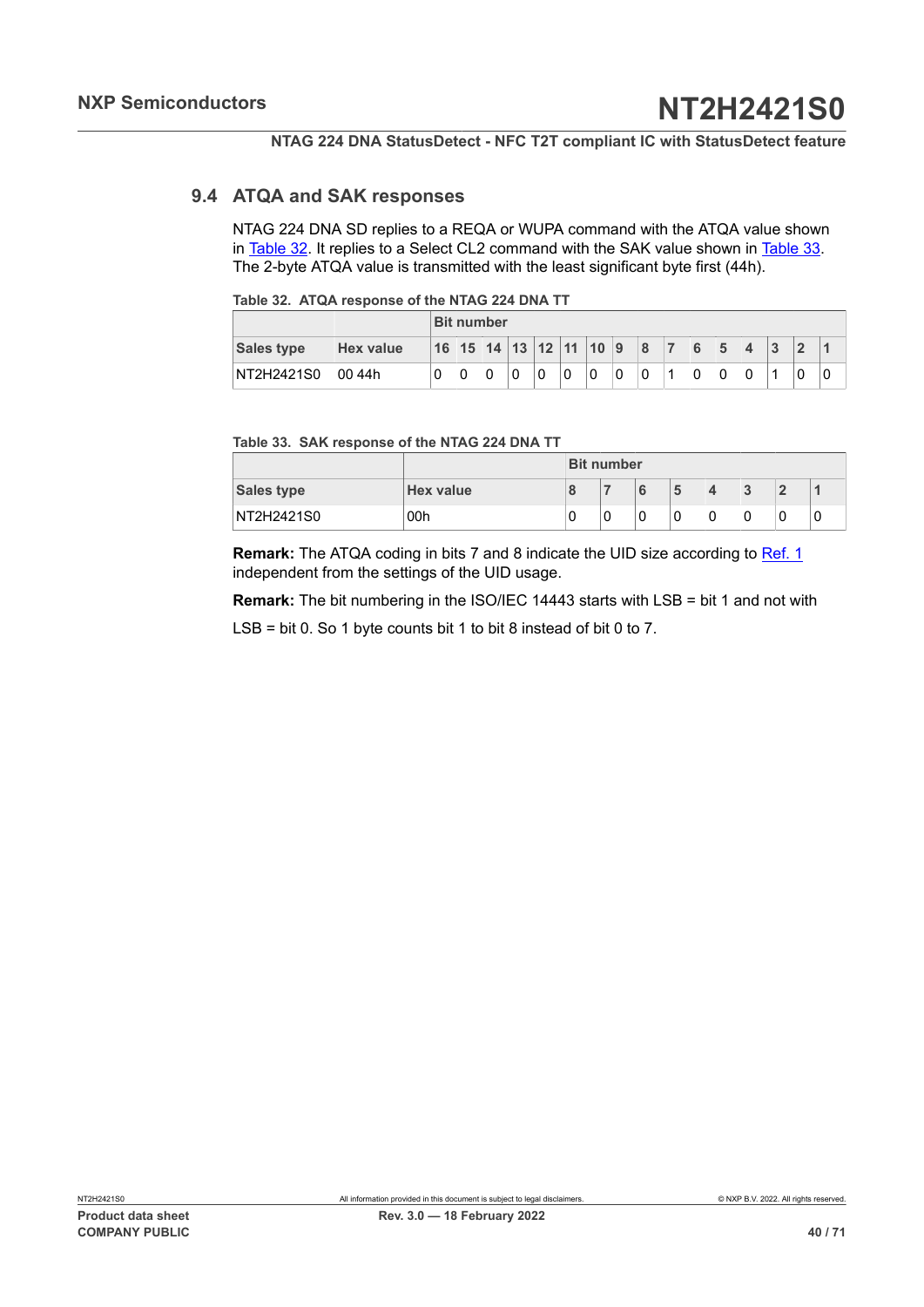## **9.4 ATQA and SAK responses**

<span id="page-39-2"></span>NTAG 224 DNA SD replies to a REQA or WUPA command with the ATQA value shown in [Table](#page-39-0) 32. It replies to a Select CL2 command with the SAK value shown in [Table](#page-39-1) 33. The 2-byte ATQA value is transmitted with the least significant byte first (44h).

<span id="page-39-0"></span>

|                   |                  | <b>Bit number</b> |  |                        |   |  |   |   |   |              |                |   |   |   |  |
|-------------------|------------------|-------------------|--|------------------------|---|--|---|---|---|--------------|----------------|---|---|---|--|
| <b>Sales type</b> | <b>Hex value</b> |                   |  | 16 15 14 13 12 11 10 9 |   |  |   |   |   | $\mathbf{8}$ | $\overline{7}$ | 6 | 5 | 3 |  |
| NT2H2421S0        | 00 44h           |                   |  |                        | 0 |  | 0 | 0 | 0 |              | 4              | 0 |   | A |  |

#### <span id="page-39-1"></span>**Table 33. SAK response of the NTAG 224 DNA TT**

|                   |                  | <b>Bit number</b> |   |  |   |   |   |  |   |  |
|-------------------|------------------|-------------------|---|--|---|---|---|--|---|--|
| <b>Sales type</b> | <b>Hex value</b> |                   |   |  | 5 | 4 | 3 |  |   |  |
| NT2H2421S0        | 00h              |                   | 0 |  | 0 | 0 | 0 |  | u |  |

**Remark:** The ATQA coding in bits 7 and 8 indicate the UID size according to [Ref. 1](#page-63-0) independent from the settings of the UID usage.

**Remark:** The bit numbering in the ISO/IEC 14443 starts with LSB = bit 1 and not with

LSB = bit 0. So 1 byte counts bit 1 to bit 8 instead of bit 0 to 7.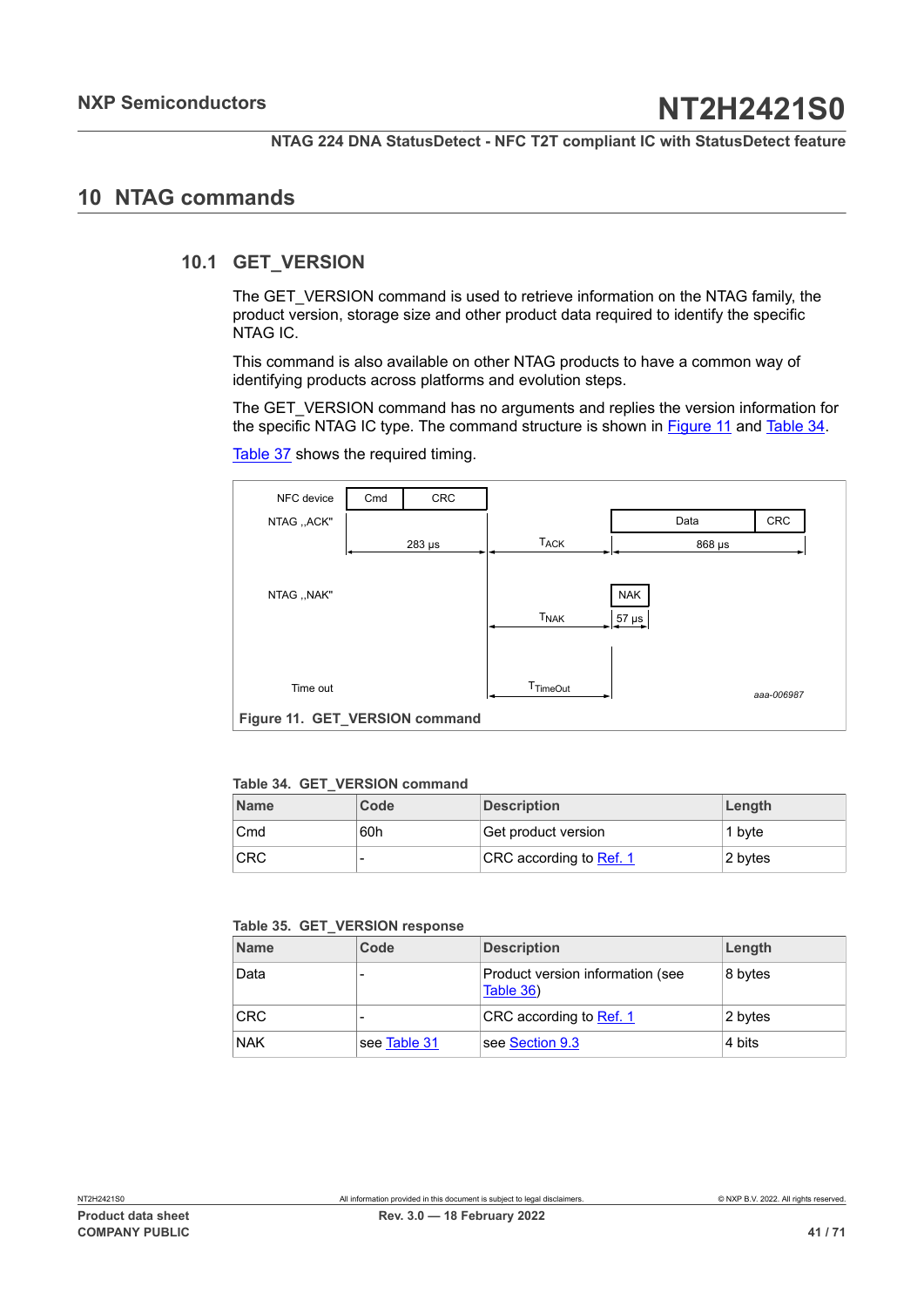## <span id="page-40-4"></span>**10 NTAG commands**

## **10.1 GET\_VERSION**

<span id="page-40-2"></span>The GET\_VERSION command is used to retrieve information on the NTAG family, the product version, storage size and other product data required to identify the specific NTAG IC.

This command is also available on other NTAG products to have a common way of identifying products across platforms and evolution steps.

The GET\_VERSION command has no arguments and replies the version information for the specific NTAG IC type. The command structure is shown in [Figure](#page-40-0) 11 and [Table](#page-40-1) 34.

<span id="page-40-0"></span>

| NFC device                     | Cmd | CRC         |                  |            |            |  |  |  |  |  |  |
|--------------------------------|-----|-------------|------------------|------------|------------|--|--|--|--|--|--|
| NTAG "ACK"                     |     |             |                  | Data       | <b>CRC</b> |  |  |  |  |  |  |
|                                |     | $283 \mu s$ | <b>TACK</b>      |            | 868 µs     |  |  |  |  |  |  |
|                                |     |             |                  |            |            |  |  |  |  |  |  |
| NTAG ,, NAK"                   |     |             |                  | <b>NAK</b> |            |  |  |  |  |  |  |
|                                |     |             | <b>TNAK</b>      | $57 \mu s$ |            |  |  |  |  |  |  |
|                                |     |             |                  |            |            |  |  |  |  |  |  |
|                                |     |             |                  |            |            |  |  |  |  |  |  |
| Time out                       |     |             | <b>T</b> TimeOut |            | aaa-006987 |  |  |  |  |  |  |
| Figure 11. GET_VERSION command |     |             |                  |            |            |  |  |  |  |  |  |

[Table](#page-41-0) 37 shows the required timing.

<span id="page-40-1"></span>

|  | Table 34. GET VERSION command |
|--|-------------------------------|
|  |                               |

| <b>Name</b> | Code | <b>Description</b>      | Length  |
|-------------|------|-------------------------|---------|
| Cmd         | 60h  | Get product version     | 1 byte  |
| <b>CRC</b>  |      | CRC according to Ref. 1 | 2 bytes |

<span id="page-40-3"></span>

|  |  | Table 35. GET_VERSION response |  |
|--|--|--------------------------------|--|
|--|--|--------------------------------|--|

| <b>Name</b> | Code         | <b>Description</b>                            | Length  |
|-------------|--------------|-----------------------------------------------|---------|
| Data        |              | Product version information (see<br>Table 36) | 8 bytes |
| <b>CRC</b>  |              | CRC according to Ref. 1                       | 2 bytes |
| <b>NAK</b>  | see Table 31 | see Section 9.3                               | 4 bits  |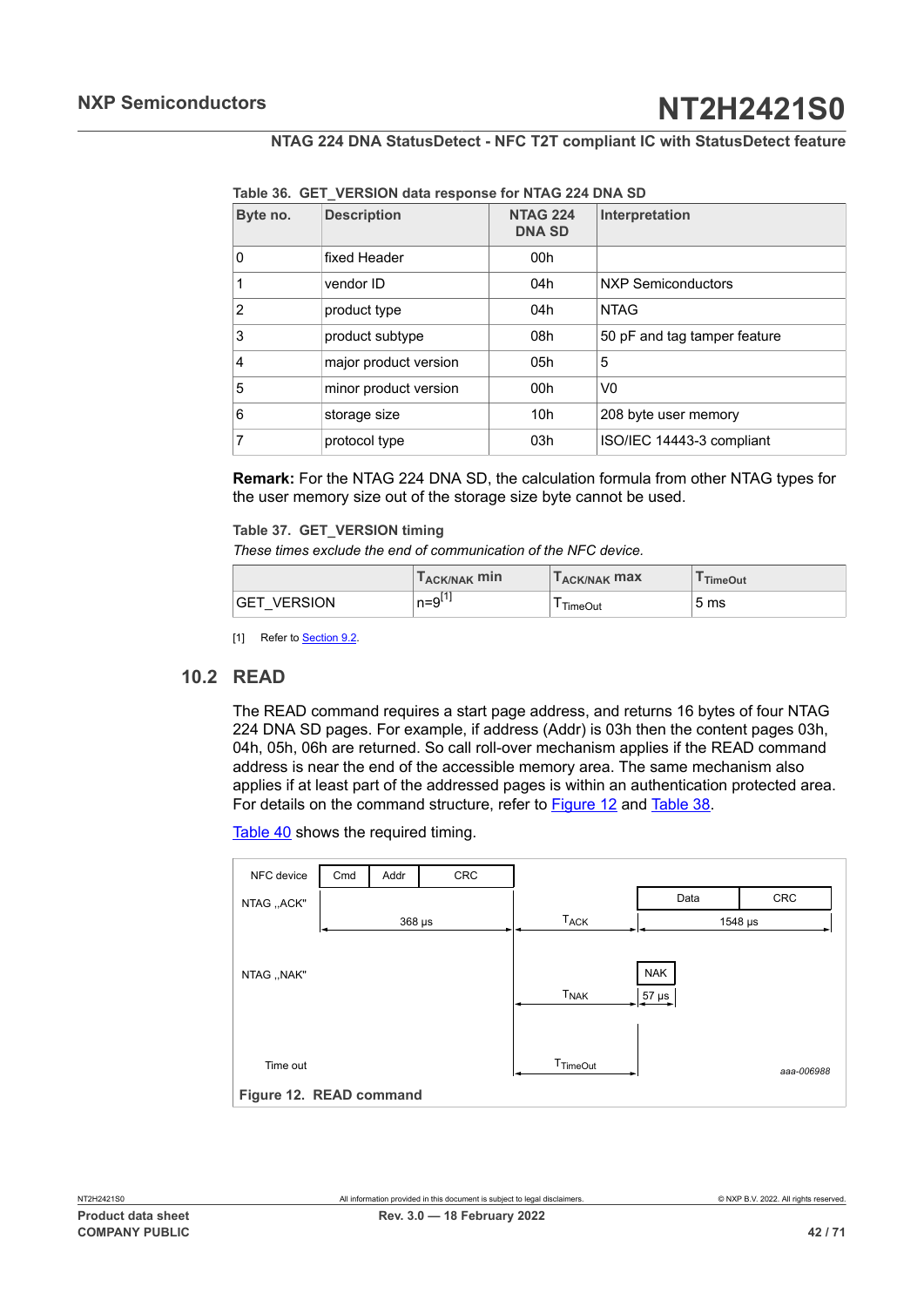| Byte no. | <b>Description</b>    | <b>NTAG 224</b><br><b>DNA SD</b> | Interpretation               |
|----------|-----------------------|----------------------------------|------------------------------|
| 0        | fixed Header          | 00h                              |                              |
|          | vendor ID             | 04h                              | <b>NXP Semiconductors</b>    |
| 2        | product type          | 04h                              | <b>NTAG</b>                  |
| 3        | product subtype       | 08h                              | 50 pF and tag tamper feature |
| 4        | major product version | 05h                              | 5                            |
| 5        | minor product version | 00 <sub>h</sub>                  | V <sub>0</sub>               |
| 6        | storage size          | 10 <sub>h</sub>                  | 208 byte user memory         |
| 7        | protocol type         | 03h                              | ISO/IEC 14443-3 compliant    |

<span id="page-41-1"></span>**Table 36. GET\_VERSION data response for NTAG 224 DNA SD**

**Remark:** For the NTAG 224 DNA SD, the calculation formula from other NTAG types for the user memory size out of the storage size byte cannot be used.

#### <span id="page-41-0"></span>**Table 37. GET\_VERSION timing**

*These times exclude the end of communication of the NFC device.*

|                              | T <sub>ACK/NAK</sub> min | T <sub>ACK/NAK</sub> max | TimeOut         |
|------------------------------|--------------------------|--------------------------|-----------------|
| <b>VERSION</b><br><b>GET</b> | n=9 <sup>⊔.</sup>        | <b>TimeOut</b>           | 5 <sub>ms</sub> |

<span id="page-41-3"></span>[1] Refer to **[Section 9.2.](#page-37-3)** 

## **10.2 READ**

The READ command requires a start page address, and returns 16 bytes of four NTAG 224 DNA SD pages. For example, if address (Addr) is 03h then the content pages 03h, 04h, 05h, 06h are returned. So call roll-over mechanism applies if the READ command address is near the end of the accessible memory area. The same mechanism also applies if at least part of the addressed pages is within an authentication protected area. For details on the command structure, refer to **Figure 12** and [Table](#page-42-0) 38.

[Table](#page-42-1) 40 shows the required timing.

<span id="page-41-2"></span>

| NFC device              | Cmd | Addr        | CRC |                        |            |            |
|-------------------------|-----|-------------|-----|------------------------|------------|------------|
| NTAG ,, ACK"            |     |             |     |                        | Data       | <b>CRC</b> |
|                         |     | $368 \mu s$ |     | <b>T<sub>ACK</sub></b> |            | 1548 µs    |
|                         |     |             |     |                        |            |            |
| NTAG ,, NAK"            |     |             |     |                        | <b>NAK</b> |            |
|                         |     |             |     | <b>T<sub>NAK</sub></b> | $57 \mu s$ |            |
|                         |     |             |     |                        |            |            |
|                         |     |             |     |                        |            |            |
| Time out                |     |             |     | T <sub>TimeOut</sub>   |            | aaa-006988 |
| Figure 12. READ command |     |             |     |                        |            |            |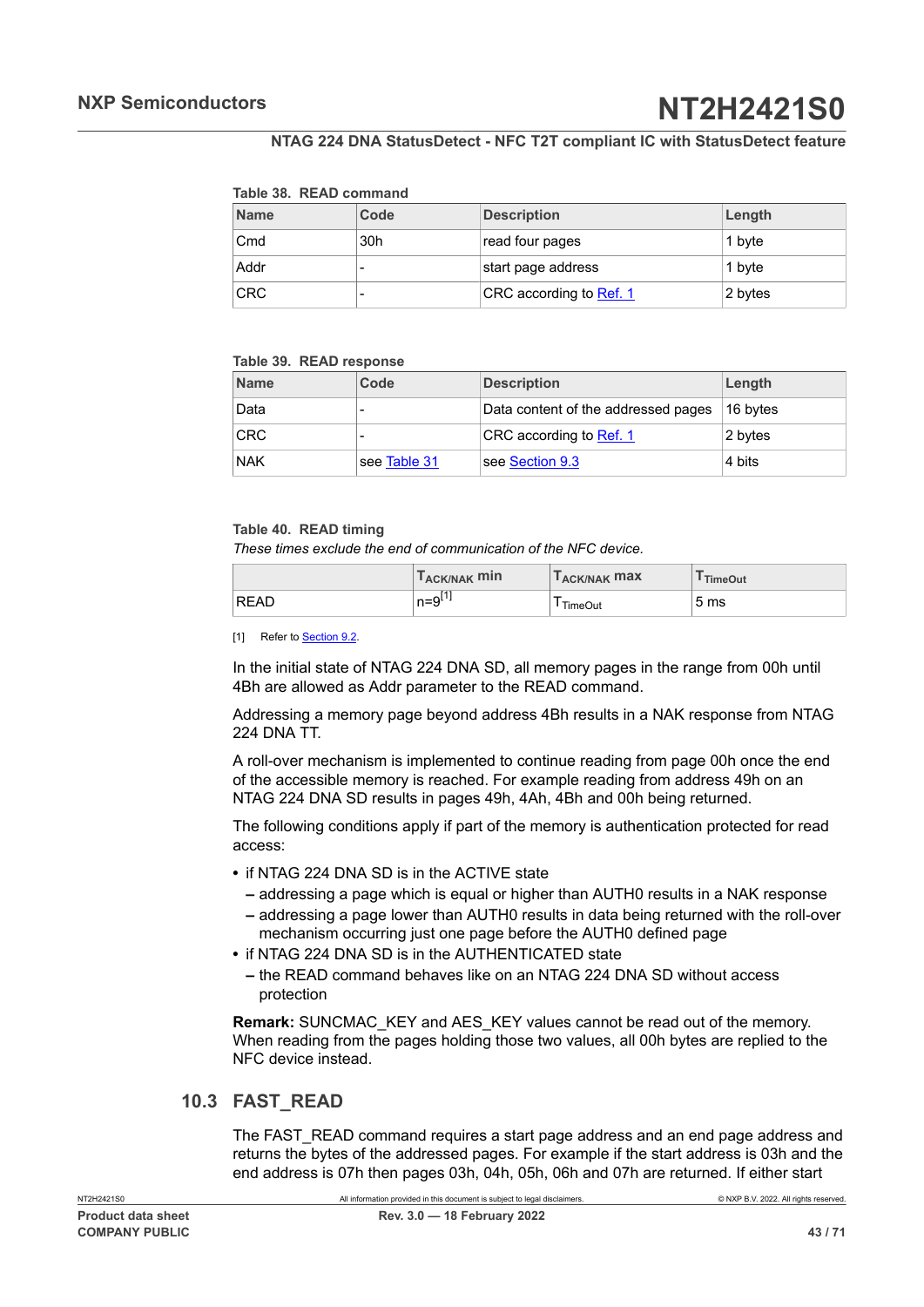#### <span id="page-42-0"></span>**Table 38. READ command**

| <b>Name</b> | Code | <b>Description</b>      | Length  |
|-------------|------|-------------------------|---------|
| Cmd         | 30h  | read four pages         | 1 byte  |
| Addr        |      | start page address      | 1 byte  |
| <b>CRC</b>  |      | CRC according to Ref. 1 | 2 bytes |

#### <span id="page-42-2"></span>**Table 39. READ response**

| <b>Name</b> | Code         | <b>Description</b>                  | Length   |
|-------------|--------------|-------------------------------------|----------|
| Data        |              | Data content of the addressed pages | 16 bytes |
| <b>CRC</b>  |              | CRC according to Ref. 1             | 2 bytes  |
| <b>NAK</b>  | see Table 31 | see Section 9.3                     | 4 bits   |

#### <span id="page-42-1"></span>**Table 40. READ timing**

*These times exclude the end of communication of the NFC device.*

|             | T <sub>ACK/NAK</sub> min | <b>LACK/NAK MAX</b> | <sup>I</sup> TimeOut |
|-------------|--------------------------|---------------------|----------------------|
| <b>READ</b> | $n = 9^{11}$             | TimeOut             | 5 <sub>ms</sub>      |

[1] Refer to [Section 9.2.](#page-37-3)

In the initial state of NTAG 224 DNA SD, all memory pages in the range from 00h until 4Bh are allowed as Addr parameter to the READ command.

Addressing a memory page beyond address 4Bh results in a NAK response from NTAG 224 DNA TT.

A roll-over mechanism is implemented to continue reading from page 00h once the end of the accessible memory is reached. For example reading from address 49h on an NTAG 224 DNA SD results in pages 49h, 4Ah, 4Bh and 00h being returned.

The following conditions apply if part of the memory is authentication protected for read access:

- **•** if NTAG 224 DNA SD is in the ACTIVE state
	- **–** addressing a page which is equal or higher than AUTH0 results in a NAK response
	- **–** addressing a page lower than AUTH0 results in data being returned with the roll-over mechanism occurring just one page before the AUTH0 defined page
- **•** if NTAG 224 DNA SD is in the AUTHENTICATED state
	- **–** the READ command behaves like on an NTAG 224 DNA SD without access protection

**Remark: SUNCMAC\_KEY and AES\_KEY values cannot be read out of the memory.** When reading from the pages holding those two values, all 00h bytes are replied to the NFC device instead.

## **10.3 FAST\_READ**

<span id="page-42-3"></span>The FAST\_READ command requires a start page address and an end page address and returns the bytes of the addressed pages. For example if the start address is 03h and the end address is 07h then pages 03h, 04h, 05h, 06h and 07h are returned. If either start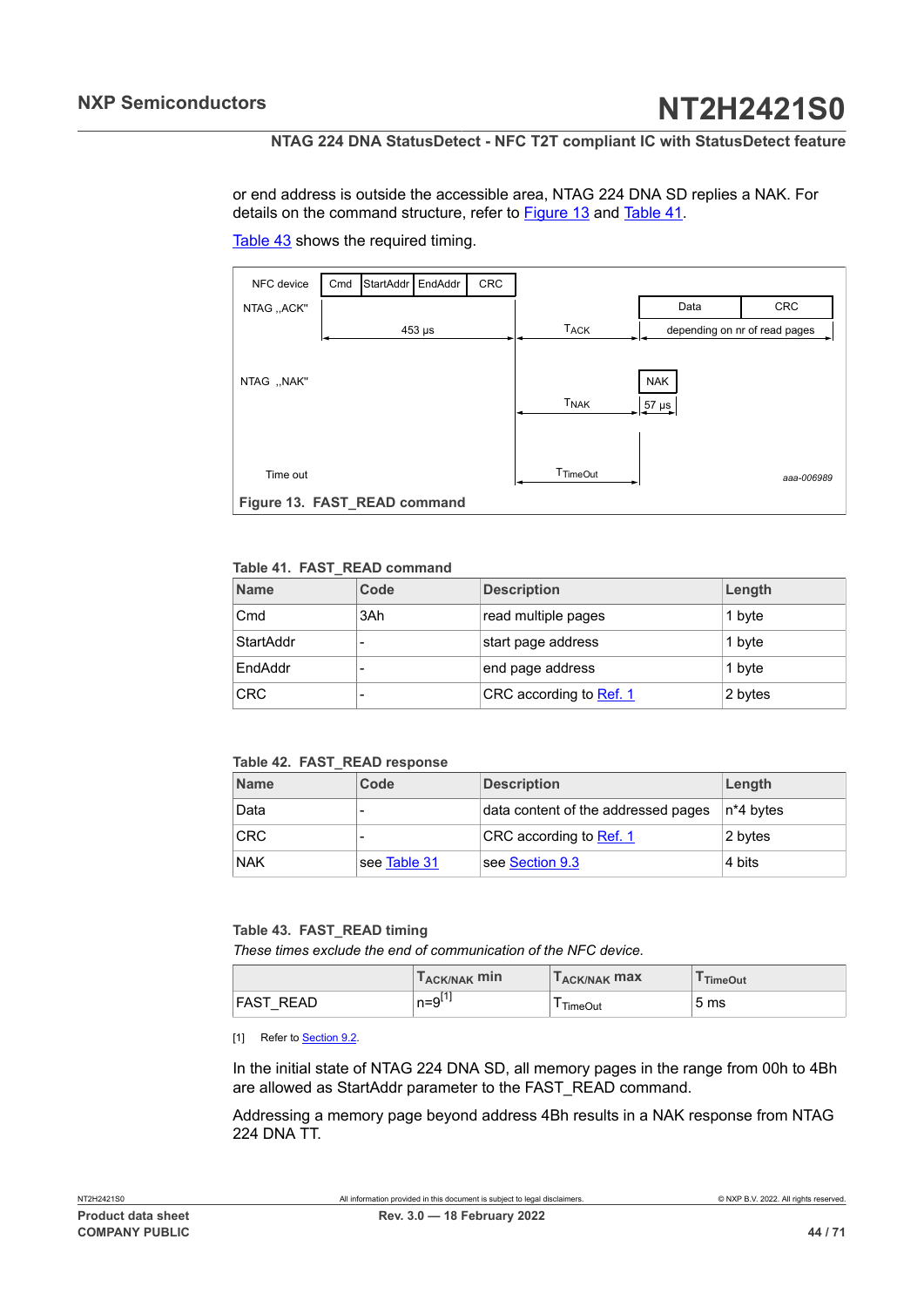### **NTAG 224 DNA StatusDetect - NFC T2T compliant IC with StatusDetect feature**

<span id="page-43-3"></span>or end address is outside the accessible area, NTAG 224 DNA SD replies a NAK. For details on the command structure, refer to [Figure 13](#page-43-0) and [Table](#page-43-1) 41.

<span id="page-43-0"></span>

[Table](#page-43-2) 43 shows the required timing.

#### <span id="page-43-1"></span>**Table 41. FAST\_READ command**

| <b>Name</b> | Code | <b>Description</b>      | Length  |
|-------------|------|-------------------------|---------|
| Cmd         | 3Ah  | read multiple pages     | 1 byte  |
| StartAddr   |      | start page address      | 1 byte  |
| EndAddr     |      | end page address        | 1 byte  |
| <b>CRC</b>  |      | CRC according to Ref. 1 | 2 bytes |

#### <span id="page-43-4"></span>**Table 42. FAST\_READ response**

| <b>Name</b> | Code         | <b>Description</b>                  | Length     |
|-------------|--------------|-------------------------------------|------------|
| Data        | -            | data content of the addressed pages | ⊺n*4 b∨tes |
| <b>CRC</b>  | -            | CRC according to Ref. 1             | 2 bytes    |
| <b>NAK</b>  | see Table 31 | see Section 9.3                     | 4 bits     |

## <span id="page-43-2"></span>**Table 43. FAST\_READ timing**

*These times exclude the end of communication of the NFC device.*

|                  | $T_{ACK/NAK}$ min | $\mathsf{L}_{\mathsf{ACK}/\mathsf{NAK}}$ max | <sup>I</sup> TimeOut |
|------------------|-------------------|----------------------------------------------|----------------------|
| <b>FAST READ</b> | $n = 9^{[1]}$     | TimeOut                                      | 5 <sub>ms</sub>      |

[1] Refer to **Section 9.2** 

In the initial state of NTAG 224 DNA SD, all memory pages in the range from 00h to 4Bh are allowed as StartAddr parameter to the FAST\_READ command.

Addressing a memory page beyond address 4Bh results in a NAK response from NTAG 224 DNA TT.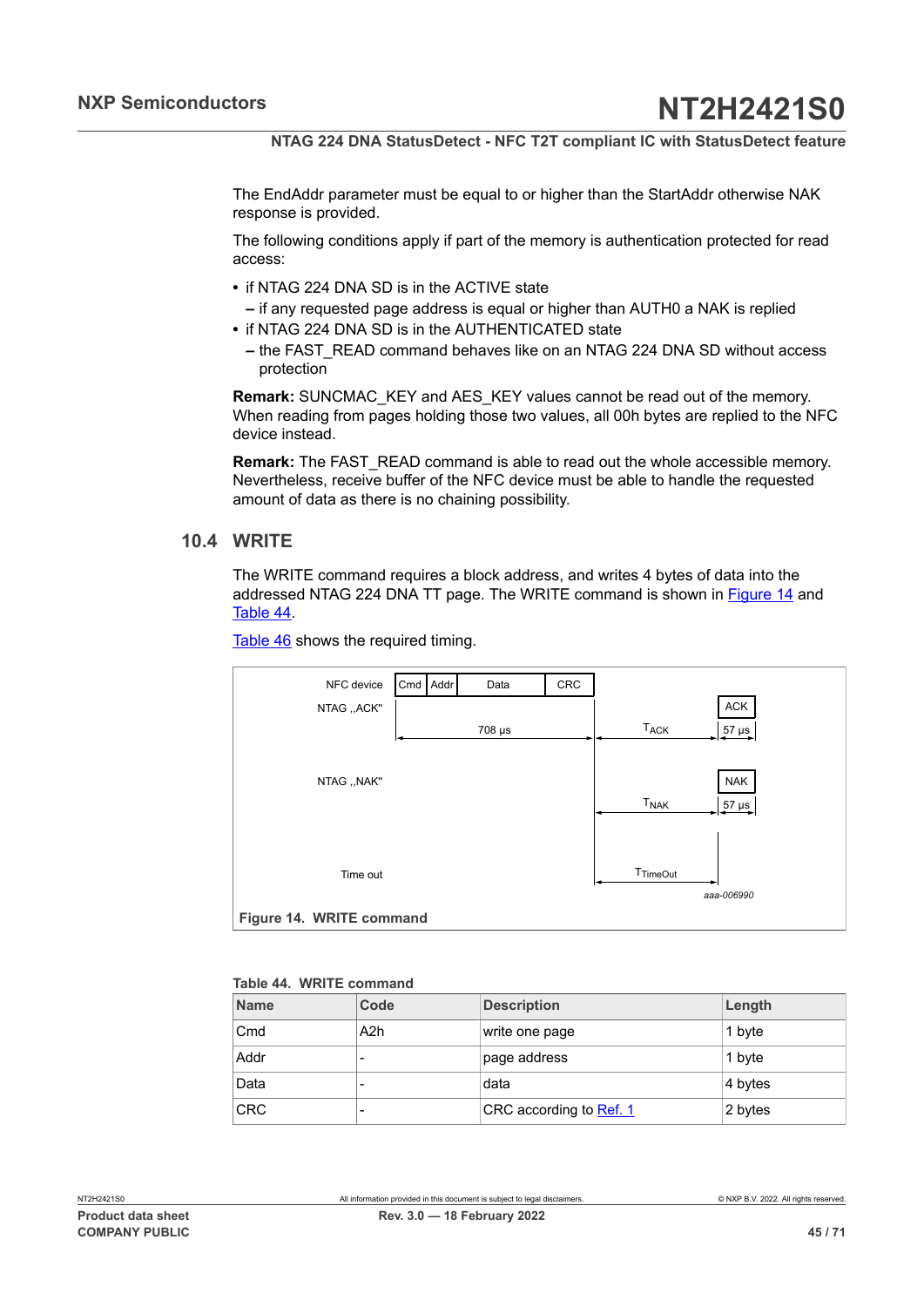The EndAddr parameter must be equal to or higher than the StartAddr otherwise NAK response is provided.

The following conditions apply if part of the memory is authentication protected for read access:

- **•** if NTAG 224 DNA SD is in the ACTIVE state
	- **–** if any requested page address is equal or higher than AUTH0 a NAK is replied
- **•** if NTAG 224 DNA SD is in the AUTHENTICATED state
	- **–** the FAST\_READ command behaves like on an NTAG 224 DNA SD without access protection

**Remark:** SUNCMAC\_KEY and AES\_KEY values cannot be read out of the memory. When reading from pages holding those two values, all 00h bytes are replied to the NFC device instead.

**Remark:** The FAST\_READ command is able to read out the whole accessible memory. Nevertheless, receive buffer of the NFC device must be able to handle the requested amount of data as there is no chaining possibility.

## **10.4 WRITE**

<span id="page-44-2"></span>The WRITE command requires a block address, and writes 4 bytes of data into the addressed NTAG 224 DNA TT page. The WRITE command is shown in [Figure 14](#page-44-0) and [Table](#page-44-1) 44.

<span id="page-44-0"></span>

| NFC device               | Cmd Addr | Data   | CRC |                        |                   |
|--------------------------|----------|--------|-----|------------------------|-------------------|
| NTAG "ACK"               |          |        |     |                        | <b>ACK</b>        |
|                          |          | 708 µs |     | <b>TACK</b>            | $\frac{57}{1}$ µs |
|                          |          |        |     |                        |                   |
| NTAG ,, NAK"             |          |        |     |                        | <b>NAK</b>        |
|                          |          |        |     | <b>T<sub>NAK</sub></b> | 57 µs             |
|                          |          |        |     |                        |                   |
|                          |          |        |     |                        |                   |
| Time out                 |          |        |     | T <sub>TimeOut</sub>   | aaa-006990        |
| Figure 14. WRITE command |          |        |     |                        |                   |

[Table](#page-45-0) 46 shows the required timing.

#### <span id="page-44-1"></span>**Table 44. WRITE command**

| <b>Name</b> | Code             | <b>Description</b>      | Length  |
|-------------|------------------|-------------------------|---------|
| Cmd         | A <sub>2</sub> h | write one page          | 1 byte  |
| Addr        |                  | page address            | 1 byte  |
| Data        |                  | data                    | 4 bytes |
| <b>CRC</b>  | -                | CRC according to Ref. 1 | 2 bytes |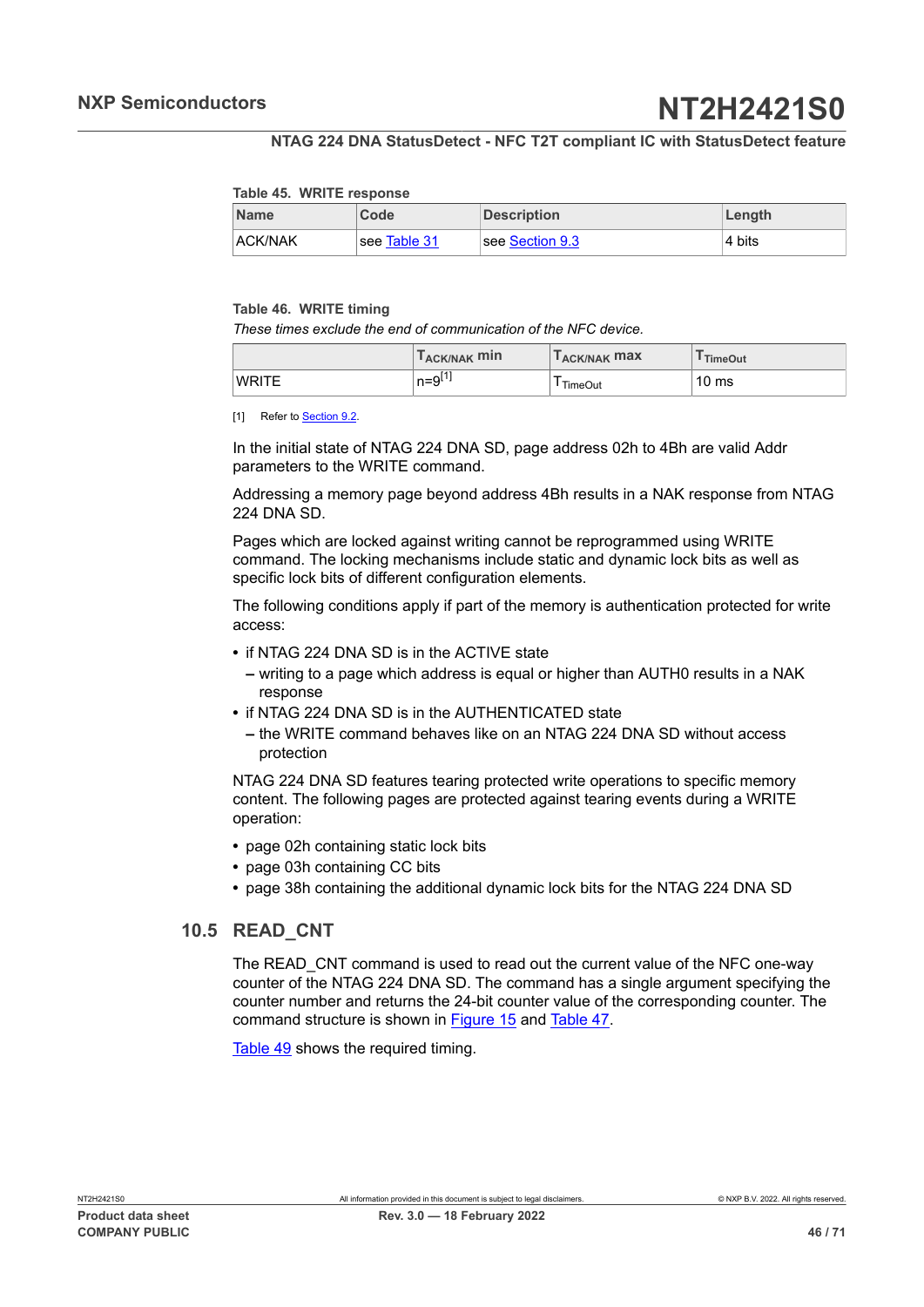#### <span id="page-45-1"></span>**Table 45. WRITE response**

| <b>Name</b>    | Code         | <b>Description</b> | Length |
|----------------|--------------|--------------------|--------|
| <b>ACK/NAK</b> | see Table 31 | see Section 9.3    | 4 bits |

#### <span id="page-45-0"></span>**Table 46. WRITE timing**

*These times exclude the end of communication of the NFC device.*

|              | T <sub>ACK/NAK</sub> min   | T <sub>ACK/NAK</sub> max | <sup>I</sup> TimeOut |
|--------------|----------------------------|--------------------------|----------------------|
| <b>WRITE</b> | <b>F41</b><br>$n = 9^{11}$ | <b>TimeOut</b>           | 10 <sub>ms</sub>     |

[1] Refer to **[Section 9.2.](#page-37-3)** 

In the initial state of NTAG 224 DNA SD, page address 02h to 4Bh are valid Addr parameters to the WRITE command.

Addressing a memory page beyond address 4Bh results in a NAK response from NTAG 224 DNA SD.

Pages which are locked against writing cannot be reprogrammed using WRITE command. The locking mechanisms include static and dynamic lock bits as well as specific lock bits of different configuration elements.

The following conditions apply if part of the memory is authentication protected for write access:

- **•** if NTAG 224 DNA SD is in the ACTIVE state
	- **–** writing to a page which address is equal or higher than AUTH0 results in a NAK response
- **•** if NTAG 224 DNA SD is in the AUTHENTICATED state
	- **–** the WRITE command behaves like on an NTAG 224 DNA SD without access protection

NTAG 224 DNA SD features tearing protected write operations to specific memory content. The following pages are protected against tearing events during a WRITE operation:

- **•** page 02h containing static lock bits
- **•** page 03h containing CC bits
- <span id="page-45-2"></span>**•** page 38h containing the additional dynamic lock bits for the NTAG 224 DNA SD

## **10.5 READ\_CNT**

The READ\_CNT command is used to read out the current value of the NFC one-way counter of the NTAG 224 DNA SD. The command has a single argument specifying the counter number and returns the 24-bit counter value of the corresponding counter. The command structure is shown in [Figure 15](#page-46-1) and [Table](#page-46-2) 47.

[Table](#page-46-3) 49 shows the required timing.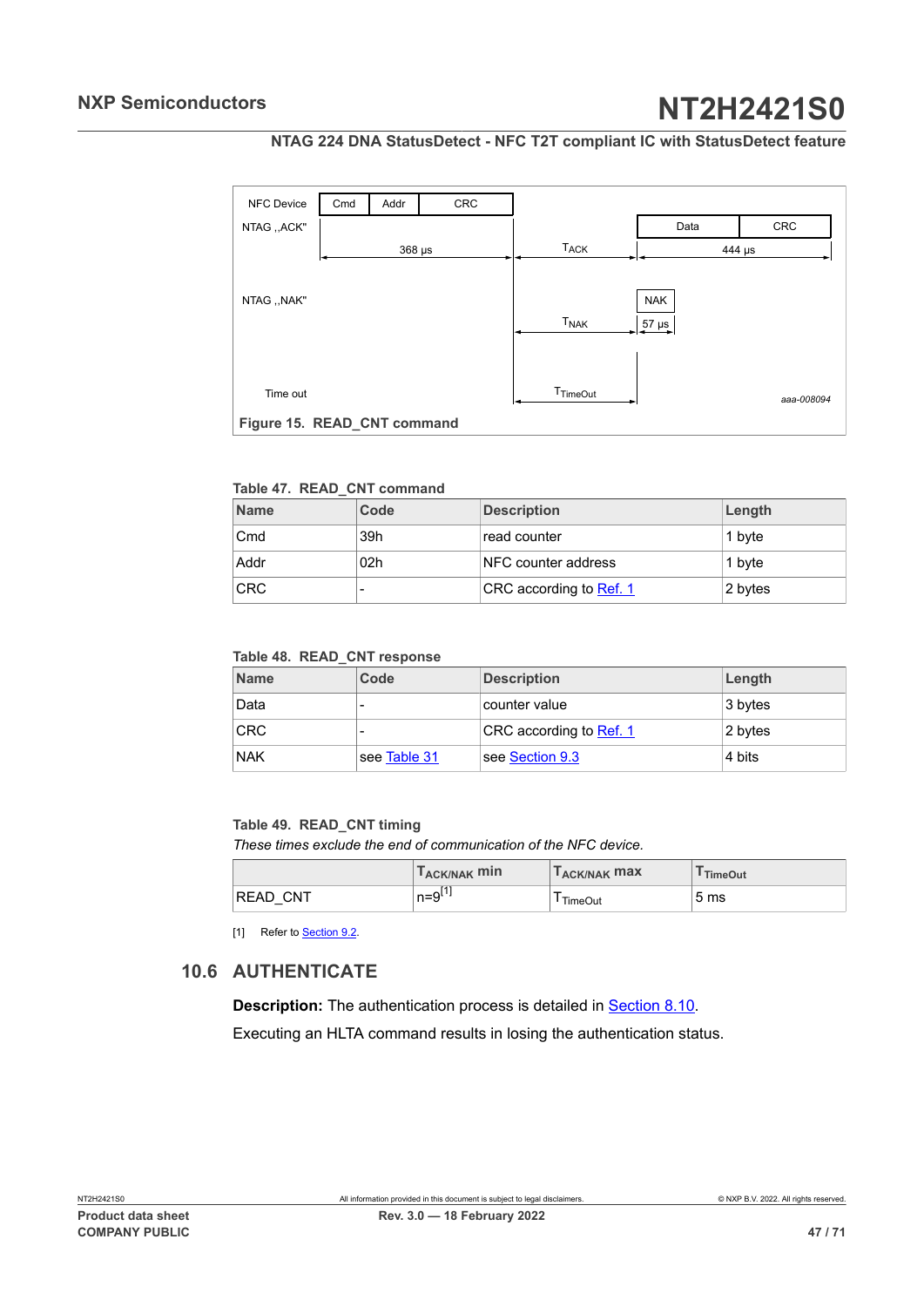## **NTAG 224 DNA StatusDetect - NFC T2T compliant IC with StatusDetect feature**

<span id="page-46-4"></span><span id="page-46-1"></span>

#### <span id="page-46-2"></span>**Table 47. READ\_CNT command**

| <b>Name</b> | Code            | <b>Description</b>      | Length  |
|-------------|-----------------|-------------------------|---------|
| Cmd         | 39h             | ⊺read counter           | 1 byte  |
| Addr        | 02 <sub>h</sub> | NFC counter address     | 1 byte  |
| <b>CRC</b>  |                 | CRC according to Ref. 1 | 2 bytes |

#### <span id="page-46-5"></span>**Table 48. READ\_CNT response**

| <b>Name</b> | Code         | <b>Description</b>      | Length  |
|-------------|--------------|-------------------------|---------|
| Data        |              | counter value           | 3 bytes |
| <b>CRC</b>  |              | CRC according to Ref. 1 | 2 bytes |
| <b>NAK</b>  | see Table 31 | see Section 9.3         | 4 bits  |

#### <span id="page-46-3"></span>**Table 49. READ\_CNT timing**

*These times exclude the end of communication of the NFC device.*

|                 | T <sub>ACK/NAK</sub> min | T <sub>ACK/NAK</sub> max | <sup>I</sup> TimeOut |
|-----------------|--------------------------|--------------------------|----------------------|
| <b>READ CNT</b> | $n = 9L+1$               | <b>TimeOut</b>           | 5 <sub>ms</sub>      |

<span id="page-46-0"></span>[1] Refer to **[Section 9.2.](#page-37-3)** 

## **10.6 AUTHENTICATE**

**Description:** The authentication process is detailed in **Section 8.10.** 

Executing an HLTA command results in losing the authentication status.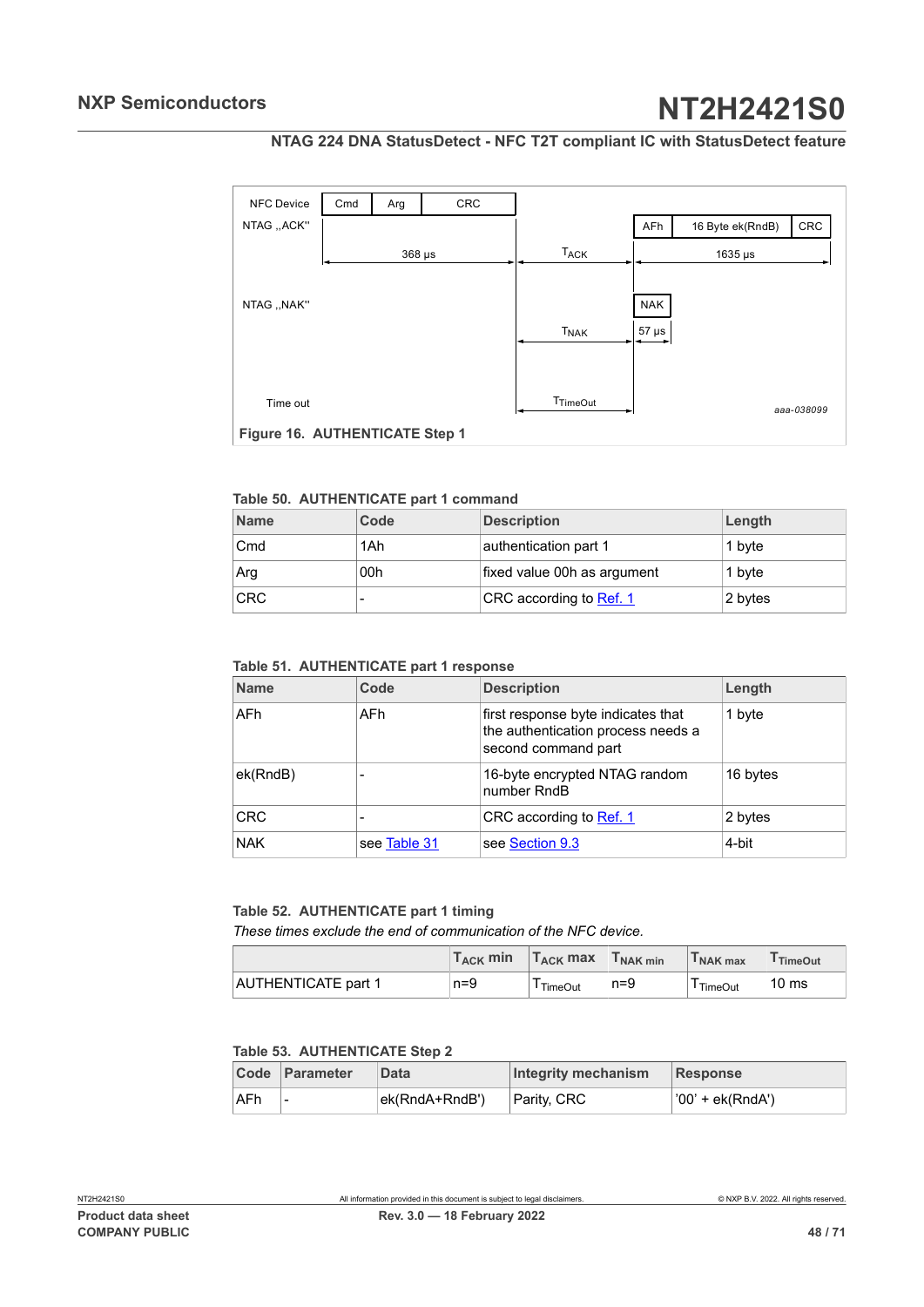## **NTAG 224 DNA StatusDetect - NFC T2T compliant IC with StatusDetect feature**

<span id="page-47-4"></span>

#### <span id="page-47-0"></span>**Table 50. AUTHENTICATE part 1 command**

| <b>Name</b> | Code | <b>Description</b>          | Length  |
|-------------|------|-----------------------------|---------|
| Cmd         | 1Ah  | authentication part 1       | 1 byte  |
| Arg         | 00h  | fixed value 00h as argument | 1 byte  |
| <b>CRC</b>  |      | CRC according to Ref. 1     | 2 bytes |

#### <span id="page-47-1"></span>**Table 51. AUTHENTICATE part 1 response**

| <b>Name</b> | Code         | <b>Description</b>                                                                              | Length   |
|-------------|--------------|-------------------------------------------------------------------------------------------------|----------|
| <b>AFh</b>  | AFh          | first response byte indicates that<br>the authentication process needs a<br>second command part | 1 byte   |
| ek(RndB)    |              | 16-byte encrypted NTAG random<br>number RndB                                                    | 16 bytes |
| <b>CRC</b>  | -            | CRC according to Ref. 1                                                                         | 2 bytes  |
| <b>NAK</b>  | see Table 31 | see Section 9.3                                                                                 | 4-bit    |

#### <span id="page-47-2"></span>**Table 52. AUTHENTICATE part 1 timing**

*These times exclude the end of communication of the NFC device.*

|                            | $T_{\rm ACK}$ min | $T_{ACK}$ max | T <sub>NAK min</sub> | I NAK max | <sup>I</sup> TimeOut |
|----------------------------|-------------------|---------------|----------------------|-----------|----------------------|
| <b>AUTHENTICATE part 1</b> | $n=9$             | TimeOut       | $n = 9$              | TimeOut   | 10 <sub>ms</sub>     |

### <span id="page-47-3"></span>**Table 53. AUTHENTICATE Step 2**

|      | Code Parameter | Data           | Integrity mechanism | Response         |
|------|----------------|----------------|---------------------|------------------|
| ∣AFh | -              | ek(RndA+RndB') | Parity, CRC         | '00' + ek(RndA') |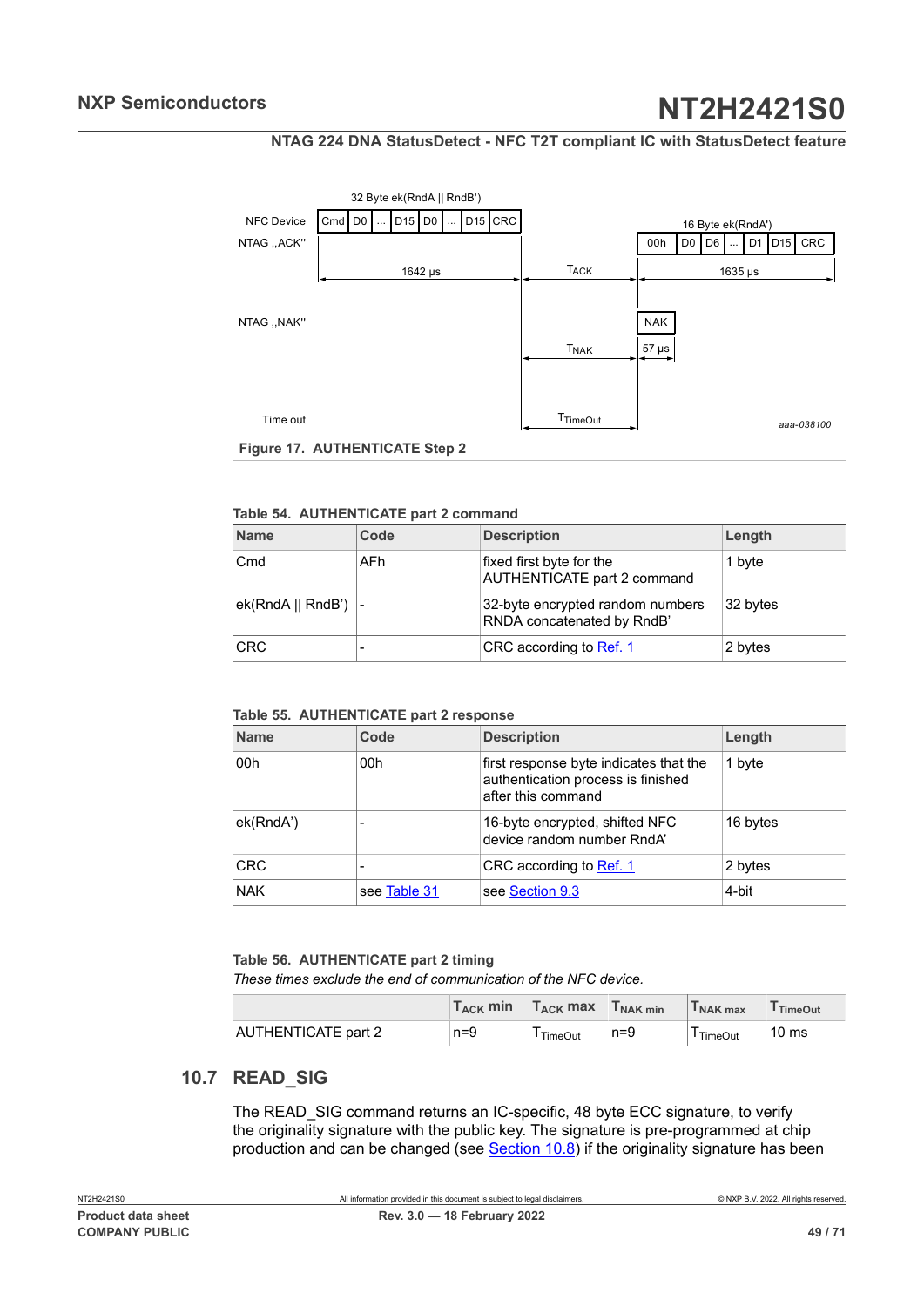## **NTAG 224 DNA StatusDetect - NFC T2T compliant IC with StatusDetect feature**

<span id="page-48-3"></span>

#### <span id="page-48-0"></span>**Table 54. AUTHENTICATE part 2 command**

| <b>Name</b>          | Code | <b>Description</b>                                             | Length   |
|----------------------|------|----------------------------------------------------------------|----------|
| Cmd                  | AFh  | fixed first byte for the<br><b>AUTHENTICATE part 2 command</b> | 1 byte   |
| ek(RndA    RndB')  - |      | 32-byte encrypted random numbers<br>RNDA concatenated by RndB' | 32 bytes |
| <b>CRC</b>           | -    | CRC according to Ref. 1                                        | 2 bytes  |

#### <span id="page-48-1"></span>**Table 55. AUTHENTICATE part 2 response**

| <b>Name</b> | Code                     | <b>Description</b>                                                                                 | Length   |
|-------------|--------------------------|----------------------------------------------------------------------------------------------------|----------|
| 00h         | 00h                      | first response byte indicates that the<br>authentication process is finished<br>after this command | 1 byte   |
| ek(RndA')   |                          | 16-byte encrypted, shifted NFC<br>device random number RndA'                                       | 16 bytes |
| <b>CRC</b>  | $\overline{\phantom{0}}$ | CRC according to Ref. 1                                                                            | 2 bytes  |
| <b>NAK</b>  | see Table 31             | see Section 9.3                                                                                    | 4-bit    |

#### <span id="page-48-2"></span>**Table 56. AUTHENTICATE part 2 timing**

*These times exclude the end of communication of the NFC device.*

|                            | T <sub>ACK</sub> min | $T_{ACK}$ max | T <sub>NAK min</sub> | I NAK max | <sup>I</sup> TimeOut |
|----------------------------|----------------------|---------------|----------------------|-----------|----------------------|
| <b>AUTHENTICATE part 2</b> | $n=9$                | TimeOut       | $n = 9$              | TimeOut   | 10 <sub>ms</sub>     |

## **10.7 READ\_SIG**

<span id="page-48-4"></span>The READ SIG command returns an IC-specific, 48 byte ECC signature, to verify the originality signature with the public key. The signature is pre-programmed at chip production and can be changed (see [Section 10.8\)](#page-49-0) if the originality signature has been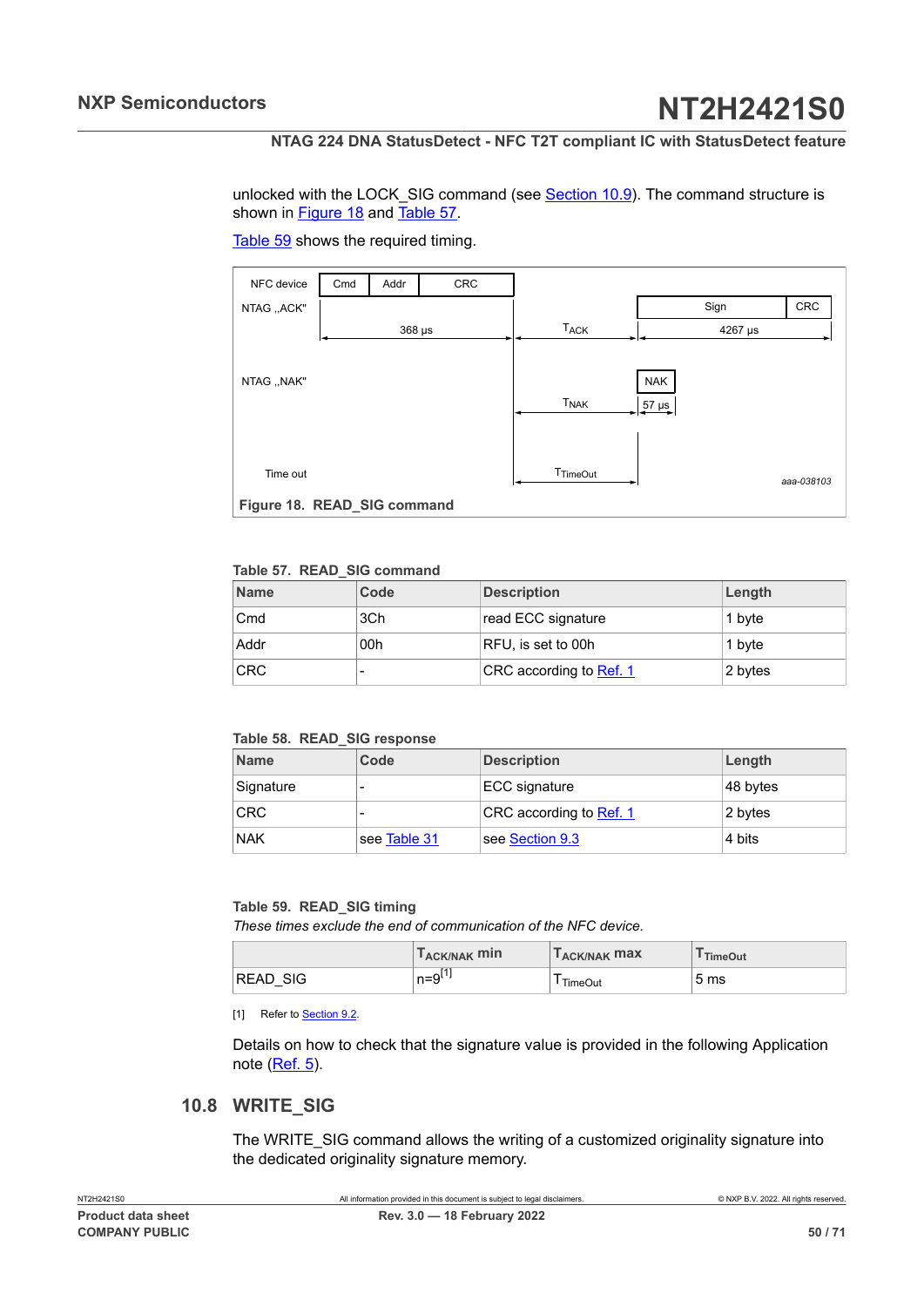<span id="page-49-4"></span>unlocked with the LOCK\_SIG command (see [Section 10.9](#page-51-0)). The command structure is shown in [Figure 18](#page-49-1) and [Table](#page-49-2) 57.

<span id="page-49-1"></span>

#### [Table](#page-49-3) 59 shows the required timing.

#### <span id="page-49-2"></span>**Table 57. READ\_SIG command**

| <b>Name</b> | Code | <b>Description</b>      | Length  |
|-------------|------|-------------------------|---------|
| Cmd         | 3Ch  | read ECC signature      | 1 byte  |
| Addr        | 00h  | RFU, is set to 00h      | 1 byte  |
| <b>CRC</b>  |      | CRC according to Ref. 1 | 2 bytes |

#### <span id="page-49-5"></span>**Table 58. READ\_SIG response**

| <b>Name</b> | Code         | <b>Description</b>      | Length   |
|-------------|--------------|-------------------------|----------|
| Signature   |              | ECC signature           | 48 bytes |
| <b>CRC</b>  |              | CRC according to Ref. 1 | 2 bytes  |
| <b>NAK</b>  | see Table 31 | see Section 9.3         | 4 bits   |

#### <span id="page-49-3"></span>**Table 59. READ\_SIG timing**

*These times exclude the end of communication of the NFC device.*

|                                | T <sub>ACK/NAK</sub> min             | ACK/NAK <b>MAX</b> | <b>TimeOut</b>  |
|--------------------------------|--------------------------------------|--------------------|-----------------|
| <b>SIG</b><br><b>READ</b><br>_ | <b>641</b><br>$n = 0$<br>$11-$<br>ت. | <b>TimeOut</b>     | 5 <sub>ms</sub> |

[1] Refer to **[Section 9.2.](#page-37-3)** 

Details on how to check that the signature value is provided in the following Application note ([Ref. 5](#page-63-9)).

## **10.8 WRITE\_SIG**

<span id="page-49-0"></span>The WRITE\_SIG command allows the writing of a customized originality signature into the dedicated originality signature memory.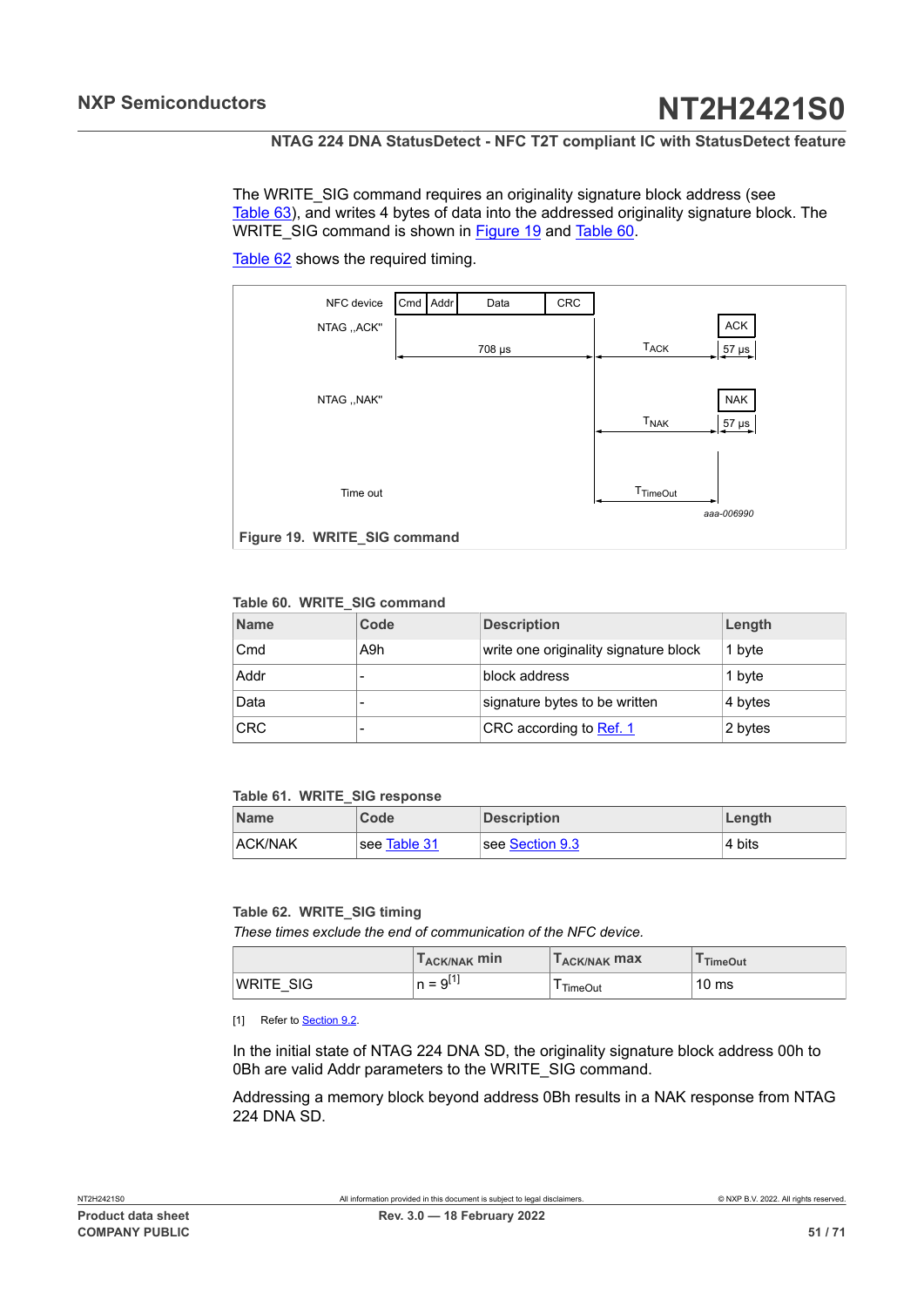<span id="page-50-3"></span>The WRITE\_SIG command requires an originality signature block address (see [Table](#page-51-1) 63), and writes 4 bytes of data into the addressed originality signature block. The WRITE\_SIG command is shown in **Figure 19** and [Table](#page-50-1) 60.

[Table](#page-50-2) 62 shows the required timing.

<span id="page-50-0"></span>

### <span id="page-50-1"></span>**Table 60. WRITE\_SIG command**

| <b>Name</b> | Code | <b>Description</b>                    | Length  |
|-------------|------|---------------------------------------|---------|
| Cmd         | A9h  | write one originality signature block | 1 byte  |
| Addr        |      | block address                         | 1 byte  |
| Data        |      | signature bytes to be written         | 4 bytes |
| <b>CRC</b>  |      | CRC according to Ref. 1               | 2 bytes |

#### <span id="page-50-4"></span>**Table 61. WRITE\_SIG response**

| <b>Name</b>    | Code         | <b>Description</b> | ∣Length |
|----------------|--------------|--------------------|---------|
| <b>ACK/NAK</b> | see Table 31 | see Section 9.3    | ∣4 bits |

#### <span id="page-50-2"></span>**Table 62. WRITE\_SIG timing**

*These times exclude the end of communication of the NFC device.*

|                  | T <sub>ACK/NAK</sub> min                                         | <b>I ACK/NAK MAX</b> | <b>TimeOut</b>   |
|------------------|------------------------------------------------------------------|----------------------|------------------|
| <b>WRITE SIG</b> | QL'<br>$\overline{\phantom{0}}$<br>$\overline{\phantom{0}}$<br>u | <b>TimeOut</b>       | 10 <sub>ms</sub> |

[1] Refer to [Section 9.2.](#page-37-3)

In the initial state of NTAG 224 DNA SD, the originality signature block address 00h to 0Bh are valid Addr parameters to the WRITE\_SIG command.

Addressing a memory block beyond address 0Bh results in a NAK response from NTAG 224 DNA SD.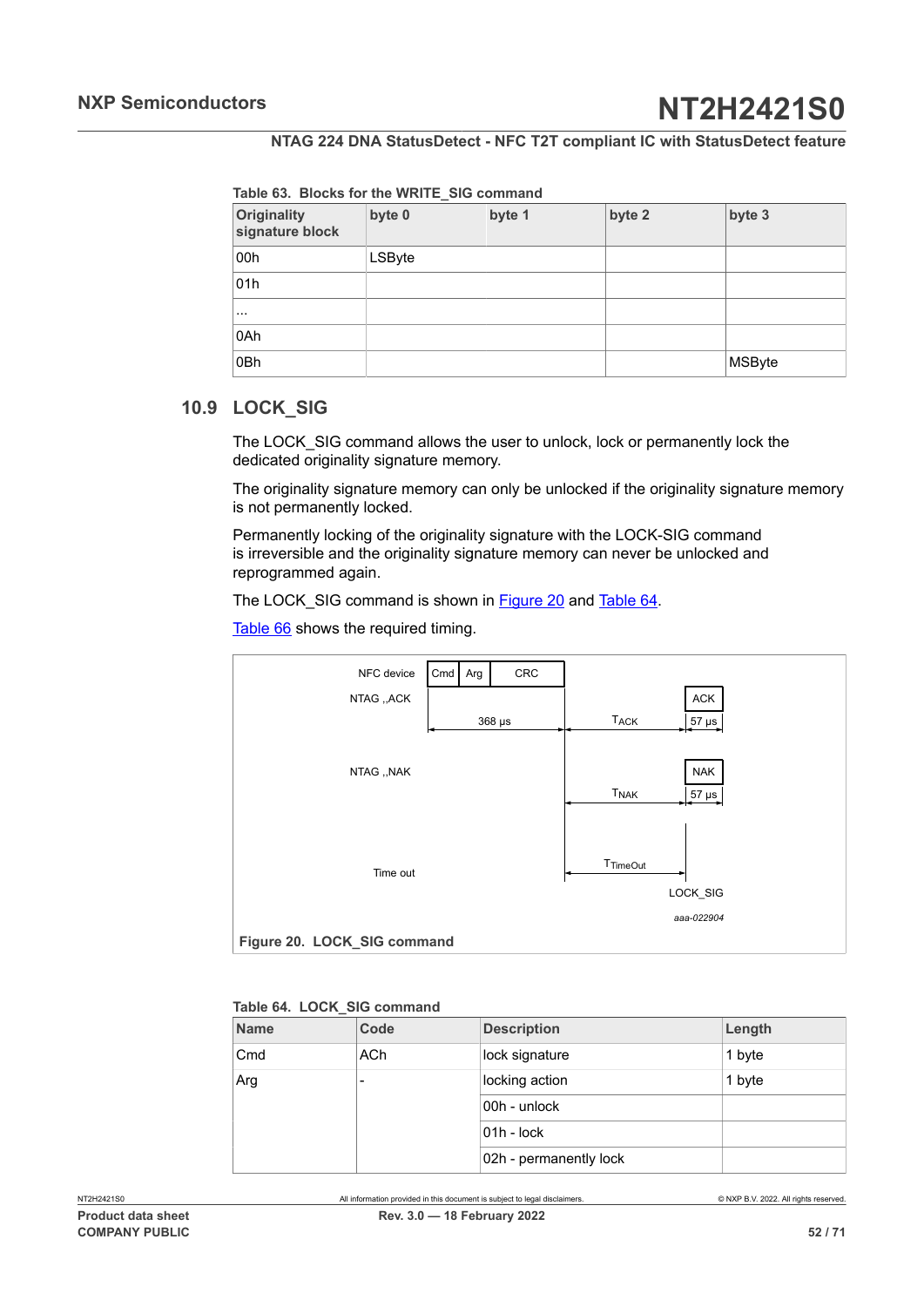<span id="page-51-1"></span>

| Originality<br>signature block | byte 0 | byte 1 | byte 2 | byte 3 |
|--------------------------------|--------|--------|--------|--------|
| 00h                            | LSByte |        |        |        |
| 01h                            |        |        |        |        |
| $\cdots$                       |        |        |        |        |
| 0Ah                            |        |        |        |        |
| 0Bh                            |        |        |        | MSByte |

## **10.9 LOCK\_SIG**

<span id="page-51-0"></span>The LOCK\_SIG command allows the user to unlock, lock or permanently lock the dedicated originality signature memory.

The originality signature memory can only be unlocked if the originality signature memory is not permanently locked.

Permanently locking of the originality signature with the LOCK-SIG command is irreversible and the originality signature memory can never be unlocked and reprogrammed again.

The LOCK\_SIG command is shown in [Figure 20](#page-51-2) and [Table](#page-51-3) 64.

[Table](#page-52-1) 66 shows the required timing.

<span id="page-51-2"></span>

<span id="page-51-3"></span>

|  |  |  |  | Table 64. LOCK SIG command |
|--|--|--|--|----------------------------|
|--|--|--|--|----------------------------|

| Length |  |  |  |  |  |  |
|--------|--|--|--|--|--|--|
| 1 byte |  |  |  |  |  |  |
| 1 byte |  |  |  |  |  |  |
|        |  |  |  |  |  |  |
|        |  |  |  |  |  |  |
|        |  |  |  |  |  |  |
|        |  |  |  |  |  |  |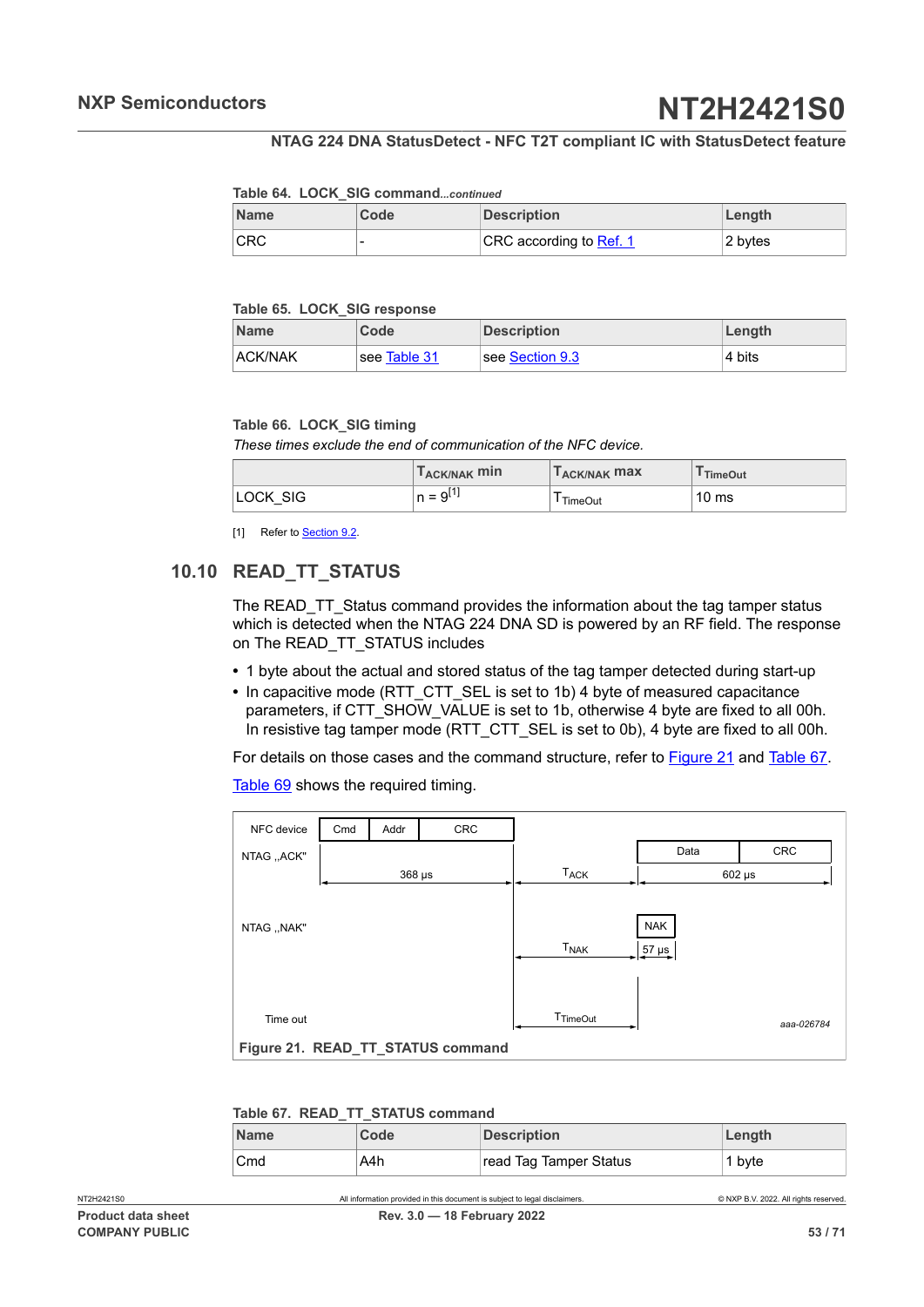#### **NTAG 224 DNA StatusDetect - NFC T2T compliant IC with StatusDetect feature**

#### <span id="page-52-2"></span>**Table 64. LOCK\_SIG command***...continued*

| <b>Name</b> | Code | <b>Description</b>             | Length  |
|-------------|------|--------------------------------|---------|
| <b>CRC</b>  |      | CRC according to <b>Ref. 1</b> | 2 bytes |

#### <span id="page-52-5"></span>**Table 65. LOCK\_SIG response**

| <b>Name</b>    | Code         | <b>Description</b>            | Length |
|----------------|--------------|-------------------------------|--------|
| <b>ACK/NAK</b> | see Table 31 | $\sf l$ see Section 9.3 $\sf$ | 4 bits |

#### <span id="page-52-1"></span>**Table 66. LOCK\_SIG timing**

*These times exclude the end of communication of the NFC device.*

|          | T <sub>ACK/NAK</sub> min | T <sub>ACK/NAK</sub> max | <sup>I</sup> TimeOut |
|----------|--------------------------|--------------------------|----------------------|
| LOCK SIG | $n = 9^{11}$             | <b>TimeOut</b>           | 10 <sub>ms</sub>     |

<span id="page-52-0"></span>[1] Refer to [Section 9.2.](#page-37-3)

## **10.10 READ\_TT\_STATUS**

The READ TT Status command provides the information about the tag tamper status which is detected when the NTAG 224 DNA SD is powered by an RF field. The response on The READ\_TT\_STATUS includes

- **•** 1 byte about the actual and stored status of the tag tamper detected during start-up
- In capacitive mode (RTT\_CTT\_SEL is set to 1b) 4 byte of measured capacitance parameters, if CTT\_SHOW\_VALUE is set to 1b, otherwise 4 byte are fixed to all 00h. In resistive tag tamper mode (RTT\_CTT\_SEL is set to 0b), 4 byte are fixed to all 00h.

For details on those cases and the command structure, refer to [Figure 21](#page-52-3) and [Table](#page-52-4) 67.

[Table](#page-53-1) 69 shows the required timing.

<span id="page-52-3"></span>

| NFC device                        | Cmd | Addr        | CRC |                        |             |            |
|-----------------------------------|-----|-------------|-----|------------------------|-------------|------------|
| NTAG ,, ACK"                      |     |             |     |                        | Data        | CRC        |
|                                   |     | $368 \mu s$ |     | <b>T<sub>ACK</sub></b> | $602 \mu s$ |            |
|                                   |     |             |     |                        |             |            |
| NTAG, , NAK"                      |     |             |     |                        | <b>NAK</b>  |            |
|                                   |     |             |     | <b>T<sub>NAK</sub></b> | $57 \mu s$  |            |
|                                   |     |             |     |                        |             |            |
|                                   |     |             |     |                        |             |            |
| Time out                          |     |             |     | T <sub>TimeOut</sub>   |             | aaa-026784 |
| Figure 21. READ_TT_STATUS command |     |             |     |                        |             |            |

#### <span id="page-52-4"></span>**Table 67. READ\_TT\_STATUS command**

| <b>Name</b> | Code | <b>Description</b>     | Length |
|-------------|------|------------------------|--------|
| Cmd         | A4h  | read Tag Tamper Status | 1 byte |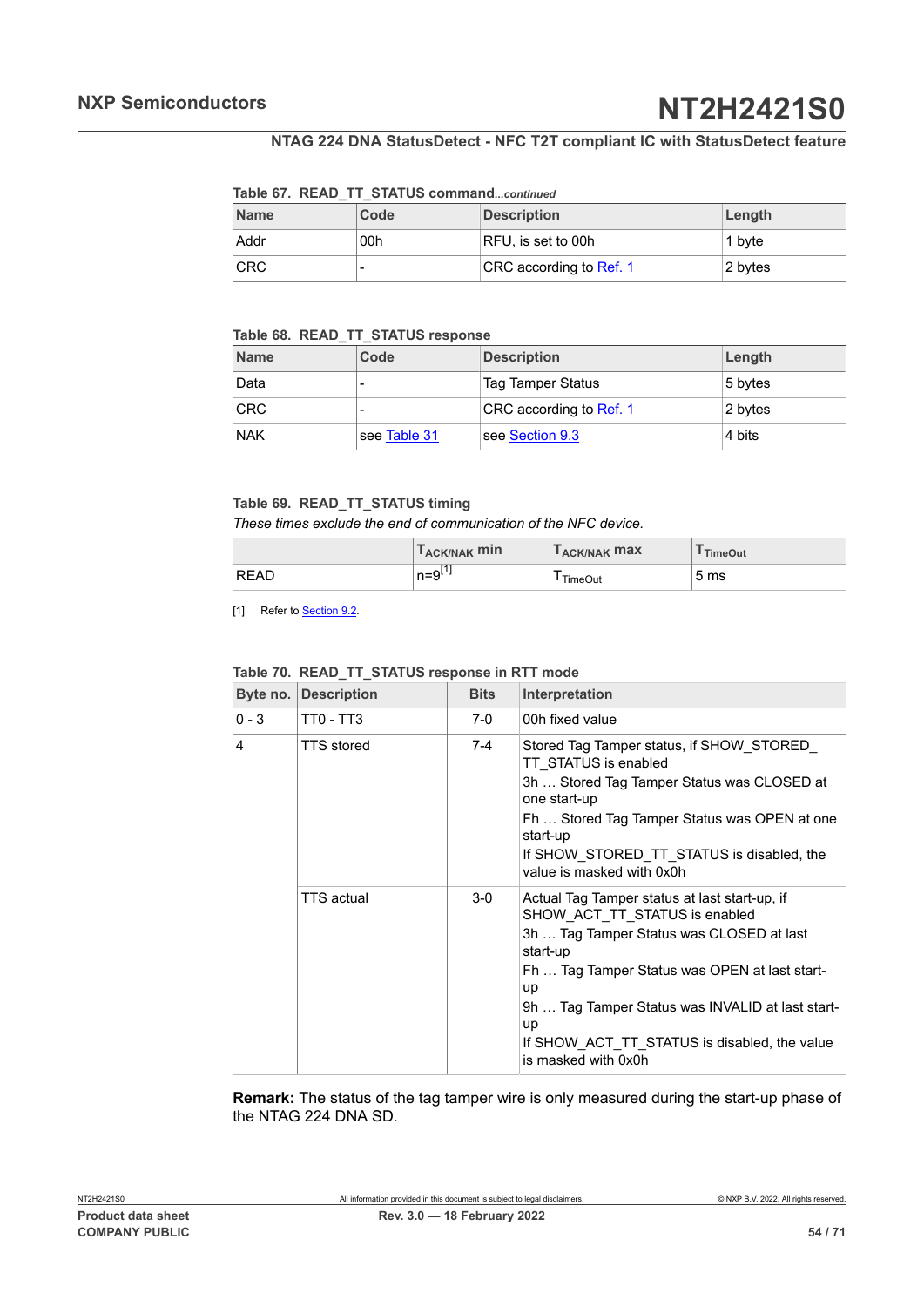## **NTAG 224 DNA StatusDetect - NFC T2T compliant IC with StatusDetect feature**

#### <span id="page-53-2"></span>**Table 67. READ\_TT\_STATUS command***...continued*

| <b>Name</b> | Code | <b>Description</b>      | Length  |
|-------------|------|-------------------------|---------|
| Addr        | 00h  | RFU, is set to 00h      | 1 byte  |
| <b>CRC</b>  |      | CRC according to Ref. 1 | 2 bytes |

## <span id="page-53-3"></span>**Table 68. READ\_TT\_STATUS response**

| <b>Name</b> | Code         | <b>Description</b>       | Length  |
|-------------|--------------|--------------------------|---------|
| Data        |              | <b>Tag Tamper Status</b> | 5 bytes |
| <b>CRC</b>  |              | CRC according to Ref. 1  | 2 bytes |
| <b>NAK</b>  | see Table 31 | see Section 9.3          | 4 bits  |

#### <span id="page-53-1"></span>**Table 69. READ\_TT\_STATUS timing**

*These times exclude the end of communication of the NFC device.*

|      | T <sub>ACK/NAK</sub> min | <b>TACK/NAK MAX</b> | TimeOut         |
|------|--------------------------|---------------------|-----------------|
| READ | E41<br>$n=9L+1$          | l TimeOut           | 5 <sub>ms</sub> |

[1] Refer to **[Section 9.2.](#page-37-3)** 

| Byte no. $\vert$ | <b>Description</b> | <b>Bits</b> | Interpretation                                                                                                                                                                                                                                                                                                                 |
|------------------|--------------------|-------------|--------------------------------------------------------------------------------------------------------------------------------------------------------------------------------------------------------------------------------------------------------------------------------------------------------------------------------|
| $0 - 3$          | TT0 - TT3          | $7-0$       | 00h fixed value                                                                                                                                                                                                                                                                                                                |
| 4                | <b>TTS</b> stored  | 7-4         | Stored Tag Tamper status, if SHOW STORED<br>TT STATUS is enabled<br>3h  Stored Tag Tamper Status was CLOSED at<br>one start-up<br>Fh  Stored Tag Tamper Status was OPEN at one<br>start-up<br>If SHOW STORED TT STATUS is disabled, the<br>value is masked with 0x0h                                                           |
|                  | TTS actual         | $3-0$       | Actual Tag Tamper status at last start-up, if<br>SHOW ACT_TT_STATUS is enabled<br>3h  Tag Tamper Status was CLOSED at last<br>start-up<br>Fh  Tag Tamper Status was OPEN at last start-<br>up<br>9h  Tag Tamper Status was INVALID at last start-<br>up<br>If SHOW ACT TT STATUS is disabled, the value<br>is masked with 0x0h |

### <span id="page-53-0"></span>**Table 70. READ\_TT\_STATUS response in RTT mode**

**Remark:** The status of the tag tamper wire is only measured during the start-up phase of the NTAG 224 DNA SD.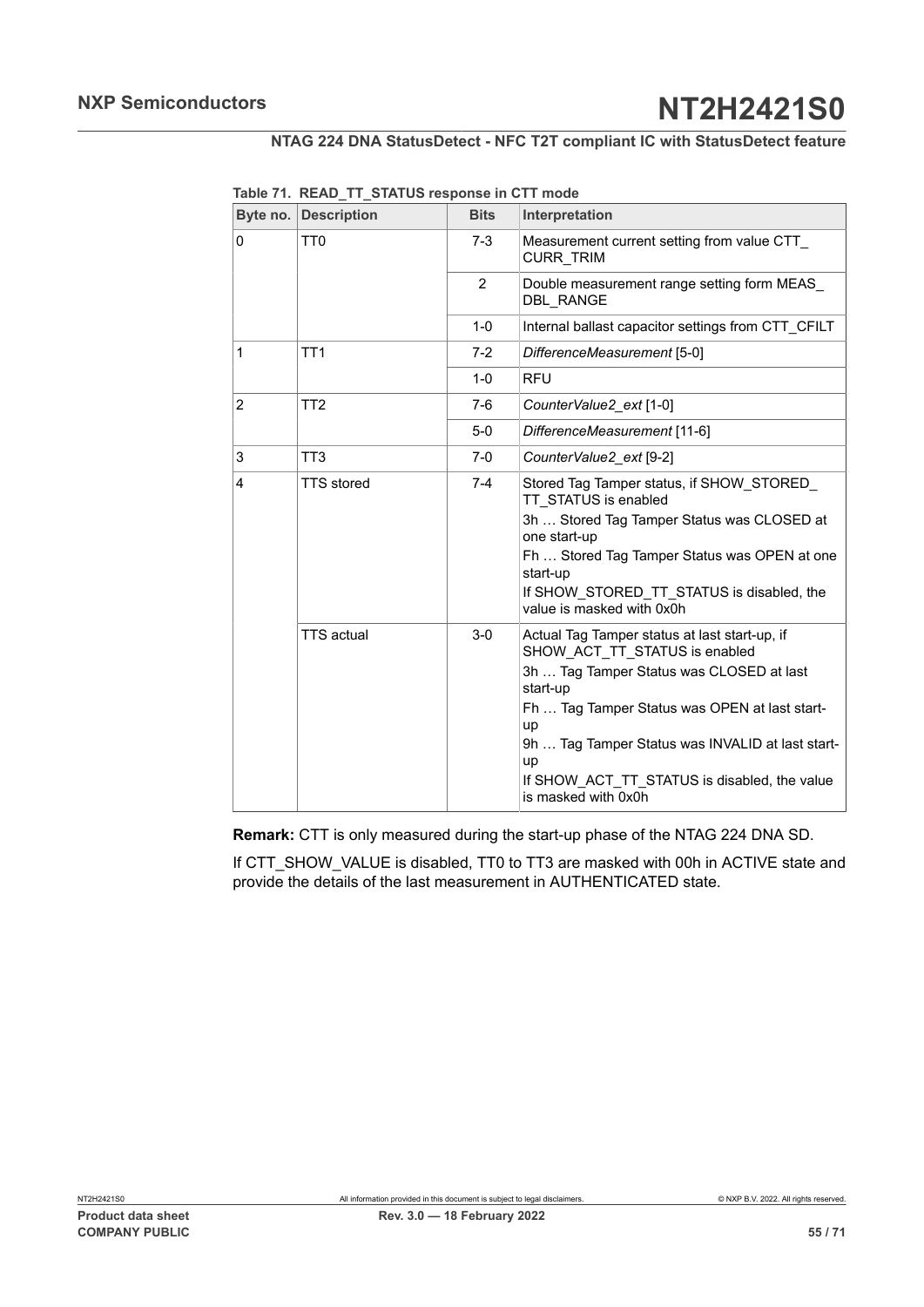| Byte no.       | <b>Description</b> | <b>Bits</b>   | Interpretation                                                                 |
|----------------|--------------------|---------------|--------------------------------------------------------------------------------|
| $\Omega$       | TT <sub>0</sub>    | $7 - 3$       | Measurement current setting from value CTT<br>CURR_TRIM                        |
|                |                    | $\mathcal{P}$ | Double measurement range setting form MEAS<br><b>DBL RANGE</b>                 |
|                |                    | $1 - 0$       | Internal ballast capacitor settings from CTT CFILT                             |
| 1              | TT1                | $7-2$         | DifferenceMeasurement [5-0]                                                    |
|                |                    | $1 - 0$       | <b>RFU</b>                                                                     |
| $\overline{2}$ | TT <sub>2</sub>    | $7-6$         | CounterValue2_ext [1-0]                                                        |
|                |                    | $5-0$         | DifferenceMeasurement [11-6]                                                   |
| 3              | TT <sub>3</sub>    | $7-0$         | CounterValue2_ext [9-2]                                                        |
| 4              | <b>TTS</b> stored  | $7-4$         | Stored Tag Tamper status, if SHOW STORED<br>TT STATUS is enabled               |
|                |                    |               | 3h  Stored Tag Tamper Status was CLOSED at<br>one start-up                     |
|                |                    |               | Fh  Stored Tag Tamper Status was OPEN at one<br>start-up                       |
|                |                    |               | If SHOW STORED TT STATUS is disabled, the<br>value is masked with 0x0h         |
|                | <b>TTS</b> actual  | $3-0$         | Actual Tag Tamper status at last start-up, if<br>SHOW ACT TT STATUS is enabled |
|                |                    |               | 3h  Tag Tamper Status was CLOSED at last<br>start-up                           |
|                |                    |               | Fh  Tag Tamper Status was OPEN at last start-<br>up                            |
|                |                    |               | 9h  Tag Tamper Status was INVALID at last start-<br>up                         |
|                |                    |               | If SHOW_ACT_TT_STATUS is disabled, the value<br>is masked with 0x0h            |

<span id="page-54-0"></span>**Table 71. READ\_TT\_STATUS response in CTT mode**

**Remark:** CTT is only measured during the start-up phase of the NTAG 224 DNA SD.

If CTT\_SHOW\_VALUE is disabled, TT0 to TT3 are masked with 00h in ACTIVE state and provide the details of the last measurement in AUTHENTICATED state.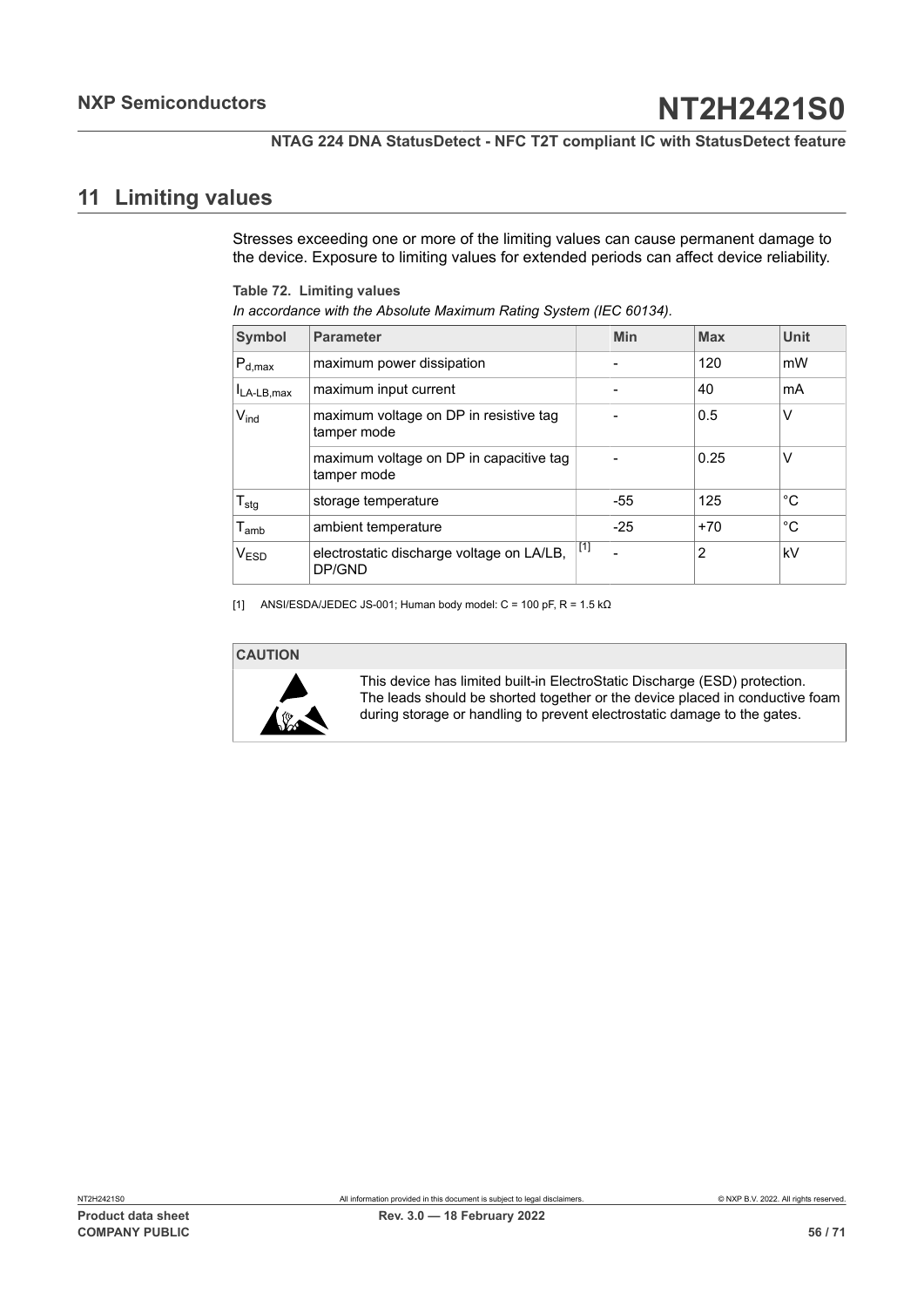## <span id="page-55-2"></span>**11 Limiting values**

<span id="page-55-0"></span>Stresses exceeding one or more of the limiting values can cause permanent damage to the device. Exposure to limiting values for extended periods can affect device reliability.

<span id="page-55-1"></span>**Table 72. Limiting values**

| In accordance with the Absolute Maximum Rating System (IEC 60134). |                                                        |       |       |                |             |  |  |  |
|--------------------------------------------------------------------|--------------------------------------------------------|-------|-------|----------------|-------------|--|--|--|
| Symbol                                                             | <b>Parameter</b>                                       |       | Min   | <b>Max</b>     | <b>Unit</b> |  |  |  |
| $P_{d,max}$                                                        | maximum power dissipation                              |       |       | 120            | mW          |  |  |  |
| $I_{LA-LB,max}$                                                    | maximum input current                                  |       |       | 40             | mA          |  |  |  |
| $V_{ind}$                                                          | maximum voltage on DP in resistive tag<br>tamper mode  |       |       | 0.5            | v           |  |  |  |
|                                                                    | maximum voltage on DP in capacitive tag<br>tamper mode |       |       | 0.25           | v           |  |  |  |
| $T_{\text{stg}}$                                                   | storage temperature                                    |       | $-55$ | 125            | °C          |  |  |  |
| $T_{amb}$                                                          | ambient temperature                                    |       | $-25$ | $+70$          | °C          |  |  |  |
| V <sub>ESD</sub>                                                   | electrostatic discharge voltage on LA/LB,<br>DP/GND    | $[1]$ |       | $\overline{2}$ | kV          |  |  |  |

[1] ANSI/ESDA/JEDEC JS-001; Human body model: C = 100 pF, R = 1.5 k $\Omega$ 

### **CAUTION**



This device has limited built-in ElectroStatic Discharge (ESD) protection. The leads should be shorted together or the device placed in conductive foam during storage or handling to prevent electrostatic damage to the gates.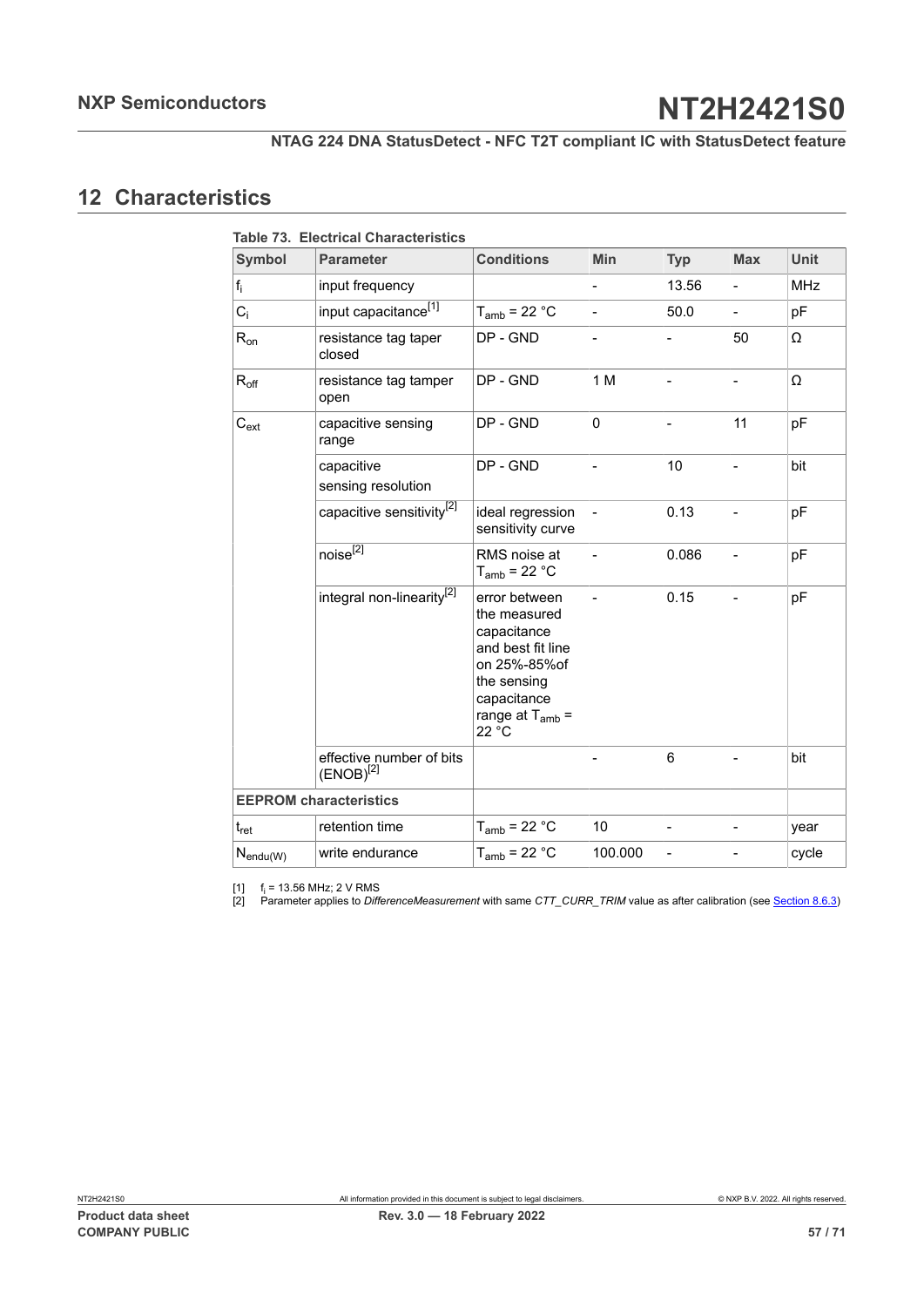## <span id="page-56-0"></span>**12 Characteristics**

<span id="page-56-3"></span><span id="page-56-2"></span><span id="page-56-1"></span>

|                  | <b>Table 73. Electrical Characteristics</b> |                                                                                                                                                  |                          |                |                          |            |
|------------------|---------------------------------------------|--------------------------------------------------------------------------------------------------------------------------------------------------|--------------------------|----------------|--------------------------|------------|
| <b>Symbol</b>    | <b>Parameter</b>                            | <b>Conditions</b>                                                                                                                                | Min                      | <b>Typ</b>     | <b>Max</b>               | Unit       |
| $f_i$            | input frequency                             |                                                                                                                                                  | $\overline{a}$           | 13.56          | $\overline{a}$           | <b>MHz</b> |
| $C_i$            | input capacitance <sup>[1]</sup>            | $T_{amb}$ = 22 °C                                                                                                                                | $\overline{a}$           | 50.0           |                          | pF         |
| $R_{on}$         | resistance tag taper<br>closed              | DP - GND                                                                                                                                         |                          |                | 50                       | Ω          |
| $R_{\text{off}}$ | resistance tag tamper<br>open               | DP - GND                                                                                                                                         | 1 M                      |                |                          | Ω          |
| $C_{ext}$        | capacitive sensing<br>range                 | DP - GND                                                                                                                                         | 0                        |                | 11                       | pF         |
|                  | capacitive<br>sensing resolution            | DP - GND                                                                                                                                         |                          | 10             |                          | bit        |
|                  | capacitive sensitivity <sup>[2]</sup>       | ideal regression<br>sensitivity curve                                                                                                            |                          | 0.13           | $\overline{\phantom{0}}$ | pF         |
|                  | $noise^{[2]}$                               | RMS noise at<br>$T_{amb}$ = 22 °C                                                                                                                | $\overline{\phantom{0}}$ | 0.086          | $\overline{\phantom{0}}$ | pF         |
|                  | integral non-linearity <sup>[2]</sup>       | error between<br>the measured<br>capacitance<br>and best fit line<br>on 25%-85%of<br>the sensing<br>capacitance<br>range at $T_{amb}$ =<br>22 °C |                          | 0.15           | $\overline{a}$           | pF         |
|                  | effective number of bits<br>$(ENOB)^{[2]}$  |                                                                                                                                                  |                          | 6              | -                        | bit        |
|                  | <b>EEPROM characteristics</b>               |                                                                                                                                                  |                          |                |                          |            |
| $t_{\rm ret}$    | retention time                              | $T_{amb}$ = 22 °C                                                                                                                                | 10                       | $\blacksquare$ | $\overline{\phantom{0}}$ | year       |
| $N_{endu(W)}$    | write endurance                             | $T_{amb}$ = 22 °C                                                                                                                                | 100.000                  | $\overline{a}$ |                          | cycle      |

 $[1]$  f<sub>i</sub> = 13.56 MHz; 2 V RMS

[2] Parameter applies to *DifferenceMeasurement* with same *CTT\_CURR\_TRIM* value as after calibration (see [Section 8.6.3](#page-26-1))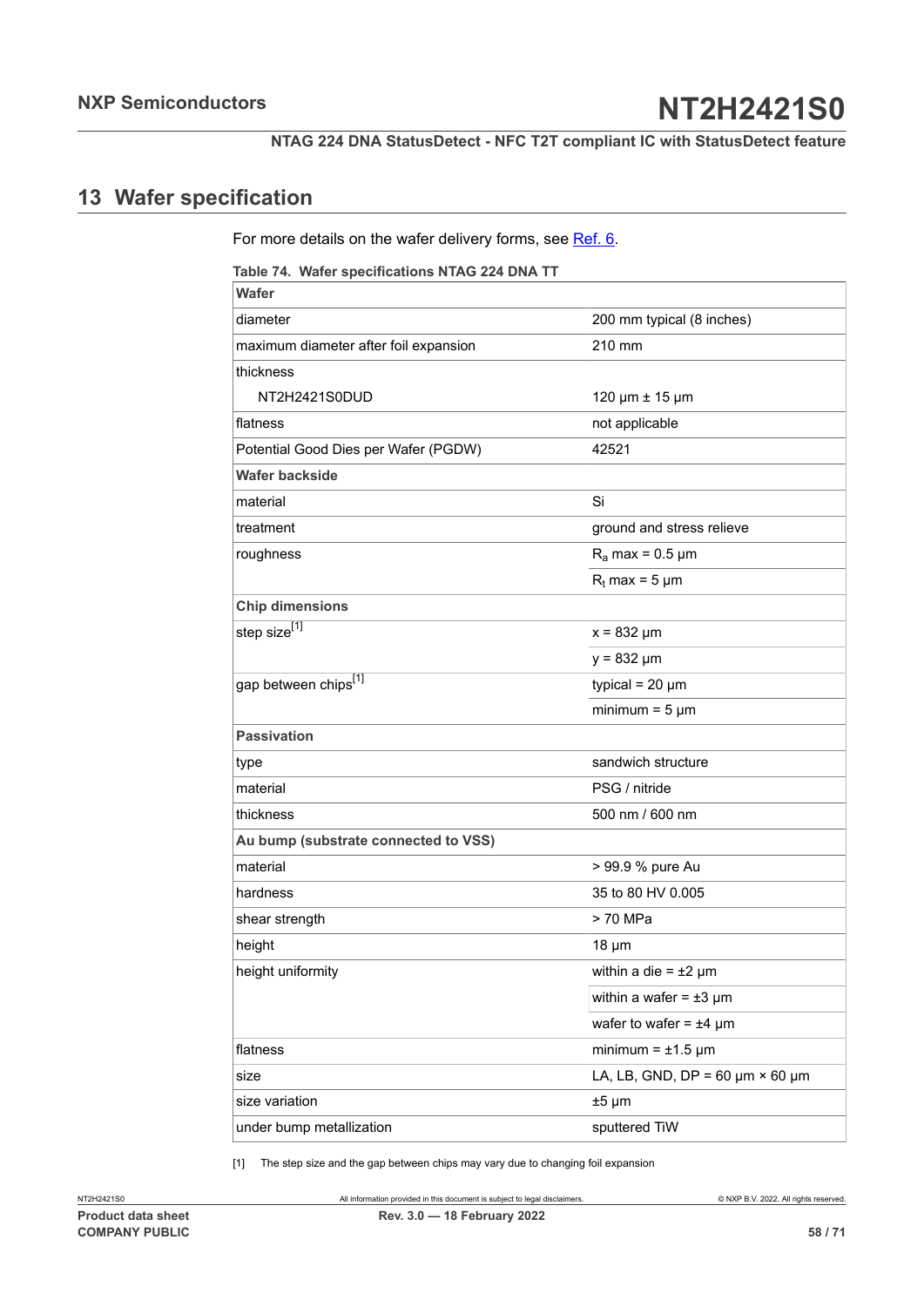## <span id="page-57-2"></span>**13 Wafer specification**

<span id="page-57-0"></span>For more details on the wafer delivery forms, see Ref. 6.

<span id="page-57-1"></span>**Table 74. Wafer specifications NTAG 224 DNA TT**

| <b>Wafer</b>                          |                                           |
|---------------------------------------|-------------------------------------------|
| diameter                              | 200 mm typical (8 inches)                 |
| maximum diameter after foil expansion | 210 mm                                    |
| thickness                             |                                           |
| NT2H2421S0DUD                         | 120 µm ± 15 µm                            |
| flatness                              | not applicable                            |
| Potential Good Dies per Wafer (PGDW)  | 42521                                     |
| <b>Wafer backside</b>                 |                                           |
| material                              | Si                                        |
| treatment                             | ground and stress relieve                 |
| roughness                             | $R_a$ max = 0.5 µm                        |
|                                       | $R_t$ max = 5 µm                          |
| <b>Chip dimensions</b>                |                                           |
| step size <sup>[1]</sup>              | $x = 832 \mu m$                           |
|                                       | $y = 832 \mu m$                           |
| gap between chips[1]                  | typical = $20 \mu m$                      |
|                                       | minimum = $5 \mu m$                       |
| <b>Passivation</b>                    |                                           |
| type                                  | sandwich structure                        |
| material                              | PSG / nitride                             |
| thickness                             | 500 nm / 600 nm                           |
| Au bump (substrate connected to VSS)  |                                           |
| material                              | > 99.9 % pure Au                          |
| hardness                              | 35 to 80 HV 0.005                         |
| shear strength                        | > 70 MPa                                  |
| height                                | $18 \mu m$                                |
| height uniformity                     | within a die = $\pm 2 \mu m$              |
|                                       | within a wafer = $\pm 3 \mu m$            |
|                                       | wafer to wafer = $±4 \mu m$               |
| flatness                              | minimum = $\pm$ 1.5 µm                    |
| size                                  | LA, LB, GND, DP = 60 $\mu$ m × 60 $\mu$ m |
| size variation                        | $±5 \mu m$                                |
| under bump metallization              | sputtered TiW                             |

[1] The step size and the gap between chips may vary due to changing foil expansion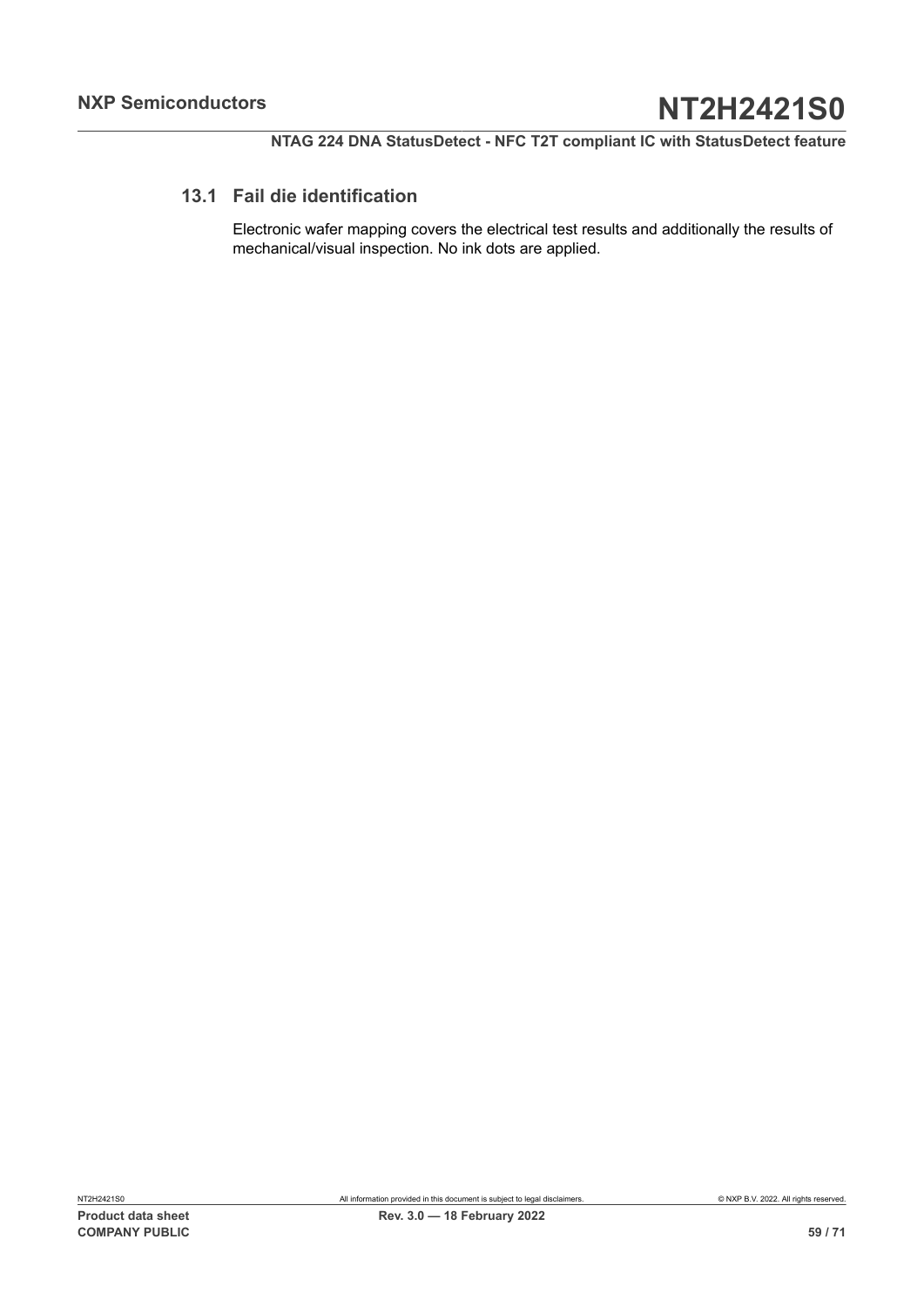## **13.1 Fail die identification**

<span id="page-58-0"></span>Electronic wafer mapping covers the electrical test results and additionally the results of mechanical/visual inspection. No ink dots are applied.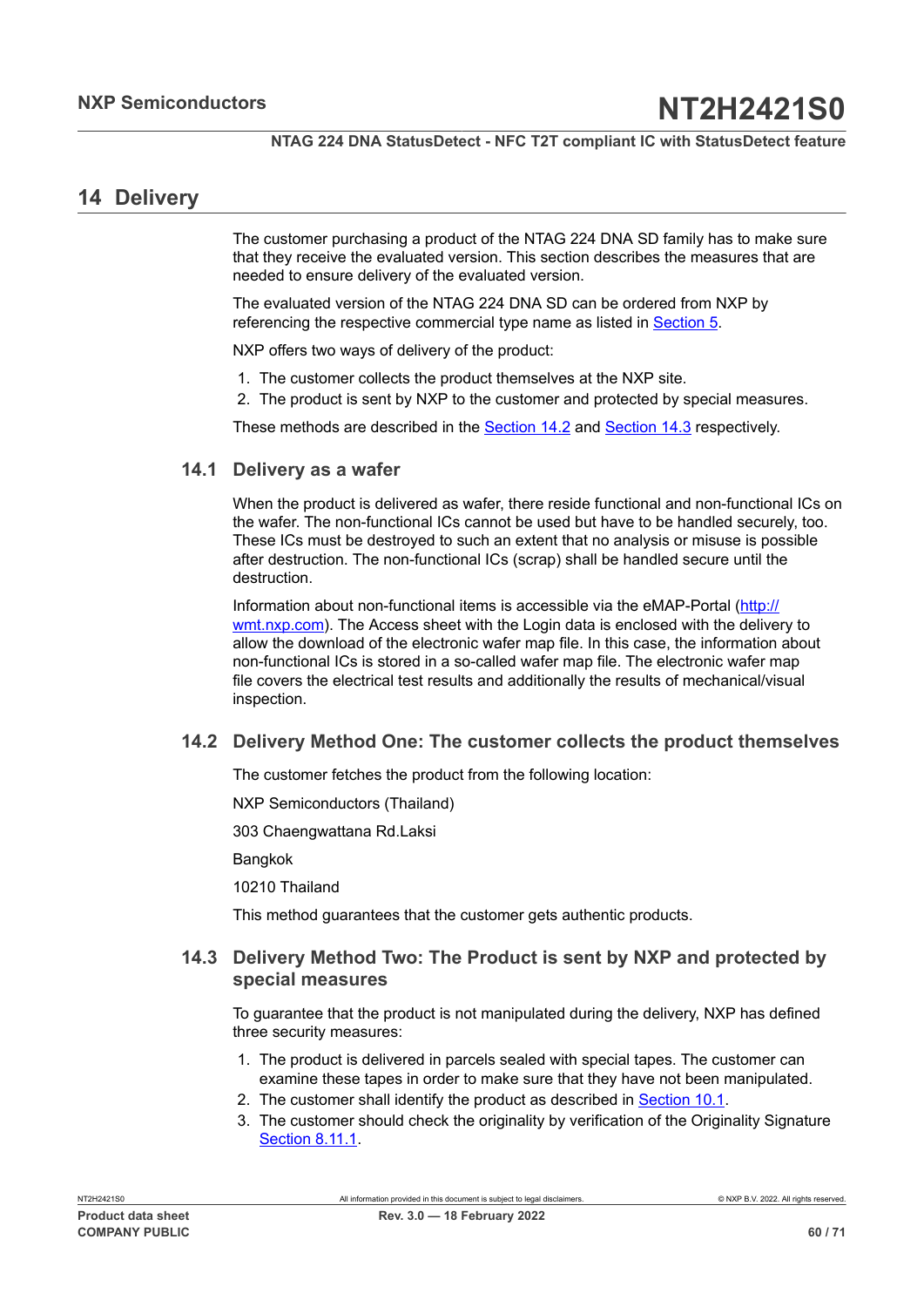## <span id="page-59-2"></span>**14 Delivery**

The customer purchasing a product of the NTAG 224 DNA SD family has to make sure that they receive the evaluated version. This section describes the measures that are needed to ensure delivery of the evaluated version.

The evaluated version of the NTAG 224 DNA SD can be ordered from NXP by referencing the respective commercial type name as listed in [Section 5.](#page-6-0)

NXP offers two ways of delivery of the product:

- 1. The customer collects the product themselves at the NXP site.
- 2. The product is sent by NXP to the customer and protected by special measures.

<span id="page-59-3"></span>These methods are described in the **Section 14.2** and **[Section 14.3](#page-59-1)** respectively.

## **14.1 Delivery as a wafer**

When the product is delivered as wafer, there reside functional and non-functional ICs on the wafer. The non-functional ICs cannot be used but have to be handled securely, too. These ICs must be destroyed to such an extent that no analysis or misuse is possible after destruction. The non-functional ICs (scrap) shall be handled secure until the destruction.

Information about non-functional items is accessible via the eMAP-Portal [\(http://](http://wmt.nxp.com) [wmt.nxp.com\)](http://wmt.nxp.com). The Access sheet with the Login data is enclosed with the delivery to allow the download of the electronic wafer map file. In this case, the information about non-functional ICs is stored in a so-called wafer map file. The electronic wafer map file covers the electrical test results and additionally the results of mechanical/visual inspection.

## **14.2 Delivery Method One: The customer collects the product themselves**

<span id="page-59-0"></span>The customer fetches the product from the following location:

NXP Semiconductors (Thailand)

303 Chaengwattana Rd.Laksi

**Bangkok** 

10210 Thailand

<span id="page-59-1"></span>This method guarantees that the customer gets authentic products.

## **14.3 Delivery Method Two: The Product is sent by NXP and protected by special measures**

To guarantee that the product is not manipulated during the delivery, NXP has defined three security measures:

- 1. The product is delivered in parcels sealed with special tapes. The customer can examine these tapes in order to make sure that they have not been manipulated.
- 2. The customer shall identify the product as described in **[Section 10.1](#page-40-2)**.
- 3. The customer should check the originality by verification of the Originality Signature [Section](#page-36-0) 8.11.1.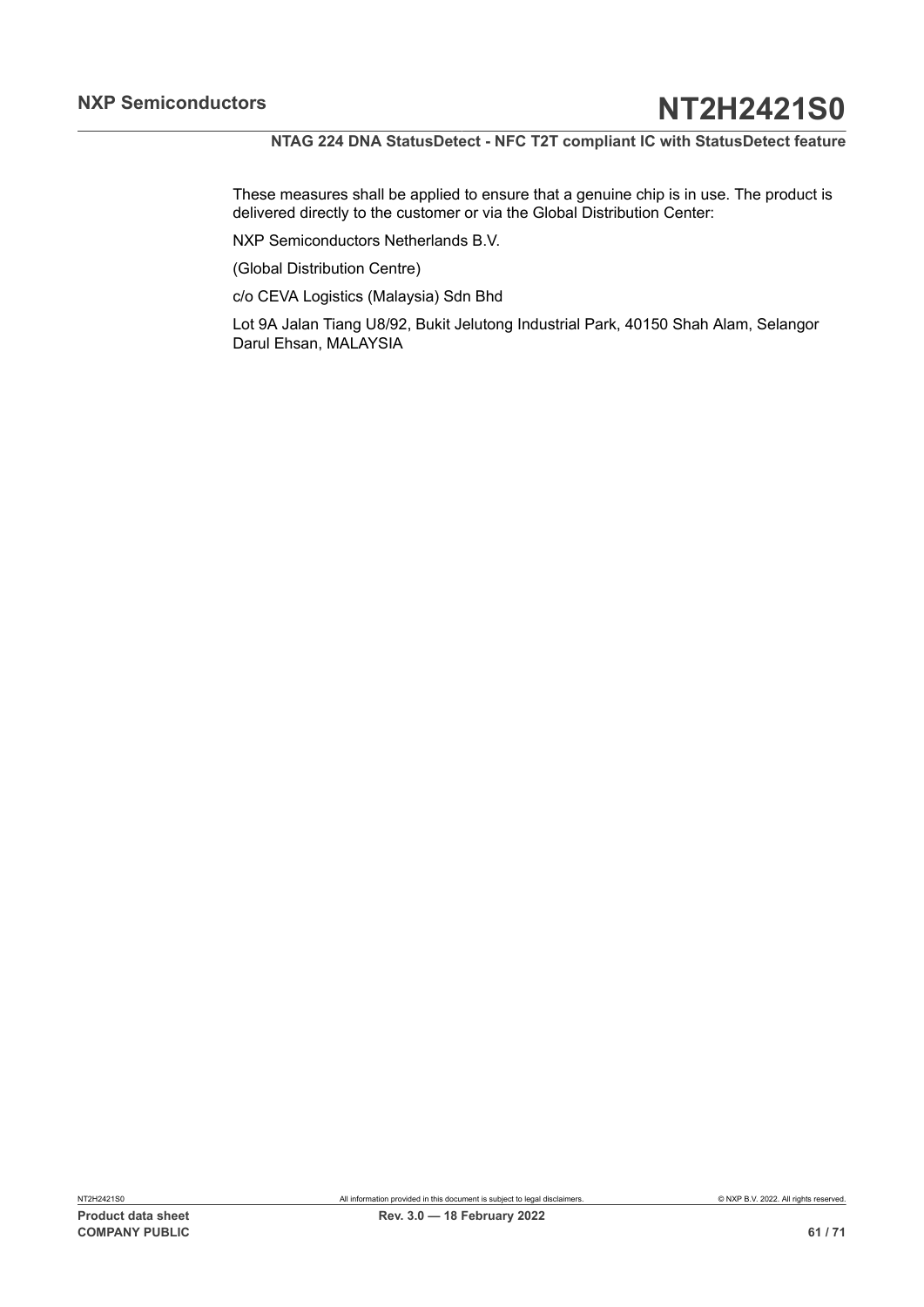These measures shall be applied to ensure that a genuine chip is in use. The product is delivered directly to the customer or via the Global Distribution Center:

NXP Semiconductors Netherlands B.V.

(Global Distribution Centre)

c/o CEVA Logistics (Malaysia) Sdn Bhd

Lot 9A Jalan Tiang U8/92, Bukit Jelutong Industrial Park, 40150 Shah Alam, Selangor Darul Ehsan, MALAYSIA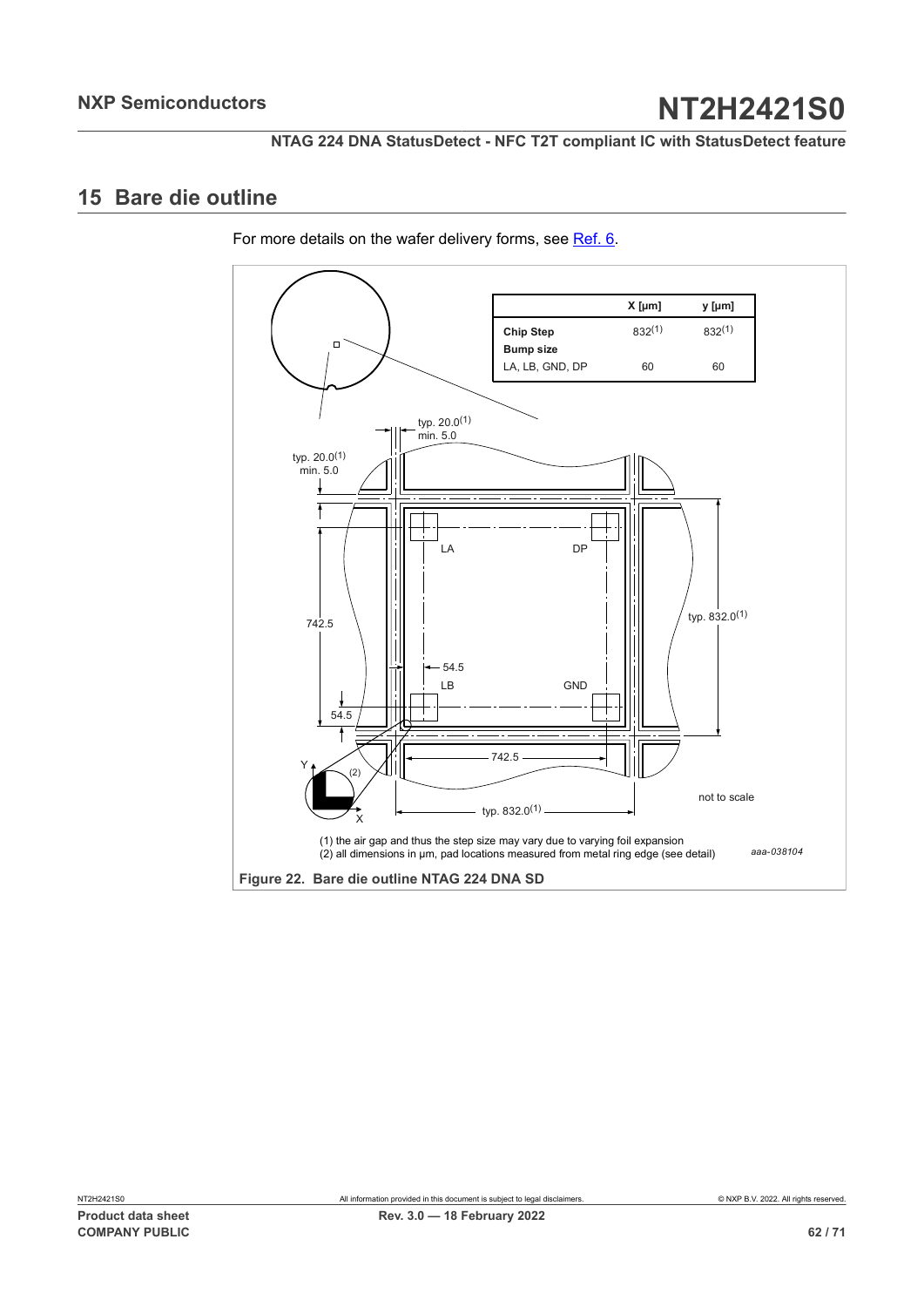## <span id="page-61-2"></span><span id="page-61-0"></span>**15 Bare die outline**

For more details on the wafer delivery forms, see Ref. 6.

<span id="page-61-1"></span>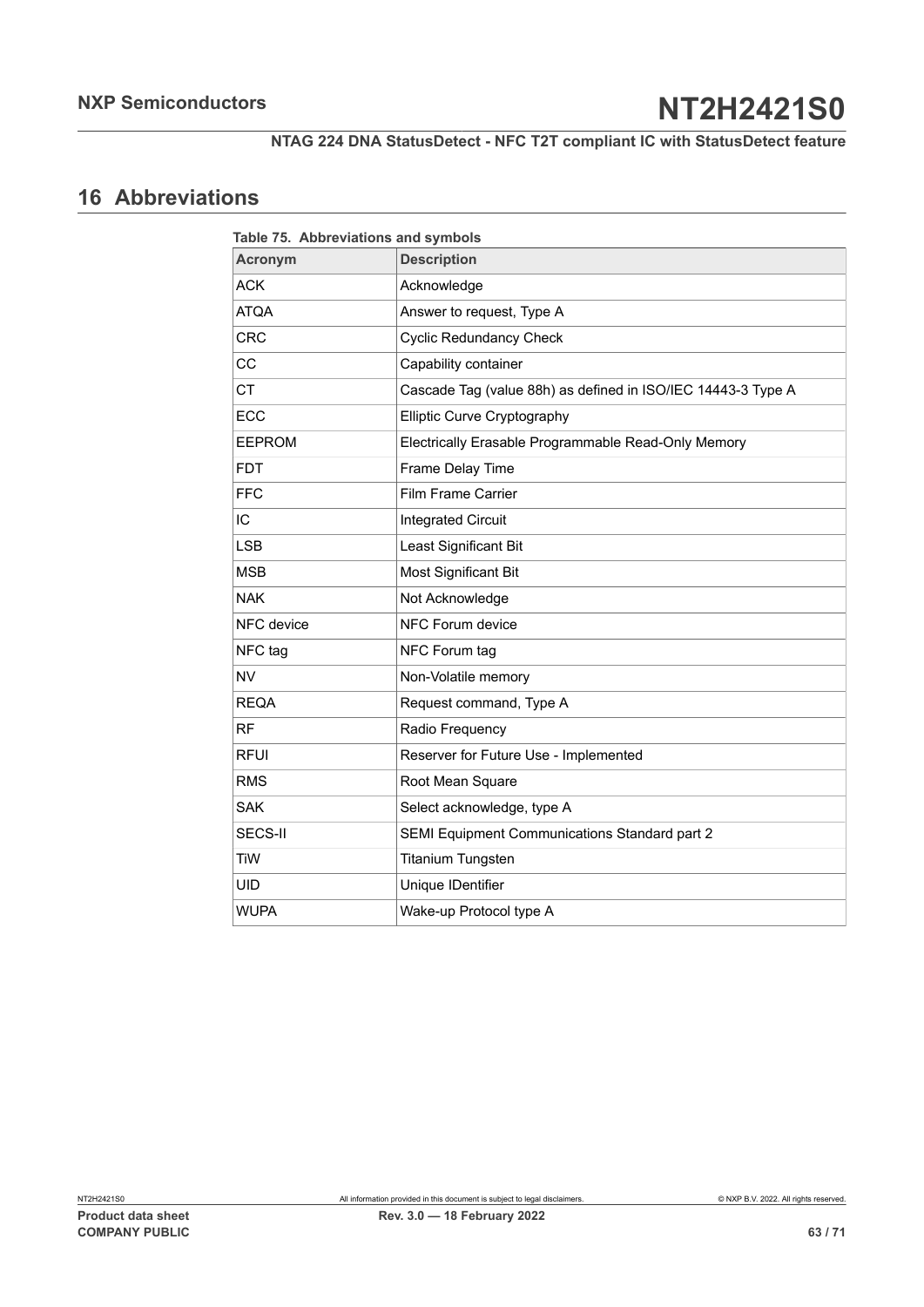## <span id="page-62-1"></span>**16 Abbreviations**

<span id="page-62-0"></span>

| Table 75. Abbreviations and symbols |                                                              |  |  |  |
|-------------------------------------|--------------------------------------------------------------|--|--|--|
| <b>Acronym</b>                      | <b>Description</b>                                           |  |  |  |
| <b>ACK</b>                          | Acknowledge                                                  |  |  |  |
| <b>ATQA</b>                         | Answer to request, Type A                                    |  |  |  |
| <b>CRC</b>                          | <b>Cyclic Redundancy Check</b>                               |  |  |  |
| CC                                  | Capability container                                         |  |  |  |
| <b>CT</b>                           | Cascade Tag (value 88h) as defined in ISO/IEC 14443-3 Type A |  |  |  |
| ECC                                 | Elliptic Curve Cryptography                                  |  |  |  |
| <b>EEPROM</b>                       | Electrically Erasable Programmable Read-Only Memory          |  |  |  |
| <b>FDT</b>                          | Frame Delay Time                                             |  |  |  |
| <b>FFC</b>                          | <b>Film Frame Carrier</b>                                    |  |  |  |
| IC                                  | <b>Integrated Circuit</b>                                    |  |  |  |
| <b>LSB</b>                          | Least Significant Bit                                        |  |  |  |
| <b>MSB</b>                          | Most Significant Bit                                         |  |  |  |
| <b>NAK</b>                          | Not Acknowledge                                              |  |  |  |
| NFC device                          | NFC Forum device                                             |  |  |  |
| NFC tag                             | NFC Forum tag                                                |  |  |  |
| <b>NV</b>                           | Non-Volatile memory                                          |  |  |  |
| <b>REQA</b>                         | Request command, Type A                                      |  |  |  |
| <b>RF</b>                           | Radio Frequency                                              |  |  |  |
| <b>RFUI</b>                         | Reserver for Future Use - Implemented                        |  |  |  |
| <b>RMS</b>                          | Root Mean Square                                             |  |  |  |
| <b>SAK</b>                          | Select acknowledge, type A                                   |  |  |  |
| SECS-II                             | SEMI Equipment Communications Standard part 2                |  |  |  |
| <b>TiW</b>                          | <b>Titanium Tungsten</b>                                     |  |  |  |
| <b>UID</b>                          | Unique IDentifier                                            |  |  |  |
| <b>WUPA</b>                         | Wake-up Protocol type A                                      |  |  |  |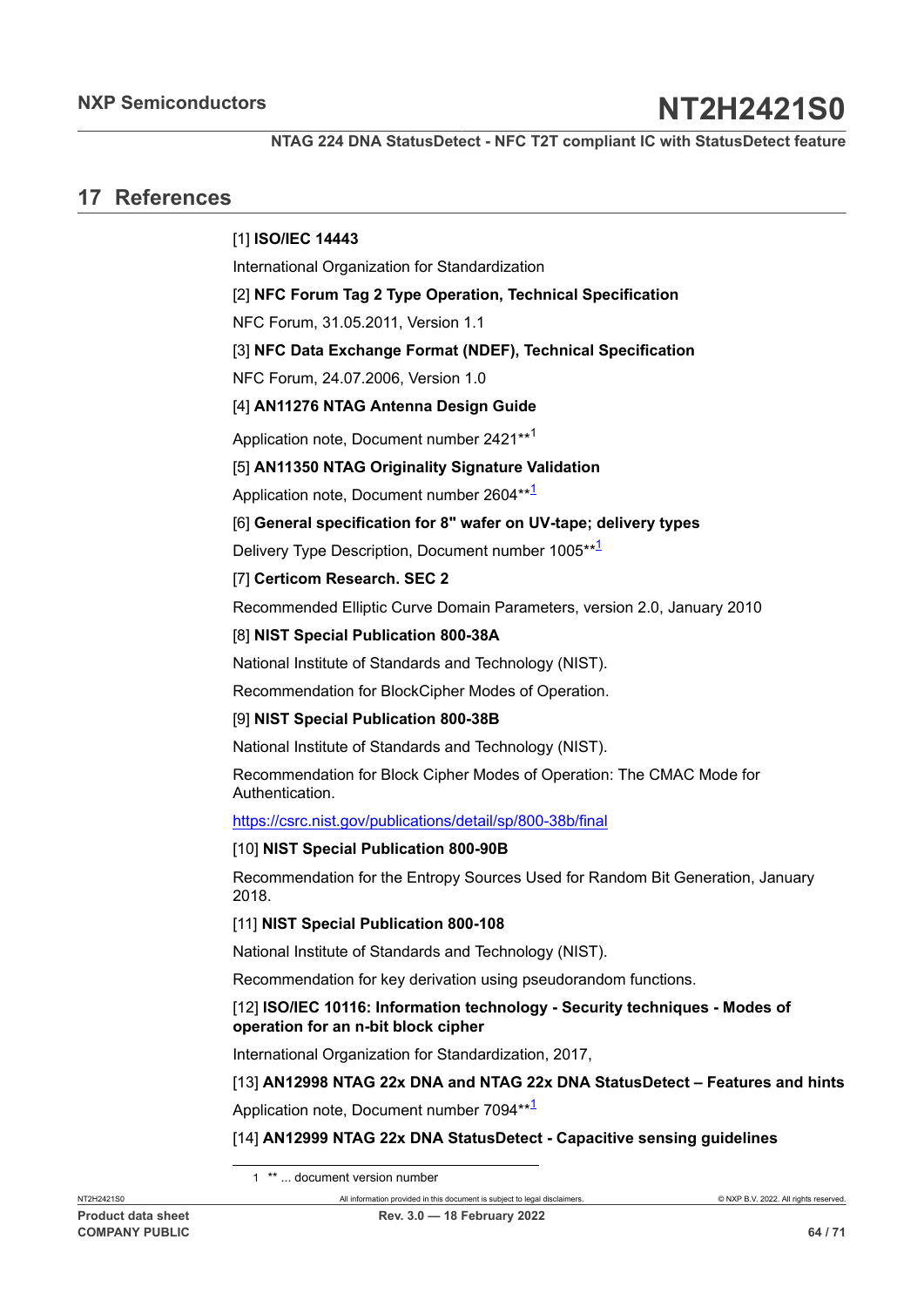**NTAG 224 DNA StatusDetect - NFC T2T compliant IC with StatusDetect feature**

## <span id="page-63-11"></span>**17 References**

## <span id="page-63-0"></span>[1] **ISO/IEC 14443**

International Organization for Standardization

<span id="page-63-1"></span>[2] **NFC Forum Tag 2 Type Operation, Technical Specification**

NFC Forum, 31.05.2011, Version 1.1

<span id="page-63-3"></span>[3] **NFC Data Exchange Format (NDEF), Technical Specification**

NFC Forum, 24.07.2006, Version 1.0

### <span id="page-63-2"></span>[4] **AN11276 NTAG Antenna Design Guide**

Application note, Document number 2421\*\*[1](#page-63-10)

#### <span id="page-63-9"></span>[5] **AN11350 NTAG Originality Signature Validation**

Application note, Document number 2604\*\*<sup>[1](#page-63-10)</sup>

#### [6] **General specification for 8" wafer on UV-tape; delivery types**

Delivery Type Description, Document number [1](#page-63-10)005\*\*<sup>1</sup>

#### <span id="page-63-8"></span>[7] **Certicom Research. SEC 2**

Recommended Elliptic Curve Domain Parameters, version 2.0, January 2010

#### <span id="page-63-7"></span>[8] **NIST Special Publication 800-38A**

National Institute of Standards and Technology (NIST).

Recommendation for BlockCipher Modes of Operation.

#### <span id="page-63-5"></span>[9] **NIST Special Publication 800-38B**

National Institute of Standards and Technology (NIST).

Recommendation for Block Cipher Modes of Operation: The CMAC Mode for Authentication.

<https://csrc.nist.gov/publications/detail/sp/800-38b/final>

#### [10] **NIST Special Publication 800-90B**

Recommendation for the Entropy Sources Used for Random Bit Generation, January 2018.

#### [11] **NIST Special Publication 800-108**

National Institute of Standards and Technology (NIST).

Recommendation for key derivation using pseudorandom functions.

#### <span id="page-63-6"></span>[12] **ISO/IEC 10116: Information technology - Security techniques - Modes of operation for an n-bit block cipher**

International Organization for Standardization, 2017,

### [13] **AN12998 NTAG 22x DNA and NTAG 22x DNA StatusDetect – Features and hints**

Application note, Document number 7094\*\*<sup>[1](#page-63-10)</sup>

#### <span id="page-63-4"></span>[14] **AN12999 NTAG 22x DNA StatusDetect - Capacitive sensing guidelines**

<span id="page-63-10"></span>1 \*\* ... document version number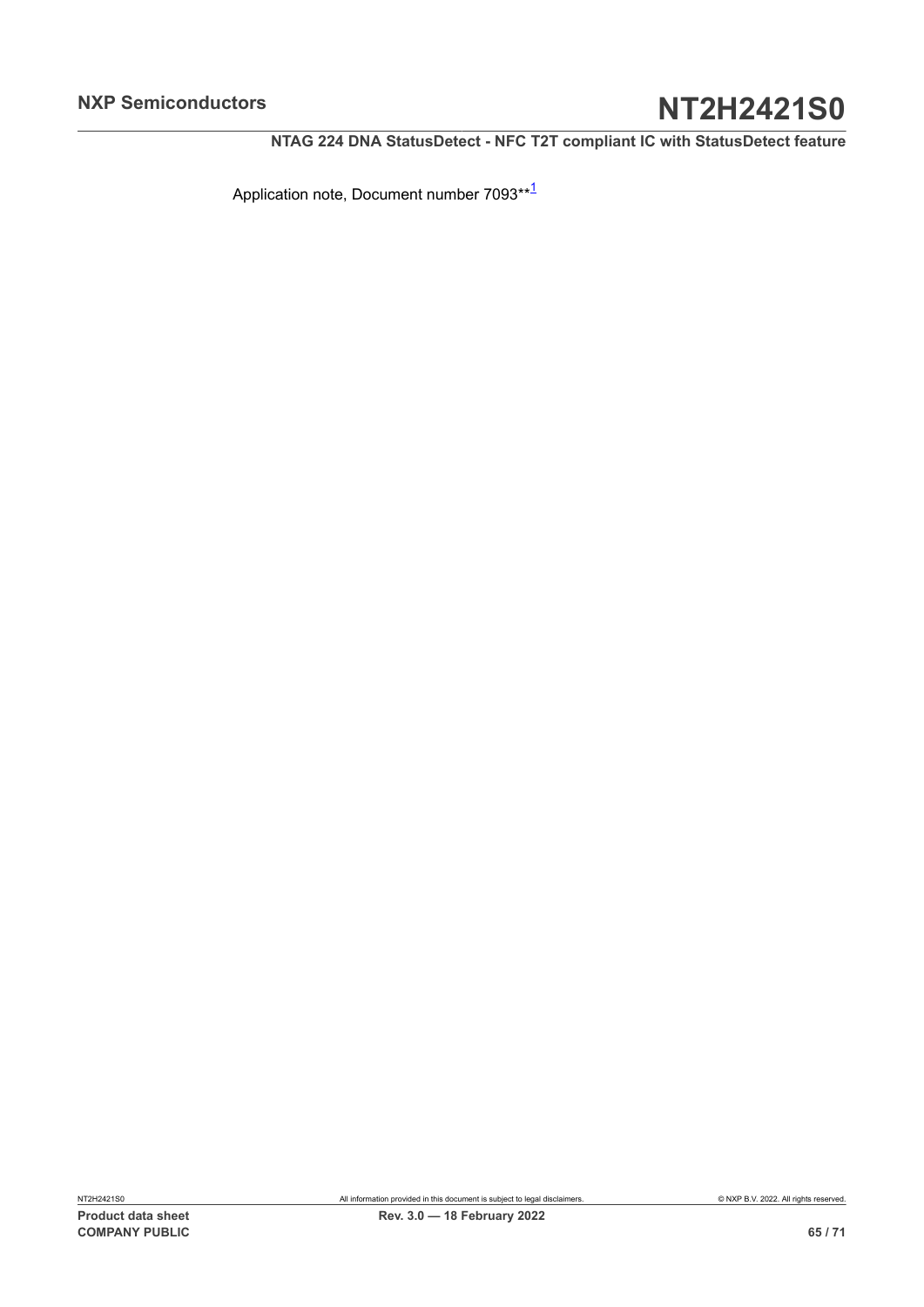**NTAG 224 DNA StatusDetect - NFC T2T compliant IC with StatusDetect feature**

Application note, Document number 7093\*\*[1](#page-63-10)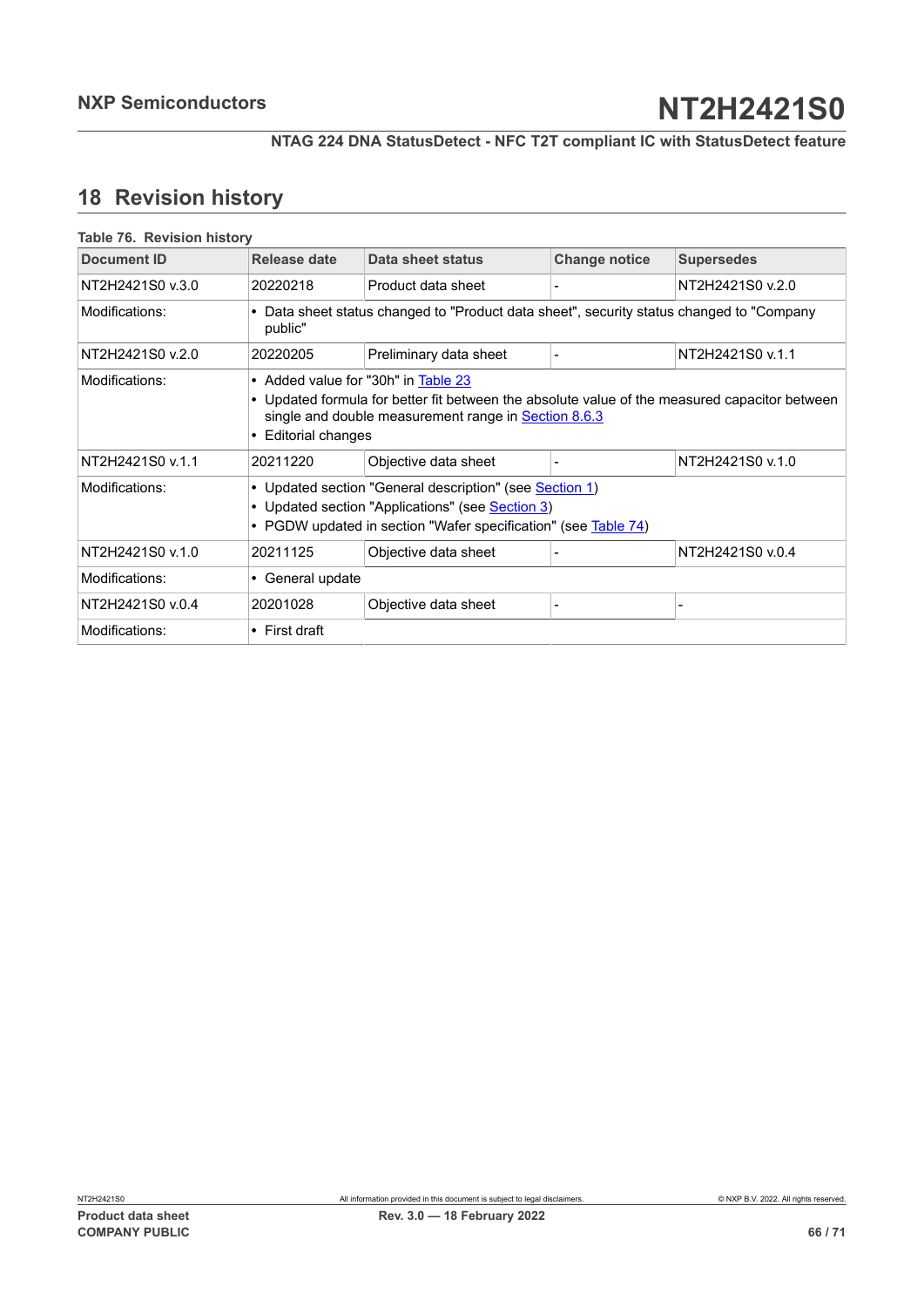## <span id="page-65-1"></span>**18 Revision history**

<span id="page-65-0"></span>

| <b>Document ID</b> | Release date        | Data sheet status                                                                                                                                                                                   | <b>Change notice</b> | <b>Supersedes</b> |
|--------------------|---------------------|-----------------------------------------------------------------------------------------------------------------------------------------------------------------------------------------------------|----------------------|-------------------|
| NT2H2421S0 v.3.0   | 20220218            | Product data sheet                                                                                                                                                                                  |                      | NT2H2421S0 v.2.0  |
| Modifications:     | public"             | • Data sheet status changed to "Product data sheet", security status changed to "Company                                                                                                            |                      |                   |
| NT2H2421S0 v.2.0   | 20220205            | Preliminary data sheet                                                                                                                                                                              |                      | NT2H2421S0 v.1.1  |
| Modifications:     | • Editorial changes | • Added value for "30h" in Table 23<br>• Updated formula for better fit between the absolute value of the measured capacitor between<br>single and double measurement range in <b>Section 8.6.3</b> |                      |                   |
| NT2H2421S0 v.1.1   | 20211220            | Objective data sheet                                                                                                                                                                                |                      | NT2H2421S0 v.1.0  |
| Modifications:     |                     | • Updated section "General description" (see <b>Section 1)</b><br>• Updated section "Applications" (see Section 3)<br>• PGDW updated in section "Wafer specification" (see Table 74)                |                      |                   |
| NT2H2421S0 v.1.0   | 20211125            | Objective data sheet                                                                                                                                                                                |                      | NT2H2421S0 v.0.4  |
| Modifications:     | • General update    |                                                                                                                                                                                                     |                      |                   |
| NT2H2421S0 v.0.4   | 20201028            | Objective data sheet                                                                                                                                                                                |                      |                   |
| Modifications:     | $\cdot$ First draft |                                                                                                                                                                                                     |                      |                   |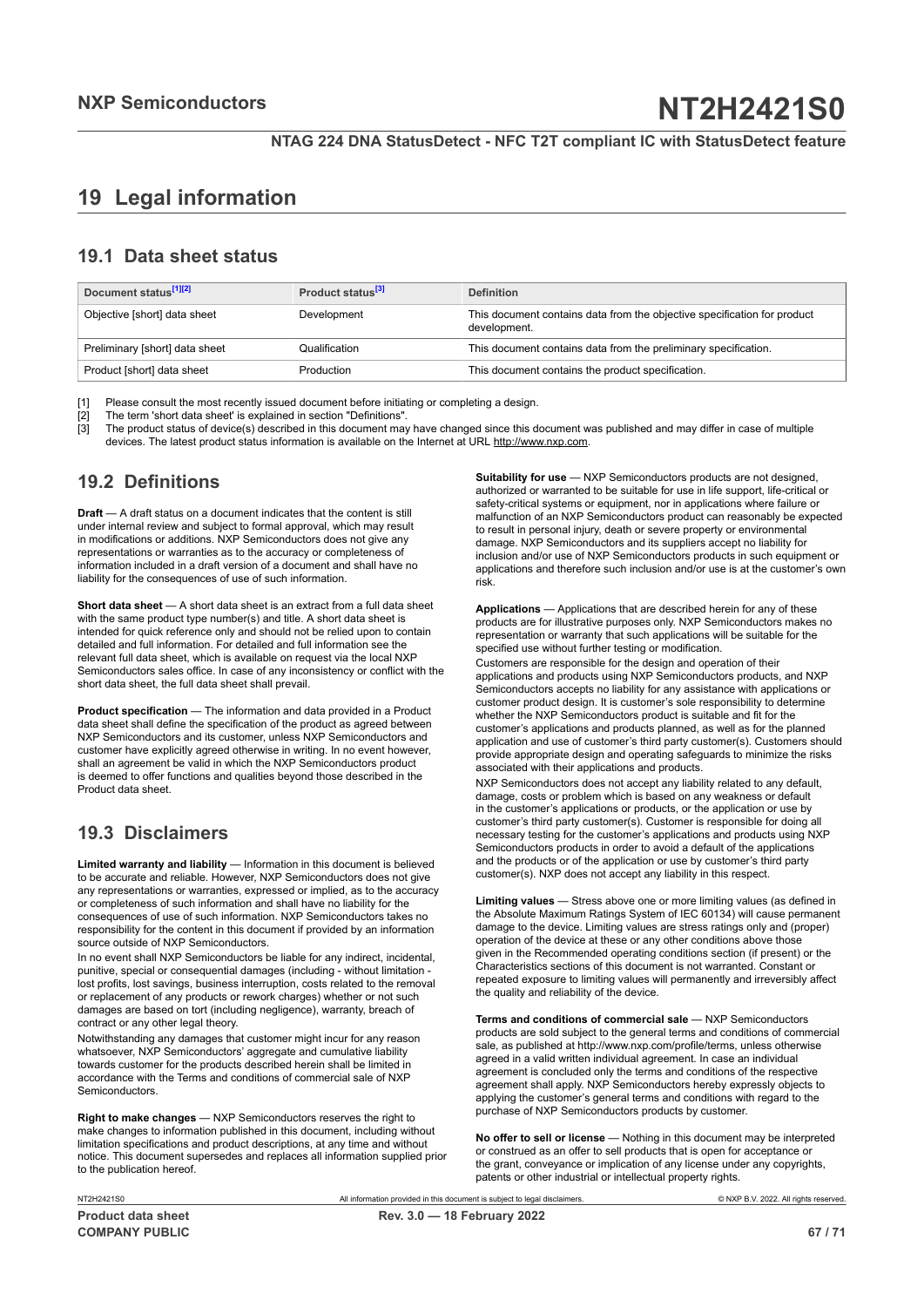## <span id="page-66-0"></span>**19 Legal information**

## **19.1 Data sheet status**

| Document status <sup>[1][2]</sup> | Product status <sup>[3]</sup> | <b>Definition</b>                                                                        |
|-----------------------------------|-------------------------------|------------------------------------------------------------------------------------------|
| Objective [short] data sheet      | Development                   | This document contains data from the objective specification for product<br>development. |
| Preliminary [short] data sheet    | Qualification                 | This document contains data from the preliminary specification.                          |
| Product [short] data sheet        | Production                    | This document contains the product specification.                                        |

[1] Please consult the most recently issued document before initiating or completing a design.<br>[2] The term 'short data sheet' is explained in section "Definitions".

[2] The term 'short data sheet' is explained in section "Definitions".<br>[2] The term 'short data sheet' is explained in section "Definitions".

[3] The product status of device(s) described in this document may have changed since this document was published and may differ in case of multiple devices. The latest product status information is available on the Internet at URL http://www.nxp.com.

## **19.2 Definitions**

**Draft** — A draft status on a document indicates that the content is still under internal review and subject to formal approval, which may result in modifications or additions. NXP Semiconductors does not give any representations or warranties as to the accuracy or completeness of information included in a draft version of a document and shall have no liability for the consequences of use of such information.

**Short data sheet** — A short data sheet is an extract from a full data sheet with the same product type number(s) and title. A short data sheet is intended for quick reference only and should not be relied upon to contain detailed and full information. For detailed and full information see the relevant full data sheet, which is available on request via the local NXP Semiconductors sales office. In case of any inconsistency or conflict with the short data sheet, the full data sheet shall prevail.

**Product specification** — The information and data provided in a Product data sheet shall define the specification of the product as agreed between NXP Semiconductors and its customer, unless NXP Semiconductors and customer have explicitly agreed otherwise in writing. In no event however, shall an agreement be valid in which the NXP Semiconductors product is deemed to offer functions and qualities beyond those described in the Product data sheet.

## **19.3 Disclaimers**

**Limited warranty and liability** — Information in this document is believed to be accurate and reliable. However, NXP Semiconductors does not give any representations or warranties, expressed or implied, as to the accuracy or completeness of such information and shall have no liability for the consequences of use of such information. NXP Semiconductors takes no responsibility for the content in this document if provided by an information source outside of NXP Semiconductors.

In no event shall NXP Semiconductors be liable for any indirect, incidental, punitive, special or consequential damages (including - without limitation lost profits, lost savings, business interruption, costs related to the removal or replacement of any products or rework charges) whether or not such damages are based on tort (including negligence), warranty, breach of contract or any other legal theory.

Notwithstanding any damages that customer might incur for any reason whatsoever, NXP Semiconductors' aggregate and cumulative liability towards customer for the products described herein shall be limited in accordance with the Terms and conditions of commercial sale of NXP Semiconductors.

**Right to make changes** — NXP Semiconductors reserves the right to make changes to information published in this document, including without limitation specifications and product descriptions, at any time and without notice. This document supersedes and replaces all information supplied prior to the publication hereof.

**Suitability for use** — NXP Semiconductors products are not designed, authorized or warranted to be suitable for use in life support, life-critical or safety-critical systems or equipment, nor in applications where failure or malfunction of an NXP Semiconductors product can reasonably be expected to result in personal injury, death or severe property or environmental damage. NXP Semiconductors and its suppliers accept no liability for inclusion and/or use of NXP Semiconductors products in such equipment or applications and therefore such inclusion and/or use is at the customer's own risk.

**Applications** — Applications that are described herein for any of these products are for illustrative purposes only. NXP Semiconductors makes no representation or warranty that such applications will be suitable for the specified use without further testing or modification.

Customers are responsible for the design and operation of their applications and products using NXP Semiconductors products, and NXP Semiconductors accepts no liability for any assistance with applications or customer product design. It is customer's sole responsibility to determine whether the NXP Semiconductors product is suitable and fit for the customer's applications and products planned, as well as for the planned application and use of customer's third party customer(s). Customers should provide appropriate design and operating safeguards to minimize the risks associated with their applications and products.

NXP Semiconductors does not accept any liability related to any default, damage, costs or problem which is based on any weakness or default in the customer's applications or products, or the application or use by customer's third party customer(s). Customer is responsible for doing all necessary testing for the customer's applications and products using NXP Semiconductors products in order to avoid a default of the applications and the products or of the application or use by customer's third party customer(s). NXP does not accept any liability in this respect.

**Limiting values** — Stress above one or more limiting values (as defined in the Absolute Maximum Ratings System of IEC 60134) will cause permanent damage to the device. Limiting values are stress ratings only and (proper) operation of the device at these or any other conditions above those given in the Recommended operating conditions section (if present) or the Characteristics sections of this document is not warranted. Constant or repeated exposure to limiting values will permanently and irreversibly affect the quality and reliability of the device.

**Terms and conditions of commercial sale** — NXP Semiconductors products are sold subject to the general terms and conditions of commercial sale, as published at http://www.nxp.com/profile/terms, unless otherwise agreed in a valid written individual agreement. In case an individual agreement is concluded only the terms and conditions of the respective agreement shall apply. NXP Semiconductors hereby expressly objects to applying the customer's general terms and conditions with regard to the purchase of NXP Semiconductors products by customer.

**No offer to sell or license** — Nothing in this document may be interpreted or construed as an offer to sell products that is open for acceptance or the grant, conveyance or implication of any license under any copyrights, patents or other industrial or intellectual property rights.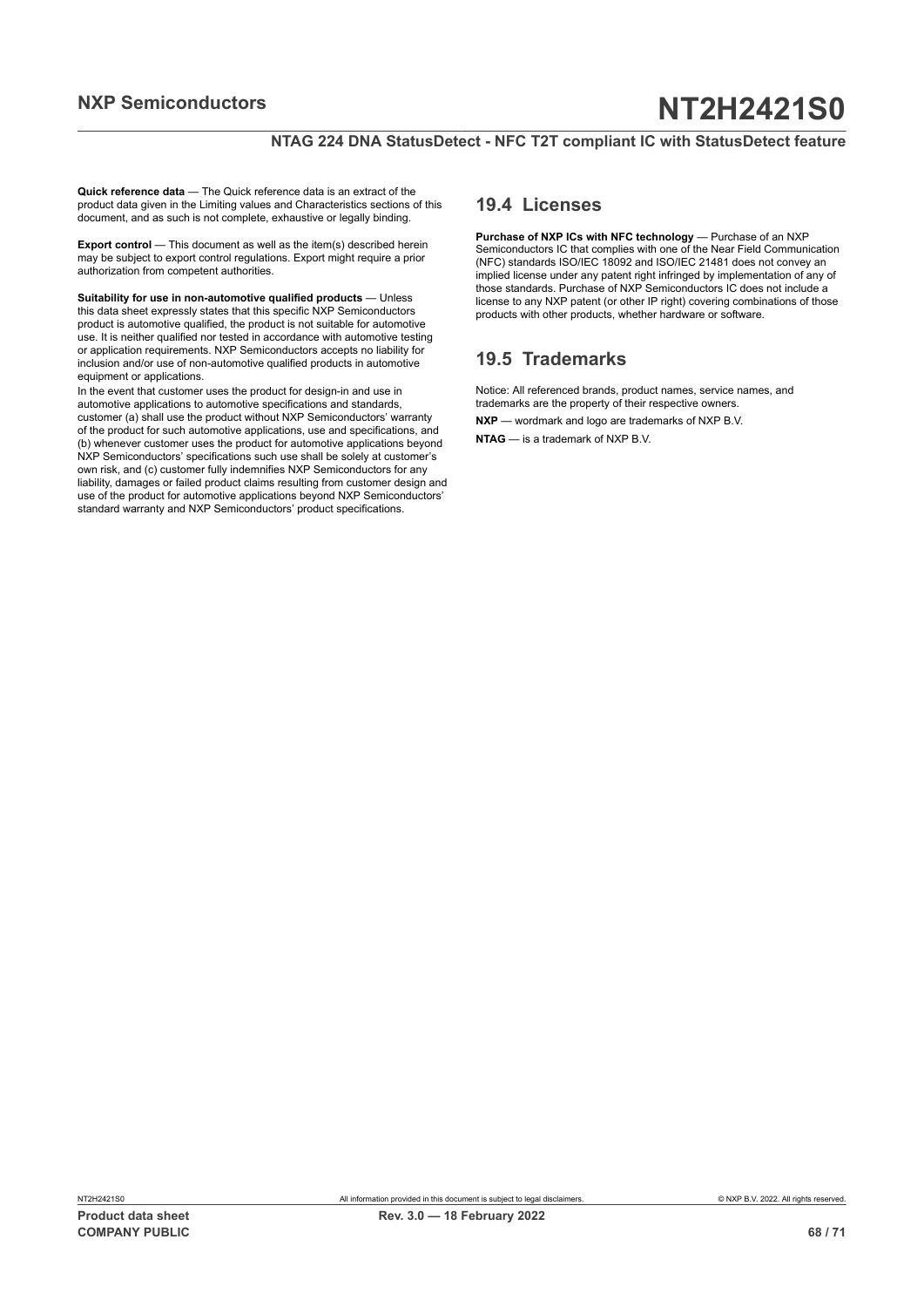## **NTAG 224 DNA StatusDetect - NFC T2T compliant IC with StatusDetect feature**

**Quick reference data** — The Quick reference data is an extract of the product data given in the Limiting values and Characteristics sections of this document, and as such is not complete, exhaustive or legally binding.

**Export control** — This document as well as the item(s) described herein may be subject to export control regulations. Export might require a prior authorization from competent authorities.

**Suitability for use in non-automotive qualified products** — Unless this data sheet expressly states that this specific NXP Semiconductors product is automotive qualified, the product is not suitable for automotive use. It is neither qualified nor tested in accordance with automotive testing or application requirements. NXP Semiconductors accepts no liability for inclusion and/or use of non-automotive qualified products in automotive equipment or applications.

In the event that customer uses the product for design-in and use in automotive applications to automotive specifications and standards, customer (a) shall use the product without NXP Semiconductors' warranty of the product for such automotive applications, use and specifications, and (b) whenever customer uses the product for automotive applications beyond NXP Semiconductors' specifications such use shall be solely at customer's own risk, and (c) customer fully indemnifies NXP Semiconductors for any liability, damages or failed product claims resulting from customer design and use of the product for automotive applications beyond NXP Semiconductors' standard warranty and NXP Semiconductors' product specifications.

## **19.4 Licenses**

**Purchase of NXP ICs with NFC technology** — Purchase of an NXP Semiconductors IC that complies with one of the Near Field Communication (NFC) standards ISO/IEC 18092 and ISO/IEC 21481 does not convey an implied license under any patent right infringed by implementation of any of those standards. Purchase of NXP Semiconductors IC does not include a license to any NXP patent (or other IP right) covering combinations of those products with other products, whether hardware or software.

## **19.5 Trademarks**

Notice: All referenced brands, product names, service names, and trademarks are the property of their respective owners.

**NXP** — wordmark and logo are trademarks of NXP B.V.

**NTAG** — is a trademark of NXP B.V.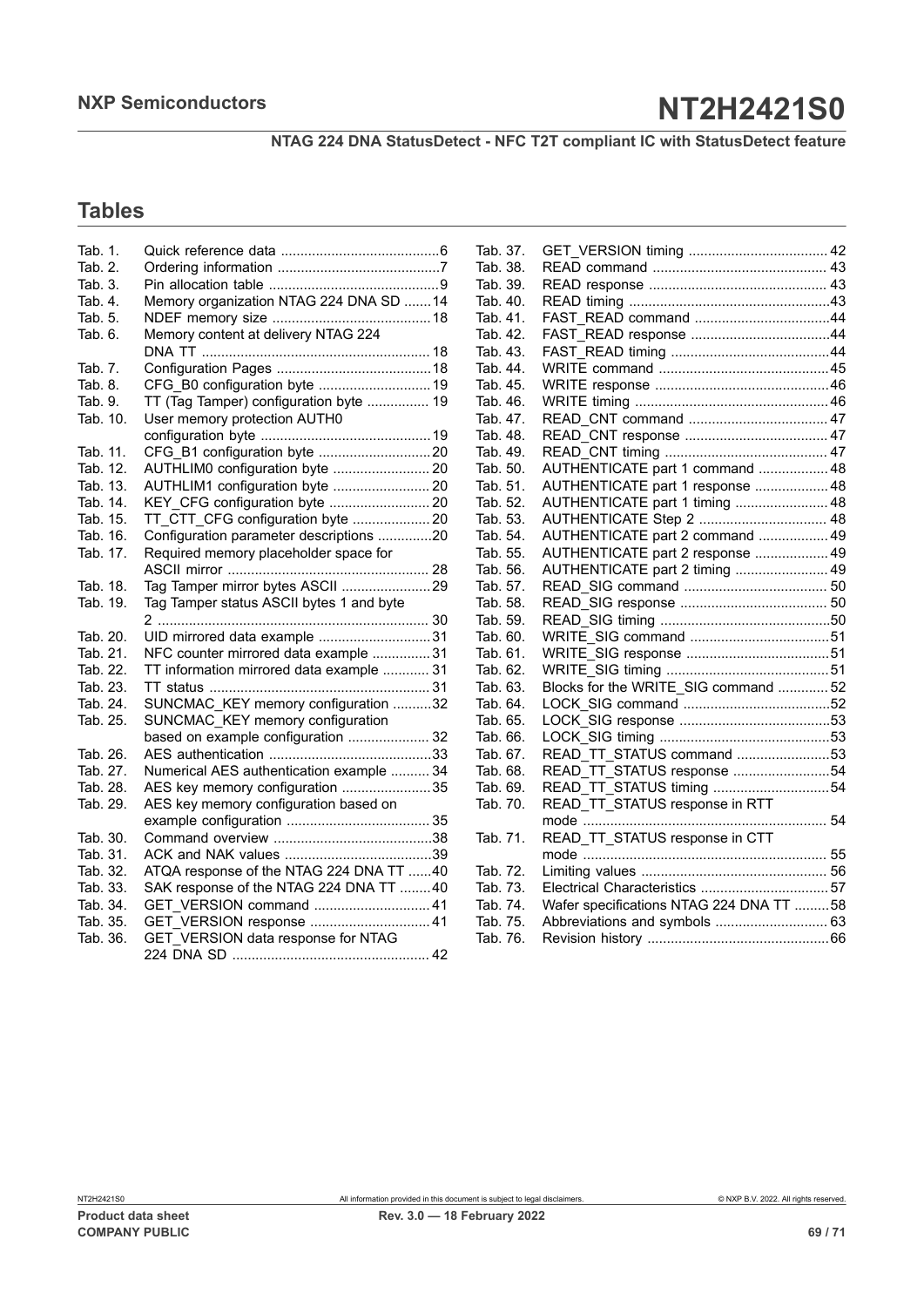**NTAG 224 DNA StatusDetect - NFC T2T compliant IC with StatusDetect feature**

## **Tables**

| Tab. 1.  |                                          |
|----------|------------------------------------------|
| Tab. 2.  |                                          |
| Tab. 3.  |                                          |
| Tab. 4.  | Memory organization NTAG 224 DNA SD 14   |
| Tab. 5.  |                                          |
| Tab. 6.  | Memory content at delivery NTAG 224      |
|          |                                          |
| Tab. 7.  |                                          |
| Tab. 8.  | CFG B0 configuration byte  19            |
| Tab. 9.  | TT (Tag Tamper) configuration byte  19   |
| Tab. 10. | User memory protection AUTH0             |
|          |                                          |
| Tab. 11. |                                          |
| Tab. 12. | AUTHLIM0 configuration byte  20          |
| Tab. 13. | AUTHLIM1 configuration byte  20          |
| Tab. 14. |                                          |
| Tab. 15. | TT CTT CFG configuration byte  20        |
| Tab. 16. | Configuration parameter descriptions 20  |
| Tab. 17. | Required memory placeholder space for    |
|          |                                          |
| Tab. 18. | Tag Tamper mirror bytes ASCII 29         |
| Tab. 19. | Tag Tamper status ASCII bytes 1 and byte |
|          |                                          |
| Tab. 20. | UID mirrored data example 31             |
| Tab. 21. |                                          |
|          | NFC counter mirrored data example 31     |
| Tab. 22. | TT information mirrored data example  31 |
| Tab. 23. |                                          |
| Tab. 24. | SUNCMAC KEY memory configuration 32      |
| Tab. 25. | SUNCMAC_KEY memory configuration         |
|          | based on example configuration  32       |
| Tab. 26. |                                          |
| Tab. 27. | Numerical AES authentication example  34 |
| Tab. 28. | AES key memory configuration 35          |
| Tab. 29. | AES key memory configuration based on    |
|          |                                          |
| Tab. 30. |                                          |
| Tab. 31. |                                          |
| Tab. 32. | ATQA response of the NTAG 224 DNA TT 40  |
| Tab. 33. | SAK response of the NTAG 224 DNA TT 40   |
| Tab. 34. | GET_VERSION command  41                  |
| Tab. 35. | GET VERSION response  41                 |
| Tab. 36. | GET VERSION data response for NTAG       |

| Tab. 37. |                                         |  |
|----------|-----------------------------------------|--|
| Tab. 38. |                                         |  |
| Tab. 39. |                                         |  |
| Tab. 40. |                                         |  |
| Tab. 41. | FAST READ command 44                    |  |
| Tab. 42. |                                         |  |
| Tab. 43. |                                         |  |
| Tab. 44. |                                         |  |
| Tab. 45. |                                         |  |
| Tab. 46. |                                         |  |
| Tab. 47. |                                         |  |
| Tab. 48. |                                         |  |
| Tab. 49. |                                         |  |
| Tab. 50. | AUTHENTICATE part 1 command  48         |  |
| Tab. 51. | AUTHENTICATE part 1 response  48        |  |
| Tab. 52. | AUTHENTICATE part 1 timing  48          |  |
| Tab. 53. | AUTHENTICATE Step 2  48                 |  |
| Tab. 54. | AUTHENTICATE part 2 command  49         |  |
| Tab. 55. | AUTHENTICATE part 2 response  49        |  |
| Tab. 56. | AUTHENTICATE part 2 timing  49          |  |
| Tab. 57. |                                         |  |
| Tab. 58. |                                         |  |
| Tab. 59. |                                         |  |
| Tab. 60. |                                         |  |
| Tab. 61. |                                         |  |
| Tab. 62. |                                         |  |
| Tab. 63. | Blocks for the WRITE_SIG command  52    |  |
| Tab. 64. |                                         |  |
| Tab. 65. |                                         |  |
| Tab. 66. |                                         |  |
| Tab. 67. | READ TT STATUS command 53               |  |
| Tab. 68. | READ TT STATUS response 54              |  |
| Tab. 69. | READ_TT_STATUS timing 54                |  |
| Tab. 70. | READ_TT_STATUS response in RTT          |  |
|          |                                         |  |
| Tab. 71. | READ TT STATUS response in CTT          |  |
|          |                                         |  |
| Tab. 72. |                                         |  |
| Tab. 73. |                                         |  |
| Tab. 74. | Wafer specifications NTAG 224 DNA TT 58 |  |
| Tab. 75. | Abbreviations and symbols  63           |  |
| Tab. 76. |                                         |  |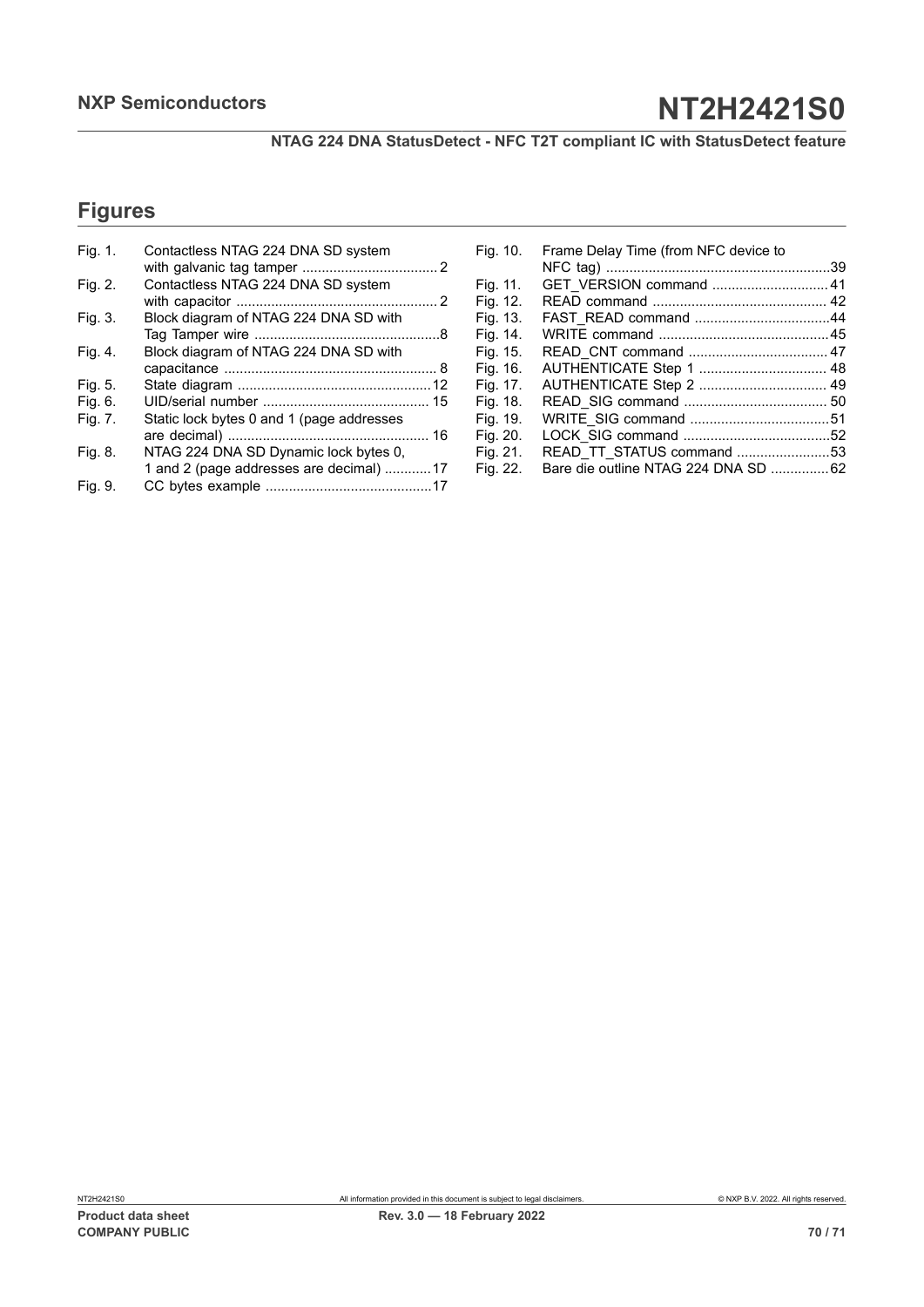**NTAG 224 DNA StatusDetect - NFC T2T compliant IC with StatusDetect feature**

## **Figures**

| Fig. 1. | Contactless NTAG 224 DNA SD system        |
|---------|-------------------------------------------|
|         |                                           |
| Fig. 2. | Contactless NTAG 224 DNA SD system        |
|         |                                           |
| Fig. 3. | Block diagram of NTAG 224 DNA SD with     |
|         |                                           |
| Fig. 4. | Block diagram of NTAG 224 DNA SD with     |
|         |                                           |
| Fig. 5. |                                           |
| Fig. 6. |                                           |
| Fig. 7. | Static lock bytes 0 and 1 (page addresses |
|         |                                           |
| Fig. 8. | NTAG 224 DNA SD Dynamic lock bytes 0,     |
|         | 1 and 2 (page addresses are decimal)  17  |
| Fig. 9. |                                           |

| Frame Delay Time (from NFC device to<br>Fig. 10. |  |
|--------------------------------------------------|--|
|                                                  |  |
| Fig. 11.                                         |  |
| Fig. 12.                                         |  |
| Fig. 13.                                         |  |
| Fig. 14.                                         |  |
| Fig. 15.                                         |  |
| AUTHENTICATE Step 1  48<br>Fig. 16.              |  |
| AUTHENTICATE Step 2  49<br>Fig. 17.              |  |
| Fig. 18.                                         |  |
| Fig. 19.                                         |  |
| Fig. 20.                                         |  |
| READ TT STATUS command 53<br>Fig. 21.            |  |
| Bare die outline NTAG 224 DNA SD 62<br>Fig. 22.  |  |